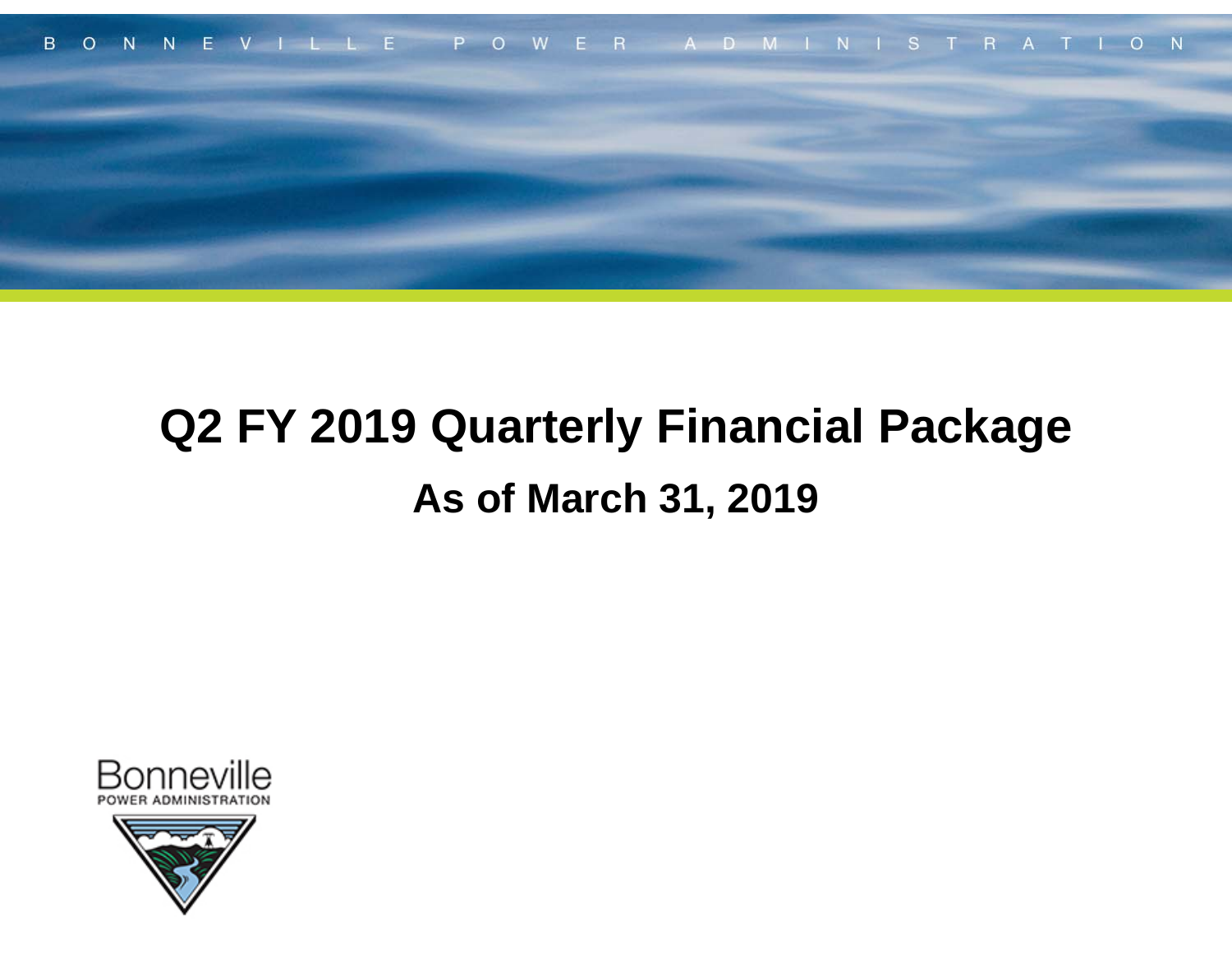

## **Q2 FY 2019 Quarterly Financial Package As of March 31, 2019**



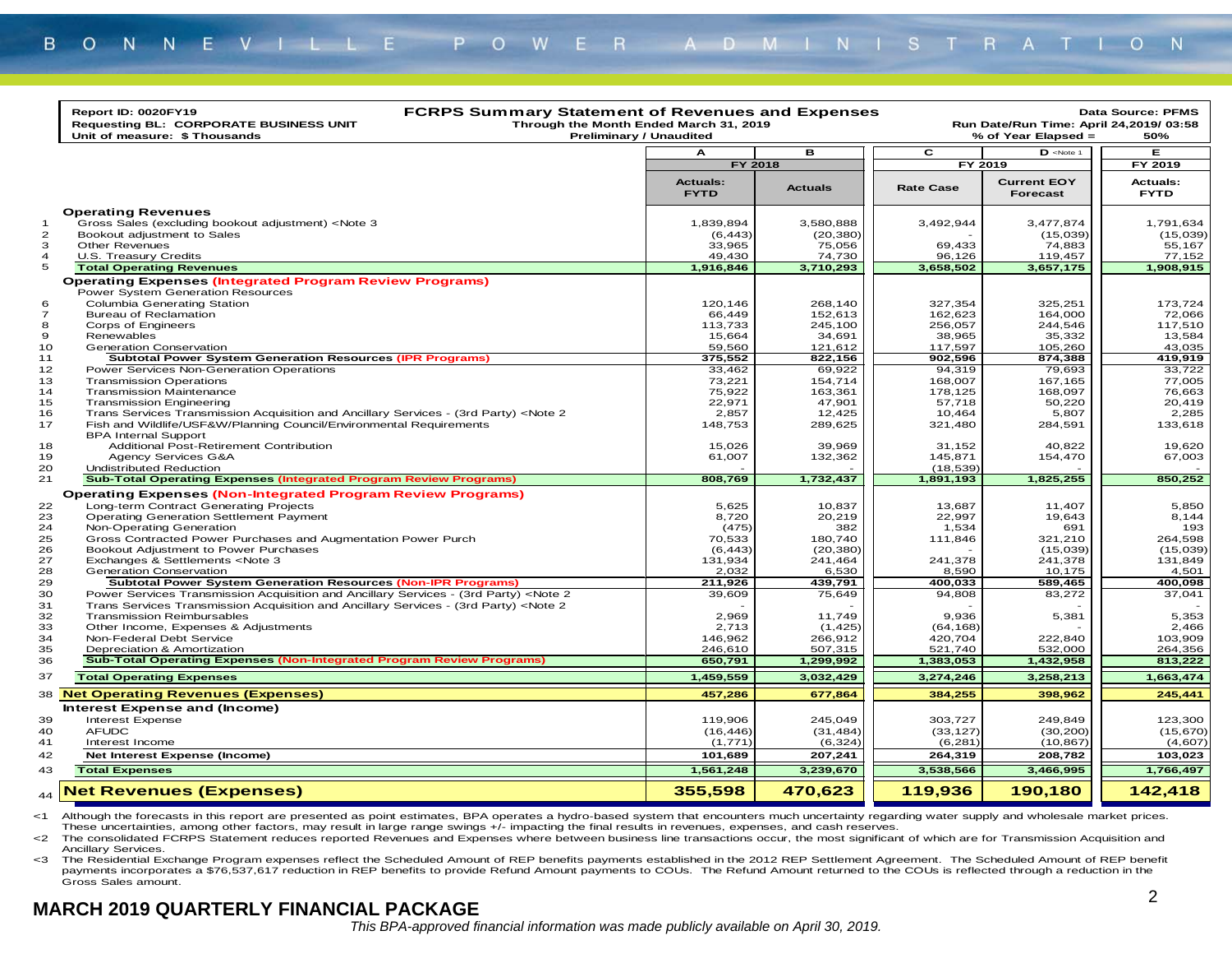| $\overline{\mathbf{c}}$<br>$D$ <note 1<br="">в<br/>Е<br/>А<br/>FY 2018<br/>FY 2019<br/>FY 2019<br/><b>Actuals:</b><br/><b>Current EOY</b><br/><b>Actuals:</b><br/><b>Actuals</b><br/><b>Rate Case</b><br/><b>FYTD</b><br/>Forecast<br/><b>FYTD</b><br/><b>Operating Revenues</b><br/>Gross Sales (excluding bookout adjustment) <note 3<br="">3,492,944<br/>1,839,894<br/>3,580,888<br/>3,477,874<br/><math>\mathbf{1}</math><br/><math>\overline{2}</math><br/>Bookout adjustment to Sales<br/>(6, 443)<br/>(20, 380)<br/>(15,039)<br/>3<br/>Other Revenues<br/>33,965<br/>75,056<br/>69,433<br/>74,883<br/><math>\overline{4}</math><br/>U.S. Treasury Credits<br/>49,430<br/>74,730<br/>96,126<br/>119,457<br/>77,152<br/>5<br/>3,658,502<br/><b>Total Operating Revenues</b><br/>1,916,846<br/>3,710,293<br/>3,657,175<br/>1,908,915<br/><b>Operating Expenses (Integrated Program Review Programs)</b><br/>Power System Generation Resources<br/>Columbia Generating Station<br/>120.146<br/>268.140<br/>327.354<br/>325,251<br/>173.724<br/>6<br/>164,000<br/><math>\overline{7}</math><br/><b>Bureau of Reclamation</b><br/>66,449<br/>152,613<br/>162,623<br/>72,066<br/>8<br/>113,733<br/>245,100<br/>244,546<br/>117,510<br/>Corps of Engineers<br/>256,057<br/>35,332<br/>9<br/>Renewables<br/>15,664<br/>34,691<br/>38,965<br/>13,584<br/>10<br/>59,560<br/>105,260<br/>43,035<br/><b>Generation Conservation</b><br/>121,612<br/>117,597<br/><b>Subtotal Power System Generation Resources (IPR Programs)</b><br/>375,552<br/>822,156<br/>902,596<br/>874,388<br/>79,693<br/>33,722<br/>Power Services Non-Generation Operations<br/>33,462<br/>69,922<br/>94,319<br/>167,165<br/><b>Transmission Operations</b><br/>73,221<br/>154,714<br/>168,007<br/>75,922<br/>168,097<br/><b>Transmission Maintenance</b><br/>163,361<br/>178,125<br/>22,971<br/>47,901<br/>50,220<br/><b>Transmission Engineering</b><br/>57,718<br/>Trans Services Transmission Acquisition and Ancillary Services - (3rd Party) <note 2<br="">2.857<br/>12.425<br/>10.464<br/>5.807<br/>2,285<br/>Fish and Wildlife/USF&amp;W/Planning Council/Environmental Requirements<br/>148,753<br/>289,625<br/>321,480<br/>284,591<br/>133,618<br/><b>BPA Internal Support</b><br/>Additional Post-Retirement Contribution<br/>15,026<br/>39,969<br/>31,152<br/>40,822<br/>61,007<br/>132,362<br/>145,871<br/>67,003<br/>Agency Services G&amp;A<br/>154,470<br/><b>Undistributed Reduction</b><br/>(18, 539)<br/><b>Sub-Total Operating Expenses (Integrated Program Review Programs)</b><br/>808,769<br/>1,732,437<br/>1,891,193<br/>1,825,255<br/>850,252<br/><b>Operating Expenses (Non-Integrated Program Review Programs)</b><br/>Long-term Contract Generating Projects<br/>5,625<br/>10,837<br/>13,687<br/>11,407<br/><b>Operating Generation Settlement Payment</b><br/>8,720<br/>20,219<br/>22.997<br/>19,643<br/>8,144<br/>Non-Operating Generation<br/>(475)<br/>382<br/>1,534<br/>691<br/>193<br/>Gross Contracted Power Purchases and Augmentation Power Purch<br/>70,533<br/>180,740<br/>321,210<br/>264,598<br/>111,846<br/>(20, 380)<br/>(15,039)<br/>(15,039)<br/>Bookout Adjustment to Power Purchases<br/>(6, 443)<br/>131,849<br/>Exchanges &amp; Settlements <note 3<br="">131,934<br/>241,464<br/>241,378<br/>241,378<br/>2,032<br/>6,530<br/>8,590<br/>10,175<br/>Generation Conservation<br/>4,501<br/><b>Subtotal Power System Generation Resources (Non-IPR Programs)</b><br/>211,926<br/>439,791<br/>400,033<br/>589,465<br/>400,098<br/>Power Services Transmission Acquisition and Ancillary Services - (3rd Party) <note 2<br="">39,609<br/>37,041<br/>75,649<br/>94,808<br/>83,272<br/>Trans Services Transmission Acquisition and Ancillary Services - (3rd Party) <note 2<br=""><b>Transmission Reimbursables</b><br/>2,969<br/>11,749<br/>9,936<br/>5,381<br/>Other Income, Expenses &amp; Adjustments<br/>2,713<br/>(1, 425)<br/>(64, 168)<br/>146,962<br/>266,912<br/>222,840<br/>Non-Federal Debt Service<br/>420,704<br/>532,000<br/>Depreciation &amp; Amortization<br/>246,610<br/>507,315<br/>521,740<br/><b>Sub-Total Operating Expenses (Non-Integrated Program Review Programs)</b><br/>650,791<br/>1,299,992<br/>1,383,053<br/>1,432,958<br/>1,459,559<br/>3,032,429<br/>3,274,246<br/>3,258,213<br/><b>Total Operating Expenses</b><br/><b>Net Operating Revenues (Expenses)</b><br/>457,286<br/>677,864<br/>384,255<br/>398,962<br/>Interest Expense and (Income)<br/>Interest Expense<br/>119,906<br/>245,049<br/>303,727<br/>249,849<br/><b>AFUDC</b><br/>(16, 446)<br/>(31, 484)<br/>(33, 127)<br/>(30, 200)<br/>(1,771)<br/>(6, 324)<br/>(10, 867)<br/>Interest Income<br/>(6, 281)<br/>Net Interest Expense (Income)<br/>101,689<br/>207,241<br/>264,319<br/>208,782<br/>1,561,248<br/>3,239,670<br/>3,538,566<br/>3,466,995<br/><b>Total Expenses</b><br/><b>Net Revenues (Expenses)</b><br/>355,598<br/>470.623<br/>119.936<br/>190,180<br/>142,418<br/>44</note></note></note></note></note></note> | <b>FCRPS Summary Statement of Revenues and Expenses</b><br>Report ID: 0020FY19<br>Through the Month Ended March 31, 2019<br><b>Requesting BL: CORPORATE BUSINESS UNIT</b><br>Unit of measure: \$ Thousands | <b>Preliminary / Unaudited</b> |  | Run Date/Run Time: April 24,2019/ 03:58<br>% of Year Elapsed = | Data Source: PFMS<br>50% |
|-----------------------------------------------------------------------------------------------------------------------------------------------------------------------------------------------------------------------------------------------------------------------------------------------------------------------------------------------------------------------------------------------------------------------------------------------------------------------------------------------------------------------------------------------------------------------------------------------------------------------------------------------------------------------------------------------------------------------------------------------------------------------------------------------------------------------------------------------------------------------------------------------------------------------------------------------------------------------------------------------------------------------------------------------------------------------------------------------------------------------------------------------------------------------------------------------------------------------------------------------------------------------------------------------------------------------------------------------------------------------------------------------------------------------------------------------------------------------------------------------------------------------------------------------------------------------------------------------------------------------------------------------------------------------------------------------------------------------------------------------------------------------------------------------------------------------------------------------------------------------------------------------------------------------------------------------------------------------------------------------------------------------------------------------------------------------------------------------------------------------------------------------------------------------------------------------------------------------------------------------------------------------------------------------------------------------------------------------------------------------------------------------------------------------------------------------------------------------------------------------------------------------------------------------------------------------------------------------------------------------------------------------------------------------------------------------------------------------------------------------------------------------------------------------------------------------------------------------------------------------------------------------------------------------------------------------------------------------------------------------------------------------------------------------------------------------------------------------------------------------------------------------------------------------------------------------------------------------------------------------------------------------------------------------------------------------------------------------------------------------------------------------------------------------------------------------------------------------------------------------------------------------------------------------------------------------------------------------------------------------------------------------------------------------------------------------------------------------------------------------------------------------------------------------------------------------------------------------------------------------------------------------------------------------------------------------------------------------------------------------------------------------------------------------------------------------------------------------------------------------------------------------------------------------------------------------------------------------------------------------------------------------------------------------------------------------------------------------------------------------------------------------------------------------------------------------------------------------------------------------------------------------------------------------------------------------------------------------------------------------------------------------------------------------------------------------------------------------------------------------------------------------------------------------------------------------------------------------------------------------------------------------------------------------------------------------------------------------------------------------------------------------------------------|------------------------------------------------------------------------------------------------------------------------------------------------------------------------------------------------------------|--------------------------------|--|----------------------------------------------------------------|--------------------------|
|                                                                                                                                                                                                                                                                                                                                                                                                                                                                                                                                                                                                                                                                                                                                                                                                                                                                                                                                                                                                                                                                                                                                                                                                                                                                                                                                                                                                                                                                                                                                                                                                                                                                                                                                                                                                                                                                                                                                                                                                                                                                                                                                                                                                                                                                                                                                                                                                                                                                                                                                                                                                                                                                                                                                                                                                                                                                                                                                                                                                                                                                                                                                                                                                                                                                                                                                                                                                                                                                                                                                                                                                                                                                                                                                                                                                                                                                                                                                                                                                                                                                                                                                                                                                                                                                                                                                                                                                                                                                                                                                                                                                                                                                                                                                                                                                                                                                                                                                                                                                                                         |                                                                                                                                                                                                            |                                |  |                                                                |                          |
|                                                                                                                                                                                                                                                                                                                                                                                                                                                                                                                                                                                                                                                                                                                                                                                                                                                                                                                                                                                                                                                                                                                                                                                                                                                                                                                                                                                                                                                                                                                                                                                                                                                                                                                                                                                                                                                                                                                                                                                                                                                                                                                                                                                                                                                                                                                                                                                                                                                                                                                                                                                                                                                                                                                                                                                                                                                                                                                                                                                                                                                                                                                                                                                                                                                                                                                                                                                                                                                                                                                                                                                                                                                                                                                                                                                                                                                                                                                                                                                                                                                                                                                                                                                                                                                                                                                                                                                                                                                                                                                                                                                                                                                                                                                                                                                                                                                                                                                                                                                                                                         |                                                                                                                                                                                                            |                                |  |                                                                |                          |
| 11<br>12<br>13<br>14<br>15<br>16<br>17<br>18<br>19<br>20<br>21<br>22<br>23<br>24<br>25<br>26<br>27<br>28<br>29<br>30<br>31<br>32<br>33<br>34<br>35<br>36<br>37<br>38<br>39<br>40<br>41<br>42<br>43                                                                                                                                                                                                                                                                                                                                                                                                                                                                                                                                                                                                                                                                                                                                                                                                                                                                                                                                                                                                                                                                                                                                                                                                                                                                                                                                                                                                                                                                                                                                                                                                                                                                                                                                                                                                                                                                                                                                                                                                                                                                                                                                                                                                                                                                                                                                                                                                                                                                                                                                                                                                                                                                                                                                                                                                                                                                                                                                                                                                                                                                                                                                                                                                                                                                                                                                                                                                                                                                                                                                                                                                                                                                                                                                                                                                                                                                                                                                                                                                                                                                                                                                                                                                                                                                                                                                                                                                                                                                                                                                                                                                                                                                                                                                                                                                                                      |                                                                                                                                                                                                            |                                |  |                                                                |                          |
|                                                                                                                                                                                                                                                                                                                                                                                                                                                                                                                                                                                                                                                                                                                                                                                                                                                                                                                                                                                                                                                                                                                                                                                                                                                                                                                                                                                                                                                                                                                                                                                                                                                                                                                                                                                                                                                                                                                                                                                                                                                                                                                                                                                                                                                                                                                                                                                                                                                                                                                                                                                                                                                                                                                                                                                                                                                                                                                                                                                                                                                                                                                                                                                                                                                                                                                                                                                                                                                                                                                                                                                                                                                                                                                                                                                                                                                                                                                                                                                                                                                                                                                                                                                                                                                                                                                                                                                                                                                                                                                                                                                                                                                                                                                                                                                                                                                                                                                                                                                                                                         |                                                                                                                                                                                                            |                                |  |                                                                |                          |
|                                                                                                                                                                                                                                                                                                                                                                                                                                                                                                                                                                                                                                                                                                                                                                                                                                                                                                                                                                                                                                                                                                                                                                                                                                                                                                                                                                                                                                                                                                                                                                                                                                                                                                                                                                                                                                                                                                                                                                                                                                                                                                                                                                                                                                                                                                                                                                                                                                                                                                                                                                                                                                                                                                                                                                                                                                                                                                                                                                                                                                                                                                                                                                                                                                                                                                                                                                                                                                                                                                                                                                                                                                                                                                                                                                                                                                                                                                                                                                                                                                                                                                                                                                                                                                                                                                                                                                                                                                                                                                                                                                                                                                                                                                                                                                                                                                                                                                                                                                                                                                         |                                                                                                                                                                                                            |                                |  |                                                                | 1,791,634                |
|                                                                                                                                                                                                                                                                                                                                                                                                                                                                                                                                                                                                                                                                                                                                                                                                                                                                                                                                                                                                                                                                                                                                                                                                                                                                                                                                                                                                                                                                                                                                                                                                                                                                                                                                                                                                                                                                                                                                                                                                                                                                                                                                                                                                                                                                                                                                                                                                                                                                                                                                                                                                                                                                                                                                                                                                                                                                                                                                                                                                                                                                                                                                                                                                                                                                                                                                                                                                                                                                                                                                                                                                                                                                                                                                                                                                                                                                                                                                                                                                                                                                                                                                                                                                                                                                                                                                                                                                                                                                                                                                                                                                                                                                                                                                                                                                                                                                                                                                                                                                                                         |                                                                                                                                                                                                            |                                |  |                                                                | (15,039)                 |
|                                                                                                                                                                                                                                                                                                                                                                                                                                                                                                                                                                                                                                                                                                                                                                                                                                                                                                                                                                                                                                                                                                                                                                                                                                                                                                                                                                                                                                                                                                                                                                                                                                                                                                                                                                                                                                                                                                                                                                                                                                                                                                                                                                                                                                                                                                                                                                                                                                                                                                                                                                                                                                                                                                                                                                                                                                                                                                                                                                                                                                                                                                                                                                                                                                                                                                                                                                                                                                                                                                                                                                                                                                                                                                                                                                                                                                                                                                                                                                                                                                                                                                                                                                                                                                                                                                                                                                                                                                                                                                                                                                                                                                                                                                                                                                                                                                                                                                                                                                                                                                         |                                                                                                                                                                                                            |                                |  |                                                                | 55,167                   |
|                                                                                                                                                                                                                                                                                                                                                                                                                                                                                                                                                                                                                                                                                                                                                                                                                                                                                                                                                                                                                                                                                                                                                                                                                                                                                                                                                                                                                                                                                                                                                                                                                                                                                                                                                                                                                                                                                                                                                                                                                                                                                                                                                                                                                                                                                                                                                                                                                                                                                                                                                                                                                                                                                                                                                                                                                                                                                                                                                                                                                                                                                                                                                                                                                                                                                                                                                                                                                                                                                                                                                                                                                                                                                                                                                                                                                                                                                                                                                                                                                                                                                                                                                                                                                                                                                                                                                                                                                                                                                                                                                                                                                                                                                                                                                                                                                                                                                                                                                                                                                                         |                                                                                                                                                                                                            |                                |  |                                                                |                          |
|                                                                                                                                                                                                                                                                                                                                                                                                                                                                                                                                                                                                                                                                                                                                                                                                                                                                                                                                                                                                                                                                                                                                                                                                                                                                                                                                                                                                                                                                                                                                                                                                                                                                                                                                                                                                                                                                                                                                                                                                                                                                                                                                                                                                                                                                                                                                                                                                                                                                                                                                                                                                                                                                                                                                                                                                                                                                                                                                                                                                                                                                                                                                                                                                                                                                                                                                                                                                                                                                                                                                                                                                                                                                                                                                                                                                                                                                                                                                                                                                                                                                                                                                                                                                                                                                                                                                                                                                                                                                                                                                                                                                                                                                                                                                                                                                                                                                                                                                                                                                                                         |                                                                                                                                                                                                            |                                |  |                                                                |                          |
|                                                                                                                                                                                                                                                                                                                                                                                                                                                                                                                                                                                                                                                                                                                                                                                                                                                                                                                                                                                                                                                                                                                                                                                                                                                                                                                                                                                                                                                                                                                                                                                                                                                                                                                                                                                                                                                                                                                                                                                                                                                                                                                                                                                                                                                                                                                                                                                                                                                                                                                                                                                                                                                                                                                                                                                                                                                                                                                                                                                                                                                                                                                                                                                                                                                                                                                                                                                                                                                                                                                                                                                                                                                                                                                                                                                                                                                                                                                                                                                                                                                                                                                                                                                                                                                                                                                                                                                                                                                                                                                                                                                                                                                                                                                                                                                                                                                                                                                                                                                                                                         |                                                                                                                                                                                                            |                                |  |                                                                |                          |
|                                                                                                                                                                                                                                                                                                                                                                                                                                                                                                                                                                                                                                                                                                                                                                                                                                                                                                                                                                                                                                                                                                                                                                                                                                                                                                                                                                                                                                                                                                                                                                                                                                                                                                                                                                                                                                                                                                                                                                                                                                                                                                                                                                                                                                                                                                                                                                                                                                                                                                                                                                                                                                                                                                                                                                                                                                                                                                                                                                                                                                                                                                                                                                                                                                                                                                                                                                                                                                                                                                                                                                                                                                                                                                                                                                                                                                                                                                                                                                                                                                                                                                                                                                                                                                                                                                                                                                                                                                                                                                                                                                                                                                                                                                                                                                                                                                                                                                                                                                                                                                         |                                                                                                                                                                                                            |                                |  |                                                                |                          |
|                                                                                                                                                                                                                                                                                                                                                                                                                                                                                                                                                                                                                                                                                                                                                                                                                                                                                                                                                                                                                                                                                                                                                                                                                                                                                                                                                                                                                                                                                                                                                                                                                                                                                                                                                                                                                                                                                                                                                                                                                                                                                                                                                                                                                                                                                                                                                                                                                                                                                                                                                                                                                                                                                                                                                                                                                                                                                                                                                                                                                                                                                                                                                                                                                                                                                                                                                                                                                                                                                                                                                                                                                                                                                                                                                                                                                                                                                                                                                                                                                                                                                                                                                                                                                                                                                                                                                                                                                                                                                                                                                                                                                                                                                                                                                                                                                                                                                                                                                                                                                                         |                                                                                                                                                                                                            |                                |  |                                                                |                          |
|                                                                                                                                                                                                                                                                                                                                                                                                                                                                                                                                                                                                                                                                                                                                                                                                                                                                                                                                                                                                                                                                                                                                                                                                                                                                                                                                                                                                                                                                                                                                                                                                                                                                                                                                                                                                                                                                                                                                                                                                                                                                                                                                                                                                                                                                                                                                                                                                                                                                                                                                                                                                                                                                                                                                                                                                                                                                                                                                                                                                                                                                                                                                                                                                                                                                                                                                                                                                                                                                                                                                                                                                                                                                                                                                                                                                                                                                                                                                                                                                                                                                                                                                                                                                                                                                                                                                                                                                                                                                                                                                                                                                                                                                                                                                                                                                                                                                                                                                                                                                                                         |                                                                                                                                                                                                            |                                |  |                                                                |                          |
|                                                                                                                                                                                                                                                                                                                                                                                                                                                                                                                                                                                                                                                                                                                                                                                                                                                                                                                                                                                                                                                                                                                                                                                                                                                                                                                                                                                                                                                                                                                                                                                                                                                                                                                                                                                                                                                                                                                                                                                                                                                                                                                                                                                                                                                                                                                                                                                                                                                                                                                                                                                                                                                                                                                                                                                                                                                                                                                                                                                                                                                                                                                                                                                                                                                                                                                                                                                                                                                                                                                                                                                                                                                                                                                                                                                                                                                                                                                                                                                                                                                                                                                                                                                                                                                                                                                                                                                                                                                                                                                                                                                                                                                                                                                                                                                                                                                                                                                                                                                                                                         |                                                                                                                                                                                                            |                                |  |                                                                |                          |
|                                                                                                                                                                                                                                                                                                                                                                                                                                                                                                                                                                                                                                                                                                                                                                                                                                                                                                                                                                                                                                                                                                                                                                                                                                                                                                                                                                                                                                                                                                                                                                                                                                                                                                                                                                                                                                                                                                                                                                                                                                                                                                                                                                                                                                                                                                                                                                                                                                                                                                                                                                                                                                                                                                                                                                                                                                                                                                                                                                                                                                                                                                                                                                                                                                                                                                                                                                                                                                                                                                                                                                                                                                                                                                                                                                                                                                                                                                                                                                                                                                                                                                                                                                                                                                                                                                                                                                                                                                                                                                                                                                                                                                                                                                                                                                                                                                                                                                                                                                                                                                         |                                                                                                                                                                                                            |                                |  |                                                                |                          |
|                                                                                                                                                                                                                                                                                                                                                                                                                                                                                                                                                                                                                                                                                                                                                                                                                                                                                                                                                                                                                                                                                                                                                                                                                                                                                                                                                                                                                                                                                                                                                                                                                                                                                                                                                                                                                                                                                                                                                                                                                                                                                                                                                                                                                                                                                                                                                                                                                                                                                                                                                                                                                                                                                                                                                                                                                                                                                                                                                                                                                                                                                                                                                                                                                                                                                                                                                                                                                                                                                                                                                                                                                                                                                                                                                                                                                                                                                                                                                                                                                                                                                                                                                                                                                                                                                                                                                                                                                                                                                                                                                                                                                                                                                                                                                                                                                                                                                                                                                                                                                                         |                                                                                                                                                                                                            |                                |  |                                                                | 419,919                  |
|                                                                                                                                                                                                                                                                                                                                                                                                                                                                                                                                                                                                                                                                                                                                                                                                                                                                                                                                                                                                                                                                                                                                                                                                                                                                                                                                                                                                                                                                                                                                                                                                                                                                                                                                                                                                                                                                                                                                                                                                                                                                                                                                                                                                                                                                                                                                                                                                                                                                                                                                                                                                                                                                                                                                                                                                                                                                                                                                                                                                                                                                                                                                                                                                                                                                                                                                                                                                                                                                                                                                                                                                                                                                                                                                                                                                                                                                                                                                                                                                                                                                                                                                                                                                                                                                                                                                                                                                                                                                                                                                                                                                                                                                                                                                                                                                                                                                                                                                                                                                                                         |                                                                                                                                                                                                            |                                |  |                                                                |                          |
|                                                                                                                                                                                                                                                                                                                                                                                                                                                                                                                                                                                                                                                                                                                                                                                                                                                                                                                                                                                                                                                                                                                                                                                                                                                                                                                                                                                                                                                                                                                                                                                                                                                                                                                                                                                                                                                                                                                                                                                                                                                                                                                                                                                                                                                                                                                                                                                                                                                                                                                                                                                                                                                                                                                                                                                                                                                                                                                                                                                                                                                                                                                                                                                                                                                                                                                                                                                                                                                                                                                                                                                                                                                                                                                                                                                                                                                                                                                                                                                                                                                                                                                                                                                                                                                                                                                                                                                                                                                                                                                                                                                                                                                                                                                                                                                                                                                                                                                                                                                                                                         |                                                                                                                                                                                                            |                                |  |                                                                | 77,005                   |
|                                                                                                                                                                                                                                                                                                                                                                                                                                                                                                                                                                                                                                                                                                                                                                                                                                                                                                                                                                                                                                                                                                                                                                                                                                                                                                                                                                                                                                                                                                                                                                                                                                                                                                                                                                                                                                                                                                                                                                                                                                                                                                                                                                                                                                                                                                                                                                                                                                                                                                                                                                                                                                                                                                                                                                                                                                                                                                                                                                                                                                                                                                                                                                                                                                                                                                                                                                                                                                                                                                                                                                                                                                                                                                                                                                                                                                                                                                                                                                                                                                                                                                                                                                                                                                                                                                                                                                                                                                                                                                                                                                                                                                                                                                                                                                                                                                                                                                                                                                                                                                         |                                                                                                                                                                                                            |                                |  |                                                                | 76,663                   |
|                                                                                                                                                                                                                                                                                                                                                                                                                                                                                                                                                                                                                                                                                                                                                                                                                                                                                                                                                                                                                                                                                                                                                                                                                                                                                                                                                                                                                                                                                                                                                                                                                                                                                                                                                                                                                                                                                                                                                                                                                                                                                                                                                                                                                                                                                                                                                                                                                                                                                                                                                                                                                                                                                                                                                                                                                                                                                                                                                                                                                                                                                                                                                                                                                                                                                                                                                                                                                                                                                                                                                                                                                                                                                                                                                                                                                                                                                                                                                                                                                                                                                                                                                                                                                                                                                                                                                                                                                                                                                                                                                                                                                                                                                                                                                                                                                                                                                                                                                                                                                                         |                                                                                                                                                                                                            |                                |  |                                                                | 20,419                   |
|                                                                                                                                                                                                                                                                                                                                                                                                                                                                                                                                                                                                                                                                                                                                                                                                                                                                                                                                                                                                                                                                                                                                                                                                                                                                                                                                                                                                                                                                                                                                                                                                                                                                                                                                                                                                                                                                                                                                                                                                                                                                                                                                                                                                                                                                                                                                                                                                                                                                                                                                                                                                                                                                                                                                                                                                                                                                                                                                                                                                                                                                                                                                                                                                                                                                                                                                                                                                                                                                                                                                                                                                                                                                                                                                                                                                                                                                                                                                                                                                                                                                                                                                                                                                                                                                                                                                                                                                                                                                                                                                                                                                                                                                                                                                                                                                                                                                                                                                                                                                                                         |                                                                                                                                                                                                            |                                |  |                                                                |                          |
|                                                                                                                                                                                                                                                                                                                                                                                                                                                                                                                                                                                                                                                                                                                                                                                                                                                                                                                                                                                                                                                                                                                                                                                                                                                                                                                                                                                                                                                                                                                                                                                                                                                                                                                                                                                                                                                                                                                                                                                                                                                                                                                                                                                                                                                                                                                                                                                                                                                                                                                                                                                                                                                                                                                                                                                                                                                                                                                                                                                                                                                                                                                                                                                                                                                                                                                                                                                                                                                                                                                                                                                                                                                                                                                                                                                                                                                                                                                                                                                                                                                                                                                                                                                                                                                                                                                                                                                                                                                                                                                                                                                                                                                                                                                                                                                                                                                                                                                                                                                                                                         |                                                                                                                                                                                                            |                                |  |                                                                |                          |
|                                                                                                                                                                                                                                                                                                                                                                                                                                                                                                                                                                                                                                                                                                                                                                                                                                                                                                                                                                                                                                                                                                                                                                                                                                                                                                                                                                                                                                                                                                                                                                                                                                                                                                                                                                                                                                                                                                                                                                                                                                                                                                                                                                                                                                                                                                                                                                                                                                                                                                                                                                                                                                                                                                                                                                                                                                                                                                                                                                                                                                                                                                                                                                                                                                                                                                                                                                                                                                                                                                                                                                                                                                                                                                                                                                                                                                                                                                                                                                                                                                                                                                                                                                                                                                                                                                                                                                                                                                                                                                                                                                                                                                                                                                                                                                                                                                                                                                                                                                                                                                         |                                                                                                                                                                                                            |                                |  |                                                                | 19,620                   |
|                                                                                                                                                                                                                                                                                                                                                                                                                                                                                                                                                                                                                                                                                                                                                                                                                                                                                                                                                                                                                                                                                                                                                                                                                                                                                                                                                                                                                                                                                                                                                                                                                                                                                                                                                                                                                                                                                                                                                                                                                                                                                                                                                                                                                                                                                                                                                                                                                                                                                                                                                                                                                                                                                                                                                                                                                                                                                                                                                                                                                                                                                                                                                                                                                                                                                                                                                                                                                                                                                                                                                                                                                                                                                                                                                                                                                                                                                                                                                                                                                                                                                                                                                                                                                                                                                                                                                                                                                                                                                                                                                                                                                                                                                                                                                                                                                                                                                                                                                                                                                                         |                                                                                                                                                                                                            |                                |  |                                                                |                          |
|                                                                                                                                                                                                                                                                                                                                                                                                                                                                                                                                                                                                                                                                                                                                                                                                                                                                                                                                                                                                                                                                                                                                                                                                                                                                                                                                                                                                                                                                                                                                                                                                                                                                                                                                                                                                                                                                                                                                                                                                                                                                                                                                                                                                                                                                                                                                                                                                                                                                                                                                                                                                                                                                                                                                                                                                                                                                                                                                                                                                                                                                                                                                                                                                                                                                                                                                                                                                                                                                                                                                                                                                                                                                                                                                                                                                                                                                                                                                                                                                                                                                                                                                                                                                                                                                                                                                                                                                                                                                                                                                                                                                                                                                                                                                                                                                                                                                                                                                                                                                                                         |                                                                                                                                                                                                            |                                |  |                                                                |                          |
|                                                                                                                                                                                                                                                                                                                                                                                                                                                                                                                                                                                                                                                                                                                                                                                                                                                                                                                                                                                                                                                                                                                                                                                                                                                                                                                                                                                                                                                                                                                                                                                                                                                                                                                                                                                                                                                                                                                                                                                                                                                                                                                                                                                                                                                                                                                                                                                                                                                                                                                                                                                                                                                                                                                                                                                                                                                                                                                                                                                                                                                                                                                                                                                                                                                                                                                                                                                                                                                                                                                                                                                                                                                                                                                                                                                                                                                                                                                                                                                                                                                                                                                                                                                                                                                                                                                                                                                                                                                                                                                                                                                                                                                                                                                                                                                                                                                                                                                                                                                                                                         |                                                                                                                                                                                                            |                                |  |                                                                |                          |
|                                                                                                                                                                                                                                                                                                                                                                                                                                                                                                                                                                                                                                                                                                                                                                                                                                                                                                                                                                                                                                                                                                                                                                                                                                                                                                                                                                                                                                                                                                                                                                                                                                                                                                                                                                                                                                                                                                                                                                                                                                                                                                                                                                                                                                                                                                                                                                                                                                                                                                                                                                                                                                                                                                                                                                                                                                                                                                                                                                                                                                                                                                                                                                                                                                                                                                                                                                                                                                                                                                                                                                                                                                                                                                                                                                                                                                                                                                                                                                                                                                                                                                                                                                                                                                                                                                                                                                                                                                                                                                                                                                                                                                                                                                                                                                                                                                                                                                                                                                                                                                         |                                                                                                                                                                                                            |                                |  |                                                                |                          |
|                                                                                                                                                                                                                                                                                                                                                                                                                                                                                                                                                                                                                                                                                                                                                                                                                                                                                                                                                                                                                                                                                                                                                                                                                                                                                                                                                                                                                                                                                                                                                                                                                                                                                                                                                                                                                                                                                                                                                                                                                                                                                                                                                                                                                                                                                                                                                                                                                                                                                                                                                                                                                                                                                                                                                                                                                                                                                                                                                                                                                                                                                                                                                                                                                                                                                                                                                                                                                                                                                                                                                                                                                                                                                                                                                                                                                                                                                                                                                                                                                                                                                                                                                                                                                                                                                                                                                                                                                                                                                                                                                                                                                                                                                                                                                                                                                                                                                                                                                                                                                                         |                                                                                                                                                                                                            |                                |  |                                                                | 5,850                    |
|                                                                                                                                                                                                                                                                                                                                                                                                                                                                                                                                                                                                                                                                                                                                                                                                                                                                                                                                                                                                                                                                                                                                                                                                                                                                                                                                                                                                                                                                                                                                                                                                                                                                                                                                                                                                                                                                                                                                                                                                                                                                                                                                                                                                                                                                                                                                                                                                                                                                                                                                                                                                                                                                                                                                                                                                                                                                                                                                                                                                                                                                                                                                                                                                                                                                                                                                                                                                                                                                                                                                                                                                                                                                                                                                                                                                                                                                                                                                                                                                                                                                                                                                                                                                                                                                                                                                                                                                                                                                                                                                                                                                                                                                                                                                                                                                                                                                                                                                                                                                                                         |                                                                                                                                                                                                            |                                |  |                                                                |                          |
|                                                                                                                                                                                                                                                                                                                                                                                                                                                                                                                                                                                                                                                                                                                                                                                                                                                                                                                                                                                                                                                                                                                                                                                                                                                                                                                                                                                                                                                                                                                                                                                                                                                                                                                                                                                                                                                                                                                                                                                                                                                                                                                                                                                                                                                                                                                                                                                                                                                                                                                                                                                                                                                                                                                                                                                                                                                                                                                                                                                                                                                                                                                                                                                                                                                                                                                                                                                                                                                                                                                                                                                                                                                                                                                                                                                                                                                                                                                                                                                                                                                                                                                                                                                                                                                                                                                                                                                                                                                                                                                                                                                                                                                                                                                                                                                                                                                                                                                                                                                                                                         |                                                                                                                                                                                                            |                                |  |                                                                |                          |
|                                                                                                                                                                                                                                                                                                                                                                                                                                                                                                                                                                                                                                                                                                                                                                                                                                                                                                                                                                                                                                                                                                                                                                                                                                                                                                                                                                                                                                                                                                                                                                                                                                                                                                                                                                                                                                                                                                                                                                                                                                                                                                                                                                                                                                                                                                                                                                                                                                                                                                                                                                                                                                                                                                                                                                                                                                                                                                                                                                                                                                                                                                                                                                                                                                                                                                                                                                                                                                                                                                                                                                                                                                                                                                                                                                                                                                                                                                                                                                                                                                                                                                                                                                                                                                                                                                                                                                                                                                                                                                                                                                                                                                                                                                                                                                                                                                                                                                                                                                                                                                         |                                                                                                                                                                                                            |                                |  |                                                                |                          |
|                                                                                                                                                                                                                                                                                                                                                                                                                                                                                                                                                                                                                                                                                                                                                                                                                                                                                                                                                                                                                                                                                                                                                                                                                                                                                                                                                                                                                                                                                                                                                                                                                                                                                                                                                                                                                                                                                                                                                                                                                                                                                                                                                                                                                                                                                                                                                                                                                                                                                                                                                                                                                                                                                                                                                                                                                                                                                                                                                                                                                                                                                                                                                                                                                                                                                                                                                                                                                                                                                                                                                                                                                                                                                                                                                                                                                                                                                                                                                                                                                                                                                                                                                                                                                                                                                                                                                                                                                                                                                                                                                                                                                                                                                                                                                                                                                                                                                                                                                                                                                                         |                                                                                                                                                                                                            |                                |  |                                                                |                          |
|                                                                                                                                                                                                                                                                                                                                                                                                                                                                                                                                                                                                                                                                                                                                                                                                                                                                                                                                                                                                                                                                                                                                                                                                                                                                                                                                                                                                                                                                                                                                                                                                                                                                                                                                                                                                                                                                                                                                                                                                                                                                                                                                                                                                                                                                                                                                                                                                                                                                                                                                                                                                                                                                                                                                                                                                                                                                                                                                                                                                                                                                                                                                                                                                                                                                                                                                                                                                                                                                                                                                                                                                                                                                                                                                                                                                                                                                                                                                                                                                                                                                                                                                                                                                                                                                                                                                                                                                                                                                                                                                                                                                                                                                                                                                                                                                                                                                                                                                                                                                                                         |                                                                                                                                                                                                            |                                |  |                                                                |                          |
|                                                                                                                                                                                                                                                                                                                                                                                                                                                                                                                                                                                                                                                                                                                                                                                                                                                                                                                                                                                                                                                                                                                                                                                                                                                                                                                                                                                                                                                                                                                                                                                                                                                                                                                                                                                                                                                                                                                                                                                                                                                                                                                                                                                                                                                                                                                                                                                                                                                                                                                                                                                                                                                                                                                                                                                                                                                                                                                                                                                                                                                                                                                                                                                                                                                                                                                                                                                                                                                                                                                                                                                                                                                                                                                                                                                                                                                                                                                                                                                                                                                                                                                                                                                                                                                                                                                                                                                                                                                                                                                                                                                                                                                                                                                                                                                                                                                                                                                                                                                                                                         |                                                                                                                                                                                                            |                                |  |                                                                |                          |
|                                                                                                                                                                                                                                                                                                                                                                                                                                                                                                                                                                                                                                                                                                                                                                                                                                                                                                                                                                                                                                                                                                                                                                                                                                                                                                                                                                                                                                                                                                                                                                                                                                                                                                                                                                                                                                                                                                                                                                                                                                                                                                                                                                                                                                                                                                                                                                                                                                                                                                                                                                                                                                                                                                                                                                                                                                                                                                                                                                                                                                                                                                                                                                                                                                                                                                                                                                                                                                                                                                                                                                                                                                                                                                                                                                                                                                                                                                                                                                                                                                                                                                                                                                                                                                                                                                                                                                                                                                                                                                                                                                                                                                                                                                                                                                                                                                                                                                                                                                                                                                         |                                                                                                                                                                                                            |                                |  |                                                                |                          |
|                                                                                                                                                                                                                                                                                                                                                                                                                                                                                                                                                                                                                                                                                                                                                                                                                                                                                                                                                                                                                                                                                                                                                                                                                                                                                                                                                                                                                                                                                                                                                                                                                                                                                                                                                                                                                                                                                                                                                                                                                                                                                                                                                                                                                                                                                                                                                                                                                                                                                                                                                                                                                                                                                                                                                                                                                                                                                                                                                                                                                                                                                                                                                                                                                                                                                                                                                                                                                                                                                                                                                                                                                                                                                                                                                                                                                                                                                                                                                                                                                                                                                                                                                                                                                                                                                                                                                                                                                                                                                                                                                                                                                                                                                                                                                                                                                                                                                                                                                                                                                                         |                                                                                                                                                                                                            |                                |  |                                                                |                          |
|                                                                                                                                                                                                                                                                                                                                                                                                                                                                                                                                                                                                                                                                                                                                                                                                                                                                                                                                                                                                                                                                                                                                                                                                                                                                                                                                                                                                                                                                                                                                                                                                                                                                                                                                                                                                                                                                                                                                                                                                                                                                                                                                                                                                                                                                                                                                                                                                                                                                                                                                                                                                                                                                                                                                                                                                                                                                                                                                                                                                                                                                                                                                                                                                                                                                                                                                                                                                                                                                                                                                                                                                                                                                                                                                                                                                                                                                                                                                                                                                                                                                                                                                                                                                                                                                                                                                                                                                                                                                                                                                                                                                                                                                                                                                                                                                                                                                                                                                                                                                                                         |                                                                                                                                                                                                            |                                |  |                                                                | 5,353                    |
|                                                                                                                                                                                                                                                                                                                                                                                                                                                                                                                                                                                                                                                                                                                                                                                                                                                                                                                                                                                                                                                                                                                                                                                                                                                                                                                                                                                                                                                                                                                                                                                                                                                                                                                                                                                                                                                                                                                                                                                                                                                                                                                                                                                                                                                                                                                                                                                                                                                                                                                                                                                                                                                                                                                                                                                                                                                                                                                                                                                                                                                                                                                                                                                                                                                                                                                                                                                                                                                                                                                                                                                                                                                                                                                                                                                                                                                                                                                                                                                                                                                                                                                                                                                                                                                                                                                                                                                                                                                                                                                                                                                                                                                                                                                                                                                                                                                                                                                                                                                                                                         |                                                                                                                                                                                                            |                                |  |                                                                | 2,466                    |
|                                                                                                                                                                                                                                                                                                                                                                                                                                                                                                                                                                                                                                                                                                                                                                                                                                                                                                                                                                                                                                                                                                                                                                                                                                                                                                                                                                                                                                                                                                                                                                                                                                                                                                                                                                                                                                                                                                                                                                                                                                                                                                                                                                                                                                                                                                                                                                                                                                                                                                                                                                                                                                                                                                                                                                                                                                                                                                                                                                                                                                                                                                                                                                                                                                                                                                                                                                                                                                                                                                                                                                                                                                                                                                                                                                                                                                                                                                                                                                                                                                                                                                                                                                                                                                                                                                                                                                                                                                                                                                                                                                                                                                                                                                                                                                                                                                                                                                                                                                                                                                         |                                                                                                                                                                                                            |                                |  |                                                                | 103,909                  |
|                                                                                                                                                                                                                                                                                                                                                                                                                                                                                                                                                                                                                                                                                                                                                                                                                                                                                                                                                                                                                                                                                                                                                                                                                                                                                                                                                                                                                                                                                                                                                                                                                                                                                                                                                                                                                                                                                                                                                                                                                                                                                                                                                                                                                                                                                                                                                                                                                                                                                                                                                                                                                                                                                                                                                                                                                                                                                                                                                                                                                                                                                                                                                                                                                                                                                                                                                                                                                                                                                                                                                                                                                                                                                                                                                                                                                                                                                                                                                                                                                                                                                                                                                                                                                                                                                                                                                                                                                                                                                                                                                                                                                                                                                                                                                                                                                                                                                                                                                                                                                                         |                                                                                                                                                                                                            |                                |  |                                                                | 264,356                  |
|                                                                                                                                                                                                                                                                                                                                                                                                                                                                                                                                                                                                                                                                                                                                                                                                                                                                                                                                                                                                                                                                                                                                                                                                                                                                                                                                                                                                                                                                                                                                                                                                                                                                                                                                                                                                                                                                                                                                                                                                                                                                                                                                                                                                                                                                                                                                                                                                                                                                                                                                                                                                                                                                                                                                                                                                                                                                                                                                                                                                                                                                                                                                                                                                                                                                                                                                                                                                                                                                                                                                                                                                                                                                                                                                                                                                                                                                                                                                                                                                                                                                                                                                                                                                                                                                                                                                                                                                                                                                                                                                                                                                                                                                                                                                                                                                                                                                                                                                                                                                                                         |                                                                                                                                                                                                            |                                |  |                                                                | 813,222                  |
|                                                                                                                                                                                                                                                                                                                                                                                                                                                                                                                                                                                                                                                                                                                                                                                                                                                                                                                                                                                                                                                                                                                                                                                                                                                                                                                                                                                                                                                                                                                                                                                                                                                                                                                                                                                                                                                                                                                                                                                                                                                                                                                                                                                                                                                                                                                                                                                                                                                                                                                                                                                                                                                                                                                                                                                                                                                                                                                                                                                                                                                                                                                                                                                                                                                                                                                                                                                                                                                                                                                                                                                                                                                                                                                                                                                                                                                                                                                                                                                                                                                                                                                                                                                                                                                                                                                                                                                                                                                                                                                                                                                                                                                                                                                                                                                                                                                                                                                                                                                                                                         |                                                                                                                                                                                                            |                                |  |                                                                | 1,663,474                |
|                                                                                                                                                                                                                                                                                                                                                                                                                                                                                                                                                                                                                                                                                                                                                                                                                                                                                                                                                                                                                                                                                                                                                                                                                                                                                                                                                                                                                                                                                                                                                                                                                                                                                                                                                                                                                                                                                                                                                                                                                                                                                                                                                                                                                                                                                                                                                                                                                                                                                                                                                                                                                                                                                                                                                                                                                                                                                                                                                                                                                                                                                                                                                                                                                                                                                                                                                                                                                                                                                                                                                                                                                                                                                                                                                                                                                                                                                                                                                                                                                                                                                                                                                                                                                                                                                                                                                                                                                                                                                                                                                                                                                                                                                                                                                                                                                                                                                                                                                                                                                                         |                                                                                                                                                                                                            |                                |  |                                                                | 245,441                  |
|                                                                                                                                                                                                                                                                                                                                                                                                                                                                                                                                                                                                                                                                                                                                                                                                                                                                                                                                                                                                                                                                                                                                                                                                                                                                                                                                                                                                                                                                                                                                                                                                                                                                                                                                                                                                                                                                                                                                                                                                                                                                                                                                                                                                                                                                                                                                                                                                                                                                                                                                                                                                                                                                                                                                                                                                                                                                                                                                                                                                                                                                                                                                                                                                                                                                                                                                                                                                                                                                                                                                                                                                                                                                                                                                                                                                                                                                                                                                                                                                                                                                                                                                                                                                                                                                                                                                                                                                                                                                                                                                                                                                                                                                                                                                                                                                                                                                                                                                                                                                                                         |                                                                                                                                                                                                            |                                |  |                                                                |                          |
|                                                                                                                                                                                                                                                                                                                                                                                                                                                                                                                                                                                                                                                                                                                                                                                                                                                                                                                                                                                                                                                                                                                                                                                                                                                                                                                                                                                                                                                                                                                                                                                                                                                                                                                                                                                                                                                                                                                                                                                                                                                                                                                                                                                                                                                                                                                                                                                                                                                                                                                                                                                                                                                                                                                                                                                                                                                                                                                                                                                                                                                                                                                                                                                                                                                                                                                                                                                                                                                                                                                                                                                                                                                                                                                                                                                                                                                                                                                                                                                                                                                                                                                                                                                                                                                                                                                                                                                                                                                                                                                                                                                                                                                                                                                                                                                                                                                                                                                                                                                                                                         |                                                                                                                                                                                                            |                                |  |                                                                | 123,300                  |
|                                                                                                                                                                                                                                                                                                                                                                                                                                                                                                                                                                                                                                                                                                                                                                                                                                                                                                                                                                                                                                                                                                                                                                                                                                                                                                                                                                                                                                                                                                                                                                                                                                                                                                                                                                                                                                                                                                                                                                                                                                                                                                                                                                                                                                                                                                                                                                                                                                                                                                                                                                                                                                                                                                                                                                                                                                                                                                                                                                                                                                                                                                                                                                                                                                                                                                                                                                                                                                                                                                                                                                                                                                                                                                                                                                                                                                                                                                                                                                                                                                                                                                                                                                                                                                                                                                                                                                                                                                                                                                                                                                                                                                                                                                                                                                                                                                                                                                                                                                                                                                         |                                                                                                                                                                                                            |                                |  |                                                                | (15, 670)                |
|                                                                                                                                                                                                                                                                                                                                                                                                                                                                                                                                                                                                                                                                                                                                                                                                                                                                                                                                                                                                                                                                                                                                                                                                                                                                                                                                                                                                                                                                                                                                                                                                                                                                                                                                                                                                                                                                                                                                                                                                                                                                                                                                                                                                                                                                                                                                                                                                                                                                                                                                                                                                                                                                                                                                                                                                                                                                                                                                                                                                                                                                                                                                                                                                                                                                                                                                                                                                                                                                                                                                                                                                                                                                                                                                                                                                                                                                                                                                                                                                                                                                                                                                                                                                                                                                                                                                                                                                                                                                                                                                                                                                                                                                                                                                                                                                                                                                                                                                                                                                                                         |                                                                                                                                                                                                            |                                |  |                                                                | (4,607)                  |
|                                                                                                                                                                                                                                                                                                                                                                                                                                                                                                                                                                                                                                                                                                                                                                                                                                                                                                                                                                                                                                                                                                                                                                                                                                                                                                                                                                                                                                                                                                                                                                                                                                                                                                                                                                                                                                                                                                                                                                                                                                                                                                                                                                                                                                                                                                                                                                                                                                                                                                                                                                                                                                                                                                                                                                                                                                                                                                                                                                                                                                                                                                                                                                                                                                                                                                                                                                                                                                                                                                                                                                                                                                                                                                                                                                                                                                                                                                                                                                                                                                                                                                                                                                                                                                                                                                                                                                                                                                                                                                                                                                                                                                                                                                                                                                                                                                                                                                                                                                                                                                         |                                                                                                                                                                                                            |                                |  |                                                                | 103,023                  |
|                                                                                                                                                                                                                                                                                                                                                                                                                                                                                                                                                                                                                                                                                                                                                                                                                                                                                                                                                                                                                                                                                                                                                                                                                                                                                                                                                                                                                                                                                                                                                                                                                                                                                                                                                                                                                                                                                                                                                                                                                                                                                                                                                                                                                                                                                                                                                                                                                                                                                                                                                                                                                                                                                                                                                                                                                                                                                                                                                                                                                                                                                                                                                                                                                                                                                                                                                                                                                                                                                                                                                                                                                                                                                                                                                                                                                                                                                                                                                                                                                                                                                                                                                                                                                                                                                                                                                                                                                                                                                                                                                                                                                                                                                                                                                                                                                                                                                                                                                                                                                                         |                                                                                                                                                                                                            |                                |  |                                                                | 1,766,497                |
|                                                                                                                                                                                                                                                                                                                                                                                                                                                                                                                                                                                                                                                                                                                                                                                                                                                                                                                                                                                                                                                                                                                                                                                                                                                                                                                                                                                                                                                                                                                                                                                                                                                                                                                                                                                                                                                                                                                                                                                                                                                                                                                                                                                                                                                                                                                                                                                                                                                                                                                                                                                                                                                                                                                                                                                                                                                                                                                                                                                                                                                                                                                                                                                                                                                                                                                                                                                                                                                                                                                                                                                                                                                                                                                                                                                                                                                                                                                                                                                                                                                                                                                                                                                                                                                                                                                                                                                                                                                                                                                                                                                                                                                                                                                                                                                                                                                                                                                                                                                                                                         |                                                                                                                                                                                                            |                                |  |                                                                |                          |

<1 Although the forecasts in this report are presented as point estimates, BPA operates a hydro-based system that encounters much uncertainty regarding water supply and wholesale market prices. These uncertainties, among other factors, may result in large range swings +/- impacting the final results in revenues, expenses, and cash reserves.

<2 The consolidated FCRPS Statement reduces reported Revenues and Expenses where between business line transactions occur, the most significant of which are for Transmission Acquisition and Ancillary Services.

<3 The Residential Exchange Program expenses reflect the Scheduled Amount of REP benefits payments established in the 2012 REP Settlement Agreement. The Scheduled Amount of REP benefit payments incorporates a \$76,537,617 reduction in REP benefits to provide Refund Amount payments to COUs. The Refund Amount returned to the COUs is reflected through a reduction in the Gross Sales amount.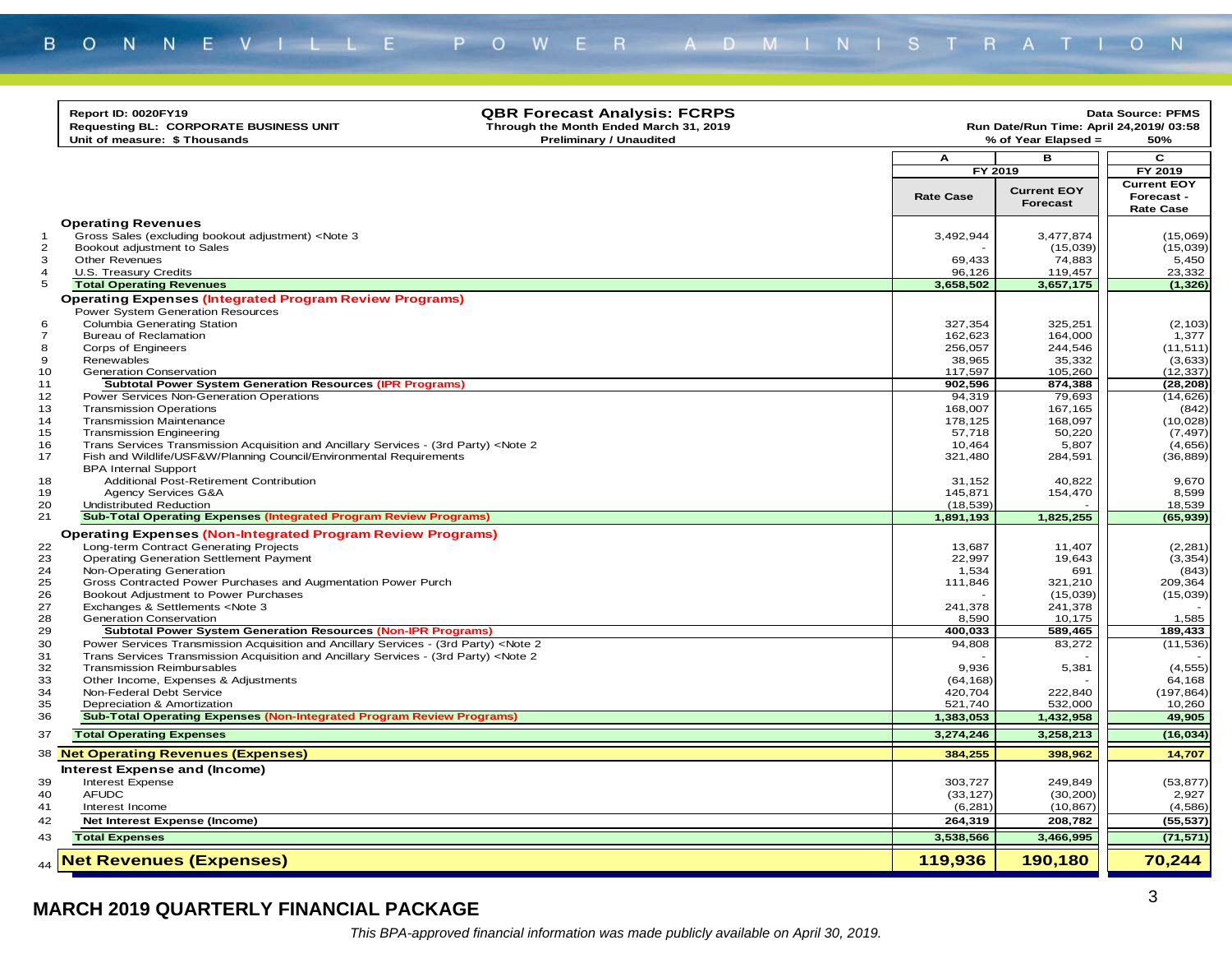|                     | <b>QBR Forecast Analysis: FCRPS</b><br>Report ID: 0020FY19<br>Requesting BL: CORPORATE BUSINESS UNIT<br>Through the Month Ended March 31, 2019<br>Unit of measure: \$ Thousands<br><b>Preliminary / Unaudited</b> |                       | Run Date/Run Time: April 24,2019/ 03:58<br>% of Year Elapsed = | Data Source: PFMS<br>50%                             |
|---------------------|-------------------------------------------------------------------------------------------------------------------------------------------------------------------------------------------------------------------|-----------------------|----------------------------------------------------------------|------------------------------------------------------|
|                     |                                                                                                                                                                                                                   |                       |                                                                | C                                                    |
|                     |                                                                                                                                                                                                                   | А<br>FY 2019          | в                                                              | FY 2019                                              |
|                     |                                                                                                                                                                                                                   | <b>Rate Case</b>      | <b>Current EOY</b><br><b>Forecast</b>                          | <b>Current EOY</b><br>Forecast -<br><b>Rate Case</b> |
|                     | <b>Operating Revenues</b>                                                                                                                                                                                         |                       |                                                                |                                                      |
| -1                  | Gross Sales (excluding bookout adjustment) <note 3<="" td=""><td>3,492,944</td><td>3,477,874</td><td>(15,069)</td></note>                                                                                         | 3,492,944             | 3,477,874                                                      | (15,069)                                             |
| $\overline{2}$      | Bookout adjustment to Sales                                                                                                                                                                                       |                       | (15,039)                                                       | (15,039)                                             |
| 3<br>$\overline{4}$ | <b>Other Revenues</b><br>U.S. Treasury Credits                                                                                                                                                                    | 69,433<br>96.126      | 74,883<br>119.457                                              | 5,450<br>23,332                                      |
| 5                   | <b>Total Operating Revenues</b>                                                                                                                                                                                   | 3,658,502             | 3,657,175                                                      | (1, 326)                                             |
|                     | <b>Operating Expenses (Integrated Program Review Programs)</b>                                                                                                                                                    |                       |                                                                |                                                      |
|                     | Power System Generation Resources                                                                                                                                                                                 |                       |                                                                |                                                      |
| 6                   | <b>Columbia Generating Station</b>                                                                                                                                                                                | 327,354               | 325,251                                                        | (2, 103)                                             |
| $\overline{7}$      | <b>Bureau of Reclamation</b>                                                                                                                                                                                      | 162,623               | 164,000                                                        | 1,377                                                |
| 8                   | Corps of Engineers                                                                                                                                                                                                | 256,057               | 244,546                                                        | (11, 511)                                            |
| 9                   | Renewables                                                                                                                                                                                                        | 38,965                | 35,332                                                         | (3,633)                                              |
| 10                  | Generation Conservation                                                                                                                                                                                           | 117,597               | 105,260                                                        | (12, 337)                                            |
| 11                  | <b>Subtotal Power System Generation Resources (IPR Programs)</b>                                                                                                                                                  | 902,596               | 874,388                                                        | (28, 208)                                            |
| 12                  | Power Services Non-Generation Operations                                                                                                                                                                          | 94,319                | 79,693                                                         | (14, 626)                                            |
| 13                  | <b>Transmission Operations</b>                                                                                                                                                                                    | 168,007               | 167,165                                                        | (842)                                                |
| 14                  | <b>Transmission Maintenance</b>                                                                                                                                                                                   | 178,125               | 168,097                                                        | (10, 028)                                            |
| 15                  | <b>Transmission Engineering</b>                                                                                                                                                                                   | 57,718                | 50,220                                                         | (7, 497)                                             |
| 16<br>17            | Trans Services Transmission Acquisition and Ancillary Services - (3rd Party) <note 2<br="">Fish and Wildlife/USF&amp;W/Planning Council/Environmental Requirements</note>                                         | 10,464<br>321,480     | 5,807<br>284,591                                               | (4,656)<br>(36, 889)                                 |
|                     | <b>BPA Internal Support</b>                                                                                                                                                                                       |                       |                                                                |                                                      |
| 18                  | Additional Post-Retirement Contribution                                                                                                                                                                           | 31,152                | 40,822                                                         | 9.670                                                |
| 19                  | Agency Services G&A                                                                                                                                                                                               | 145,871               | 154,470                                                        | 8,599                                                |
| 20                  | <b>Undistributed Reduction</b>                                                                                                                                                                                    | (18, 539)             |                                                                | 18,539                                               |
| 21                  | <b>Sub-Total Operating Expenses (Integrated Program Review Programs)</b>                                                                                                                                          | 1,891,193             | 1,825,255                                                      | (65, 939)                                            |
|                     | <b>Operating Expenses (Non-Integrated Program Review Programs)</b>                                                                                                                                                |                       |                                                                |                                                      |
| 22                  | Long-term Contract Generating Projects                                                                                                                                                                            | 13,687                | 11,407                                                         | (2, 281)                                             |
| 23                  | <b>Operating Generation Settlement Payment</b>                                                                                                                                                                    | 22,997                | 19,643                                                         | (3, 354)                                             |
| 24                  | Non-Operating Generation                                                                                                                                                                                          | 1,534                 | 691                                                            | (843)                                                |
| 25                  | Gross Contracted Power Purchases and Augmentation Power Purch                                                                                                                                                     | 111,846               | 321,210                                                        | 209,364                                              |
| 26                  | Bookout Adjustment to Power Purchases                                                                                                                                                                             |                       | (15,039)                                                       | (15,039)                                             |
| 27                  | Exchanges & Settlements <note 3<="" td=""><td>241,378</td><td>241,378</td><td></td></note>                                                                                                                        | 241,378               | 241,378                                                        |                                                      |
| 28                  | <b>Generation Conservation</b>                                                                                                                                                                                    | 8,590                 | 10,175                                                         | 1,585                                                |
| 29                  | <b>Subtotal Power System Generation Resources (Non-IPR Programs)</b>                                                                                                                                              | 400,033               | 589,465                                                        | 189,433                                              |
| 30                  | Power Services Transmission Acquisition and Ancillary Services - (3rd Party) <note 2<="" td=""><td>94,808</td><td>83,272</td><td>(11, 536)</td></note>                                                            | 94,808                | 83,272                                                         | (11, 536)                                            |
| 31                  | Trans Services Transmission Acquisition and Ancillary Services - (3rd Party) <note 2<="" td=""><td></td><td></td><td></td></note>                                                                                 |                       |                                                                |                                                      |
| 32<br>33            | <b>Transmission Reimbursables</b>                                                                                                                                                                                 | 9.936                 | 5,381                                                          | (4, 555)<br>64,168                                   |
| 34                  | Other Income, Expenses & Adjustments<br>Non-Federal Debt Service                                                                                                                                                  | (64, 168)<br>420,704  | 222,840                                                        | (197, 864)                                           |
| 35                  | Depreciation & Amortization                                                                                                                                                                                       | 521,740               | 532,000                                                        | 10,260                                               |
| 36                  | <b>Sub-Total Operating Expenses (Non-Integrated Program Review Programs)</b>                                                                                                                                      | 1,383,053             | 1,432,958                                                      | 49,905                                               |
| 37                  | <b>Total Operating Expenses</b>                                                                                                                                                                                   | 3,274,246             | 3,258,213                                                      | (16, 034)                                            |
|                     |                                                                                                                                                                                                                   |                       |                                                                |                                                      |
|                     | 38 Net Operating Revenues (Expenses)                                                                                                                                                                              | 384,255               | 398,962                                                        | 14,707                                               |
|                     | Interest Expense and (Income)                                                                                                                                                                                     |                       |                                                                |                                                      |
| 39                  | <b>Interest Expense</b>                                                                                                                                                                                           | 303,727               | 249,849                                                        | (53, 877)                                            |
| 40<br>41            | <b>AFUDC</b>                                                                                                                                                                                                      | (33, 127)<br>(6, 281) | (30, 200)<br>(10, 867)                                         | 2,927<br>(4,586)                                     |
|                     | Interest Income                                                                                                                                                                                                   |                       |                                                                |                                                      |
| 42                  | Net Interest Expense (Income)                                                                                                                                                                                     | 264,319               | 208,782                                                        | (55, 537)                                            |
| 43                  | <b>Total Expenses</b>                                                                                                                                                                                             | 3,538,566             | 3,466,995                                                      | (71, 571)                                            |
| 44                  | <b>Net Revenues (Expenses)</b>                                                                                                                                                                                    | 119,936               | 190,180                                                        | 70,244                                               |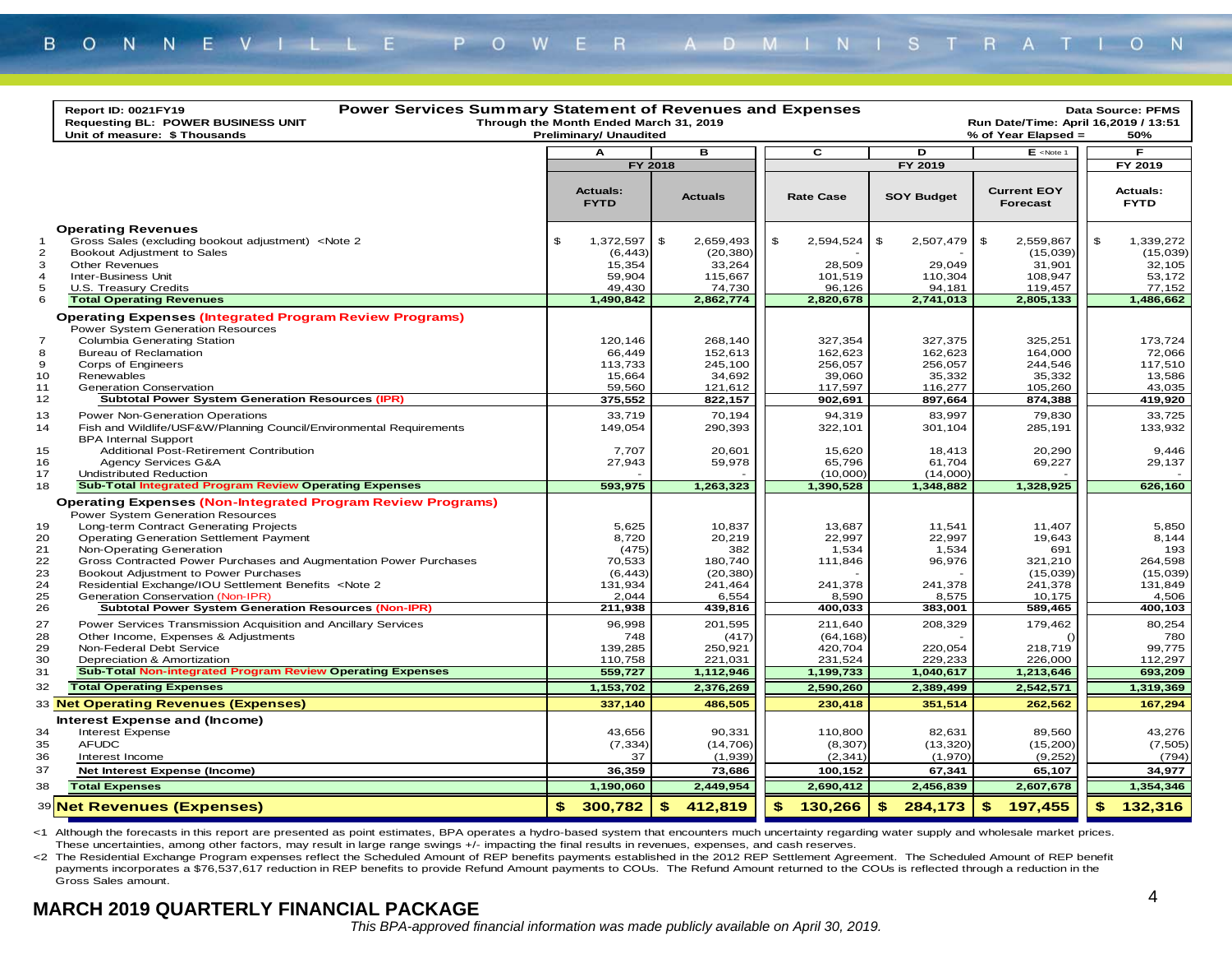| <b>Power Services Summary Statement of Revenues and Expenses</b><br>Report ID: 0021FY19<br>Through the Month Ended March 31, 2019<br><b>Requesting BL: POWER BUSINESS UNIT</b><br>Run Date/Time: April 16,2019 / 13:51<br><b>Preliminary/ Unaudited</b><br>Unit of measure: \$ Thousands<br>% of Year Elapsed = |                                                                                                                                                                                                                                                                                                      |    |                                                                  |         |                                                                    |    |                                                               |    |                                                               |                                                                          | Data Source: PFMS<br>50% |                                                                  |
|-----------------------------------------------------------------------------------------------------------------------------------------------------------------------------------------------------------------------------------------------------------------------------------------------------------------|------------------------------------------------------------------------------------------------------------------------------------------------------------------------------------------------------------------------------------------------------------------------------------------------------|----|------------------------------------------------------------------|---------|--------------------------------------------------------------------|----|---------------------------------------------------------------|----|---------------------------------------------------------------|--------------------------------------------------------------------------|--------------------------|------------------------------------------------------------------|
|                                                                                                                                                                                                                                                                                                                 |                                                                                                                                                                                                                                                                                                      |    | A                                                                |         | в                                                                  |    | $\overline{c}$                                                |    | D                                                             | $E$ <note 1<="" td=""><td></td><td>F</td></note>                         |                          | F                                                                |
|                                                                                                                                                                                                                                                                                                                 |                                                                                                                                                                                                                                                                                                      |    |                                                                  | FY 2018 |                                                                    |    |                                                               |    | FY 2019                                                       |                                                                          |                          | FY 2019                                                          |
|                                                                                                                                                                                                                                                                                                                 |                                                                                                                                                                                                                                                                                                      |    | <b>Actuals:</b><br><b>FYTD</b>                                   |         | <b>Actuals</b>                                                     |    | <b>Rate Case</b>                                              |    | <b>SOY Budget</b>                                             | <b>Current EOY</b><br><b>Forecast</b>                                    |                          | <b>Actuals:</b><br><b>FYTD</b>                                   |
| 1<br>$\overline{c}$<br>3<br>$\overline{4}$<br>5<br>6                                                                                                                                                                                                                                                            | <b>Operating Revenues</b><br>Gross Sales (excluding bookout adjustment) <note 2<br="">Bookout Adjustment to Sales<br/><b>Other Revenues</b><br/><b>Inter-Business Unit</b><br/>U.S. Treasury Credits<br/><b>Total Operating Revenues</b></note>                                                      | \$ | 1,372,597<br>(6, 443)<br>15,354<br>59,904<br>49,430<br>1,490,842 | \$      | 2,659,493<br>(20, 380)<br>33,264<br>115,667<br>74,730<br>2,862,774 | \$ | 2,594,524<br>28,509<br>101,519<br>96,126<br>2,820,678         | \$ | 2,507,479<br>29,049<br>110,304<br>94,181<br>2,741,013         | \$<br>2,559,867<br>(15,039)<br>31,901<br>108,947<br>119,457<br>2,805,133 | $\mathfrak s$            | 1,339,272<br>(15,039)<br>32,105<br>53,172<br>77,152<br>1,486,662 |
| $\overline{7}$<br>8<br>9<br>10<br>11<br>12                                                                                                                                                                                                                                                                      | <b>Operating Expenses (Integrated Program Review Programs)</b><br>Power System Generation Resources<br>Columbia Generating Station<br><b>Bureau of Reclamation</b><br>Corps of Engineers<br>Renewables<br><b>Generation Conservation</b><br><b>Subtotal Power System Generation Resources (IPR)</b>  |    | 120,146<br>66,449<br>113,733<br>15,664<br>59,560<br>375,552      |         | 268,140<br>152,613<br>245,100<br>34,692<br>121,612<br>822,157      |    | 327,354<br>162,623<br>256,057<br>39,060<br>117,597<br>902,691 |    | 327,375<br>162,623<br>256,057<br>35,332<br>116,277<br>897,664 | 325,251<br>164,000<br>244,546<br>35,332<br>105,260<br>874,388            |                          | 173,724<br>72,066<br>117,510<br>13,586<br>43,035<br>419,920      |
| 13<br>14<br>15<br>16<br>17                                                                                                                                                                                                                                                                                      | Power Non-Generation Operations<br>Fish and Wildlife/USF&W/Planning Council/Environmental Requirements<br><b>BPA Internal Support</b><br>Additional Post-Retirement Contribution<br>Agency Services G&A<br>Undistributed Reduction                                                                   |    | 33,719<br>149,054<br>7,707<br>27,943                             |         | 70,194<br>290,393<br>20,601<br>59,978                              |    | 94,319<br>322,101<br>15,620<br>65,796<br>(10,000)             |    | 83,997<br>301,104<br>18,413<br>61,704<br>(14,000)             | 79,830<br>285,191<br>20,290<br>69,227                                    |                          | 33,725<br>133,932<br>9,446<br>29,137                             |
| 18                                                                                                                                                                                                                                                                                                              | <b>Sub-Total Integrated Program Review Operating Expenses</b>                                                                                                                                                                                                                                        |    | 593,975                                                          |         | 1,263,323                                                          |    | 1,390,528                                                     |    | 1,348,882                                                     | 1,328,925                                                                |                          | 626,160                                                          |
| 19<br>20<br>21<br>22                                                                                                                                                                                                                                                                                            | <b>Operating Expenses (Non-Integrated Program Review Programs)</b><br>Power System Generation Resources<br>Long-term Contract Generating Projects<br><b>Operating Generation Settlement Payment</b><br>Non-Operating Generation<br>Gross Contracted Power Purchases and Augmentation Power Purchases |    | 5,625<br>8,720<br>(475)<br>70,533                                |         | 10,837<br>20,219<br>382<br>180,740                                 |    | 13,687<br>22,997<br>1,534<br>111,846                          |    | 11,541<br>22,997<br>1,534<br>96,976                           | 11,407<br>19,643<br>691<br>321,210                                       |                          | 5,850<br>8,144<br>193<br>264,598                                 |
| 23<br>24<br>25<br>26                                                                                                                                                                                                                                                                                            | Bookout Adjustment to Power Purchases<br>Residential Exchange/IOU Settlement Benefits <note 2<br="">Generation Conservation (Non-IPR)<br/>Subtotal Power System Generation Resources (Non-IPR)</note>                                                                                                |    | (6, 443)<br>131,934<br>2,044<br>211,938                          |         | (20, 380)<br>241,464<br>6,554<br>439,816                           |    | 241,378<br>8,590<br>400,033                                   |    | 241,378<br>8,575<br>383,001                                   | (15,039)<br>241,378<br>10,175<br>589,465                                 |                          | (15,039)<br>131,849<br>4,506<br>400,103                          |
| 27<br>28<br>29<br>30<br>31                                                                                                                                                                                                                                                                                      | Power Services Transmission Acquisition and Ancillary Services<br>Other Income, Expenses & Adjustments<br>Non-Federal Debt Service<br>Depreciation & Amortization<br><b>Sub-Total Non-integrated Program Review Operating Expenses</b>                                                               |    | 96,998<br>748<br>139,285<br>110,758<br>559,727                   |         | 201,595<br>(417)<br>250,921<br>221,031<br>1,112,946                |    | 211,640<br>(64, 168)<br>420,704<br>231,524<br>1,199,733       |    | 208,329<br>220,054<br>229,233<br>1,040,617                    | 179,462<br>218,719<br>226,000<br>1,213,646                               |                          | 80,254<br>780<br>99,775<br>112,297<br>693,209                    |
| 32                                                                                                                                                                                                                                                                                                              | <b>Total Operating Expenses</b>                                                                                                                                                                                                                                                                      |    | 1,153,702                                                        |         | 2,376,269                                                          |    | 2,590,260                                                     |    | 2,389,499                                                     | 2,542,571                                                                |                          | 1,319,369                                                        |
|                                                                                                                                                                                                                                                                                                                 | 33 Net Operating Revenues (Expenses)                                                                                                                                                                                                                                                                 |    | 337,140                                                          |         | 486,505                                                            |    | 230,418                                                       |    | 351,514                                                       | 262,562                                                                  |                          | 167,294                                                          |
| 34<br>35<br>36<br>37                                                                                                                                                                                                                                                                                            | Interest Expense and (Income)<br>Interest Expense<br><b>AFUDC</b><br>Interest Income<br>Net Interest Expense (Income)                                                                                                                                                                                |    | 43,656<br>(7, 334)<br>37<br>36,359                               |         | 90,331<br>(14, 706)<br>(1,939)<br>73,686                           |    | 110,800<br>(8, 307)<br>(2, 341)<br>100,152                    |    | 82,631<br>(13, 320)<br>(1,970)<br>67,341                      | 89,560<br>(15, 200)<br>(9,252)<br>65,107                                 |                          | 43,276<br>(7, 505)<br>(794)<br>34,977                            |
| 38                                                                                                                                                                                                                                                                                                              | <b>Total Expenses</b>                                                                                                                                                                                                                                                                                |    |                                                                  |         |                                                                    |    |                                                               |    |                                                               |                                                                          |                          |                                                                  |
|                                                                                                                                                                                                                                                                                                                 |                                                                                                                                                                                                                                                                                                      |    | 1,190,060                                                        |         | 2,449,954                                                          |    | 2,690,412                                                     |    | 2,456,839                                                     | 2,607,678                                                                |                          | 1,354,346                                                        |
|                                                                                                                                                                                                                                                                                                                 | 39 Net Revenues (Expenses)                                                                                                                                                                                                                                                                           | \$ | 300,782                                                          | \$      | 412,819                                                            |    | \$<br>130,266                                                 | \$ | 284,173                                                       | 197,455<br>-\$                                                           | \$                       | 132,316                                                          |

<1 Although the forecasts in this report are presented as point estimates, BPA operates a hydro-based system that encounters much uncertainty regarding water supply and wholesale market prices. These uncertainties, among other factors, may result in large range swings +/- impacting the final results in revenues, expenses, and cash reserves.

<2 The Residential Exchange Program expenses reflect the Scheduled Amount of REP benefits payments established in the 2012 REP Settlement Agreement. The Scheduled Amount of REP benefit payments incorporates a \$76,537,617 reduction in REP benefits to provide Refund Amount payments to COUs. The Refund Amount returned to the COUs is reflected through a reduction in the Gross Sales amount.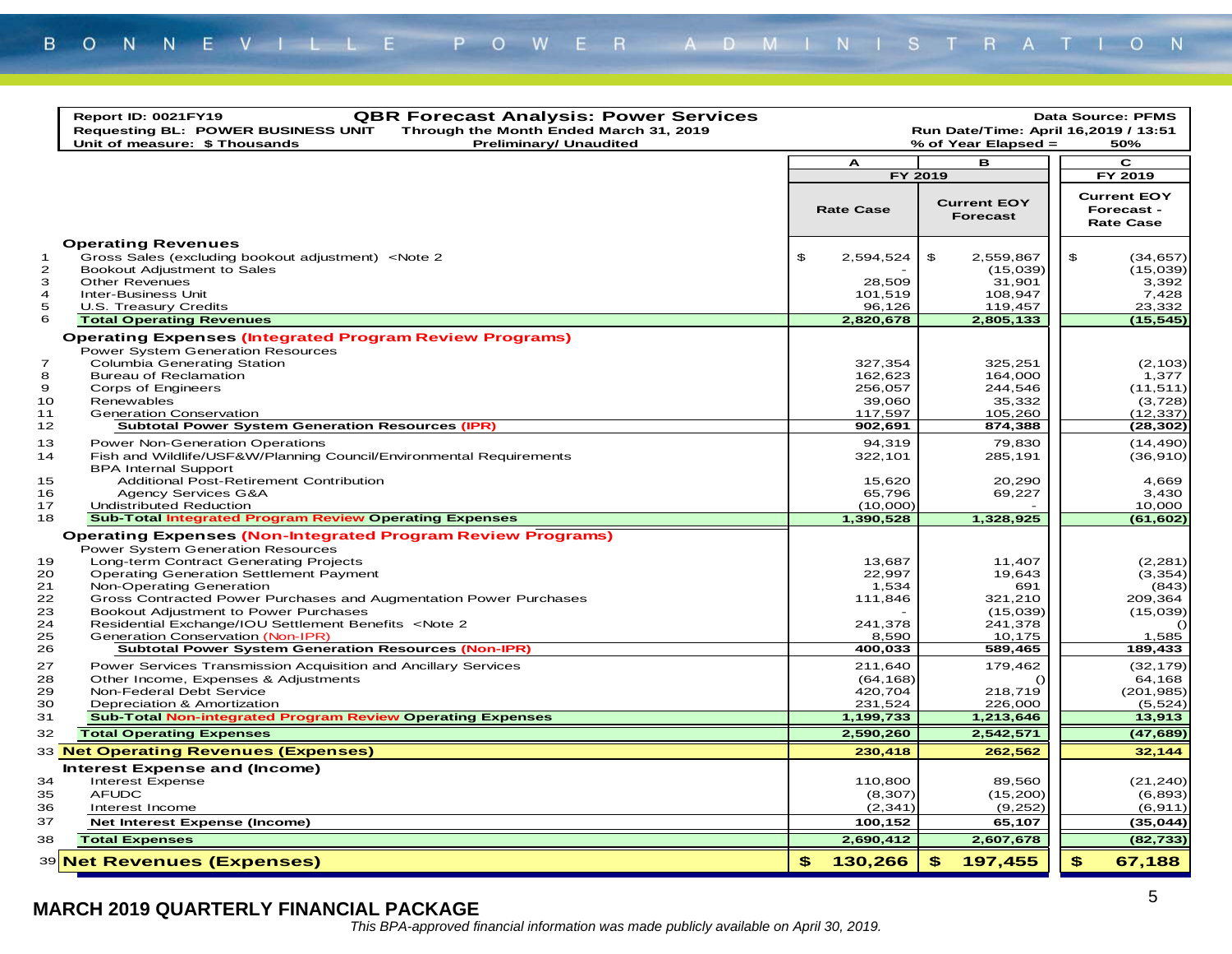|                                                 | <b>QBR Forecast Analysis: Power Services</b><br>Report ID: 0021FY19<br><b>Requesting BL: POWER BUSINESS UNIT</b><br>Through the Month Ended March 31, 2019<br>Unit of measure: \$ Thousands<br><b>Preliminary/ Unaudited</b>                                                                                                                                                                                                                                                                                                |                                                                      | Run Date/Time: April 16,2019 / 13:51<br>% of Year Elapsed =                    | <b>Data Source: PFMS</b><br>50%                                                      |
|-------------------------------------------------|-----------------------------------------------------------------------------------------------------------------------------------------------------------------------------------------------------------------------------------------------------------------------------------------------------------------------------------------------------------------------------------------------------------------------------------------------------------------------------------------------------------------------------|----------------------------------------------------------------------|--------------------------------------------------------------------------------|--------------------------------------------------------------------------------------|
|                                                 |                                                                                                                                                                                                                                                                                                                                                                                                                                                                                                                             | A                                                                    | в                                                                              | C                                                                                    |
|                                                 |                                                                                                                                                                                                                                                                                                                                                                                                                                                                                                                             |                                                                      | FY 2019                                                                        | FY 2019                                                                              |
|                                                 |                                                                                                                                                                                                                                                                                                                                                                                                                                                                                                                             | <b>Rate Case</b>                                                     | <b>Current EOY</b><br>Forecast                                                 | <b>Current EOY</b><br>Forecast -<br><b>Rate Case</b>                                 |
| $\mathbf 1$<br>$\mathbf{z}$<br>3<br>4<br>5<br>6 | <b>Operating Revenues</b><br>Gross Sales (excluding bookout adjustment) <note 2<br="">Bookout Adjustment to Sales<br/><b>Other Revenues</b><br/><b>Inter-Business Unit</b><br/>U.S. Treasury Credits<br/><b>Total Operating Revenues</b></note>                                                                                                                                                                                                                                                                             | \$<br>2,594,524<br>28,509<br>101,519<br>96,126<br>2,820,678          | \$<br>2,559,867<br>(15,039)<br>31,901<br>108,947<br>119,457<br>2,805,133       | \$<br>(34, 657)<br>(15,039)<br>3,392<br>7,428<br>23,332<br>(15, 545)                 |
| $\overline{7}$<br>8<br>9<br>10<br>11<br>12      | <b>Operating Expenses (Integrated Program Review Programs)</b><br><b>Power System Generation Resources</b><br><b>Columbia Generating Station</b><br><b>Bureau of Reclamation</b><br>Corps of Engineers<br>Renewables<br><b>Generation Conservation</b><br><b>Subtotal Power System Generation Resources (IPR)</b>                                                                                                                                                                                                           | 327,354<br>162,623<br>256,057<br>39,060<br>117,597<br>902,691        | 325,251<br>164,000<br>244,546<br>35,332<br>105,260<br>874,388                  | (2, 103)<br>1,377<br>(11, 511)<br>(3,728)<br>(12, 337)<br>(28,302)                   |
| 13<br>14<br>15<br>16<br>17                      | Power Non-Generation Operations<br>Fish and Wildlife/USF&W/Planning Council/Environmental Requirements<br><b>BPA Internal Support</b><br>Additional Post-Retirement Contribution<br>Agency Services G&A<br><b>Undistributed Reduction</b>                                                                                                                                                                                                                                                                                   | 94,319<br>322,101<br>15.620<br>65.796<br>(10,000)                    | 79,830<br>285,191<br>20,290<br>69,227                                          | (14, 490)<br>(36, 910)<br>4,669<br>3,430<br>10,000                                   |
| 18                                              | <b>Sub-Total Integrated Program Review Operating Expenses</b>                                                                                                                                                                                                                                                                                                                                                                                                                                                               | 1,390,528                                                            | 1,328,925                                                                      | (61, 602)                                                                            |
| 19<br>20<br>21<br>22<br>23<br>24<br>25<br>26    | <b>Operating Expenses (Non-Integrated Program Review Programs)</b><br><b>Power System Generation Resources</b><br>Long-term Contract Generating Projects<br><b>Operating Generation Settlement Payment</b><br>Non-Operating Generation<br>Gross Contracted Power Purchases and Augmentation Power Purchases<br>Bookout Adjustment to Power Purchases<br>Residential Exchange/IOU Settlement Benefits <note 2<br="">Generation Conservation (Non-IPR)<br/><b>Subtotal Power System Generation Resources (Non-IPR)</b></note> | 13,687<br>22,997<br>1,534<br>111,846<br>241,378<br>8,590<br>400,033  | 11,407<br>19,643<br>691<br>321,210<br>(15,039)<br>241,378<br>10,175<br>589,465 | (2, 281)<br>(3, 354)<br>(843)<br>209,364<br>(15,039)<br>$\Omega$<br>1,585<br>189,433 |
| 27<br>28<br>29<br>30<br>31<br>32                | Power Services Transmission Acquisition and Ancillary Services<br>Other Income, Expenses & Adjustments<br>Non-Federal Debt Service<br>Depreciation & Amortization<br><b>Sub-Total Non-integrated Program Review Operating Expenses</b><br><b>Total Operating Expenses</b>                                                                                                                                                                                                                                                   | 211,640<br>(64, 168)<br>420,704<br>231,524<br>1,199,733<br>2,590,260 | 179,462<br>218,719<br>226,000<br>1,213,646<br>2,542,571                        | (32, 179)<br>64,168<br>(201, 985)<br>(5, 524)<br>13,913<br>(47,689)                  |
|                                                 | 33 Net Operating Revenues (Expenses)                                                                                                                                                                                                                                                                                                                                                                                                                                                                                        | 230,418                                                              | 262,562                                                                        | 32,144                                                                               |
| 34<br>35<br>36<br>37<br>38                      | Interest Expense and (Income)<br><b>Interest Expense</b><br><b>AFUDC</b><br>Interest Income<br><b>Net Interest Expense (Income)</b><br><b>Total Expenses</b>                                                                                                                                                                                                                                                                                                                                                                | 110,800<br>(8, 307)<br>(2, 341)<br>100,152<br>2,690,412              | 89,560<br>(15, 200)<br>(9,252)<br>65,107<br>2,607,678                          | (21, 240)<br>(6, 893)<br>(6, 911)<br>(35, 044)<br>(82, 733)                          |
|                                                 |                                                                                                                                                                                                                                                                                                                                                                                                                                                                                                                             |                                                                      |                                                                                |                                                                                      |
|                                                 | 39 Net Revenues (Expenses)                                                                                                                                                                                                                                                                                                                                                                                                                                                                                                  | 130,266<br>\$.                                                       | 197,455<br>\$                                                                  | $\mathbf{s}$<br>67,188                                                               |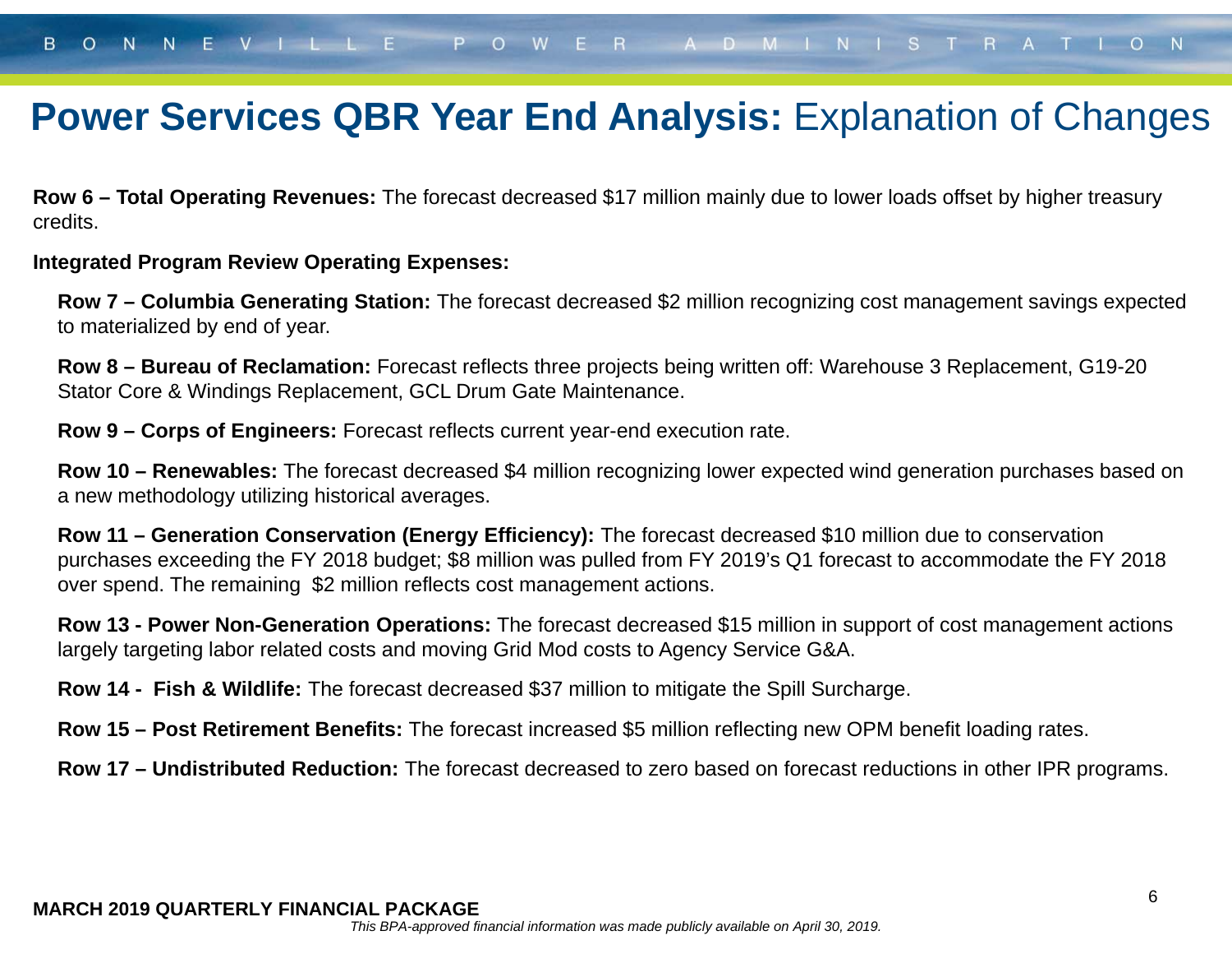### **Power Services QBR Year End Analysis: Explanation of Changes**

**Row 6 – Total Operating Revenues:** The forecast decreased \$17 million mainly due to lower loads offset by higher treasury credits.

#### **Integrated Program Review Operating Expenses:**

**Row 7 – Columbia Generating Station:** The forecast decreased \$2 million recognizing cost management savings expected to materialized by end of year.

**Row 8 – Bureau of Reclamation:** Forecast reflects three projects being written off: Warehouse 3 Replacement, G19-20 Stator Core & Windings Replacement, GCL Drum Gate Maintenance.

**Row 9 – Corps of Engineers:** Forecast reflects current year-end execution rate.

**Row 10 – Renewables:** The forecast decreased \$4 million recognizing lower expected wind generation purchases based on a new methodology utilizing historical averages.

**Row 11 – Generation Conservation (Energy Efficiency):** The forecast decreased \$10 million due to conservation purchases exceeding the FY 2018 budget; \$8 million was pulled from FY 2019's Q1 forecast to accommodate the FY 2018 over spend. The remaining \$2 million reflects cost management actions.

**Row 13 - Power Non-Generation Operations:** The forecast decreased \$15 million in support of cost management actions largely targeting labor related costs and moving Grid Mod costs to Agency Service G&A.

**Row 14 - Fish & Wildlife:** The forecast decreased \$37 million to mitigate the Spill Surcharge.

**Row 15 – Post Retirement Benefits:** The forecast increased \$5 million reflecting new OPM benefit loading rates.

**Row 17 – Undistributed Reduction:** The forecast decreased to zero based on forecast reductions in other IPR programs.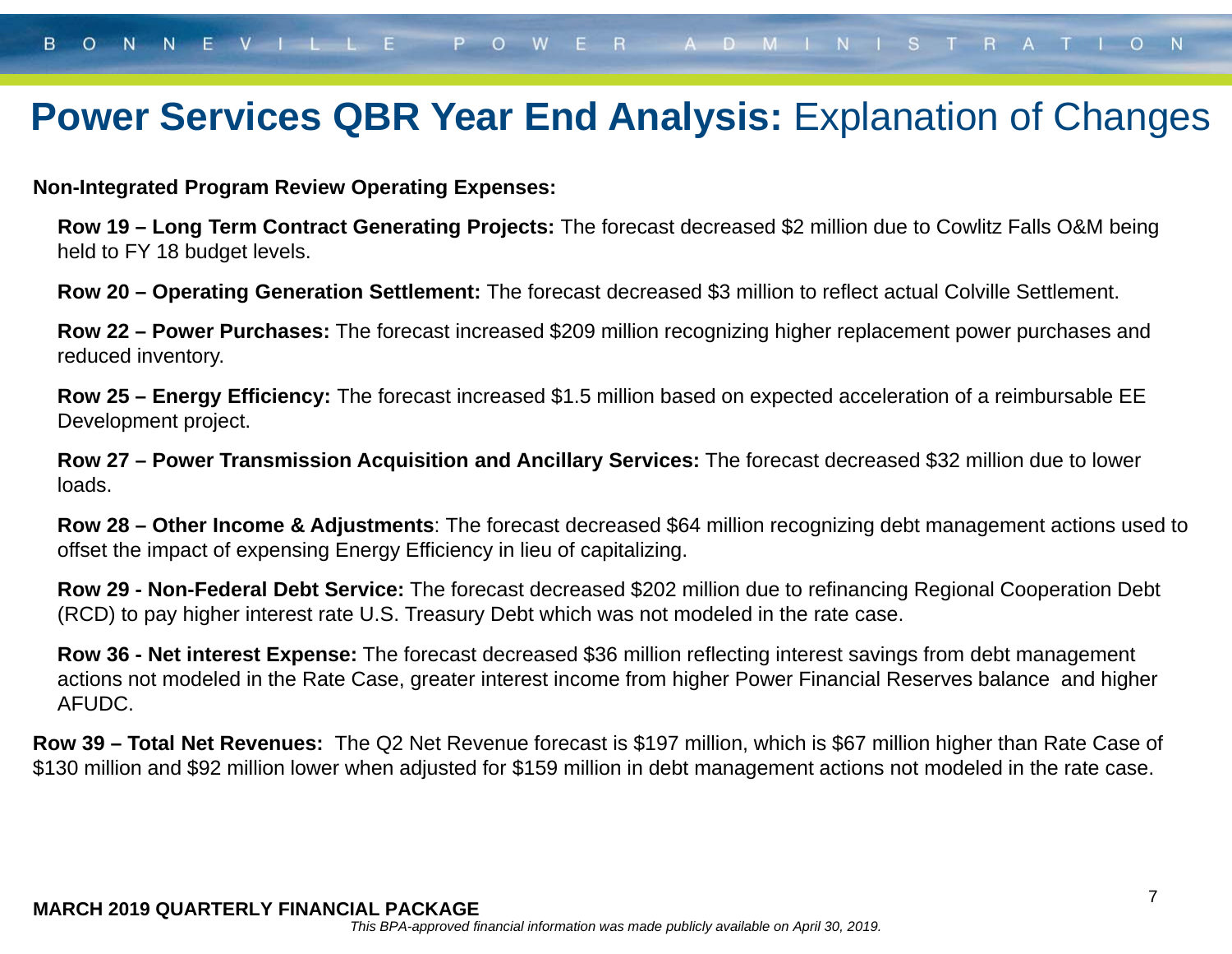### **Power Services QBR Year End Analysis: Explanation of Changes**

**Non-Integrated Program Review Operating Expenses:**

**Row 19 – Long Term Contract Generating Projects:** The forecast decreased \$2 million due to Cowlitz Falls O&M being held to FY 18 budget levels.

**Row 20 – Operating Generation Settlement:** The forecast decreased \$3 million to reflect actual Colville Settlement.

**Row 22 – Power Purchases:** The forecast increased \$209 million recognizing higher replacement power purchases and reduced inventory.

**Row 25 – Energy Efficiency:** The forecast increased \$1.5 million based on expected acceleration of a reimbursable EE Development project.

**Row 27 – Power Transmission Acquisition and Ancillary Services:** The forecast decreased \$32 million due to lower loads.

**Row 28 – Other Income & Adjustments**: The forecast decreased \$64 million recognizing debt management actions used to offset the impact of expensing Energy Efficiency in lieu of capitalizing.

**Row 29 - Non-Federal Debt Service:** The forecast decreased \$202 million due to refinancing Regional Cooperation Debt (RCD) to pay higher interest rate U.S. Treasury Debt which was not modeled in the rate case.

**Row 36 - Net interest Expense:** The forecast decreased \$36 million reflecting interest savings from debt management actions not modeled in the Rate Case, greater interest income from higher Power Financial Reserves balance and higher AFUDC.

**Row 39 – Total Net Revenues:** The Q2 Net Revenue forecast is \$197 million, which is \$67 million higher than Rate Case of \$130 million and \$92 million lower when adjusted for \$159 million in debt management actions not modeled in the rate case.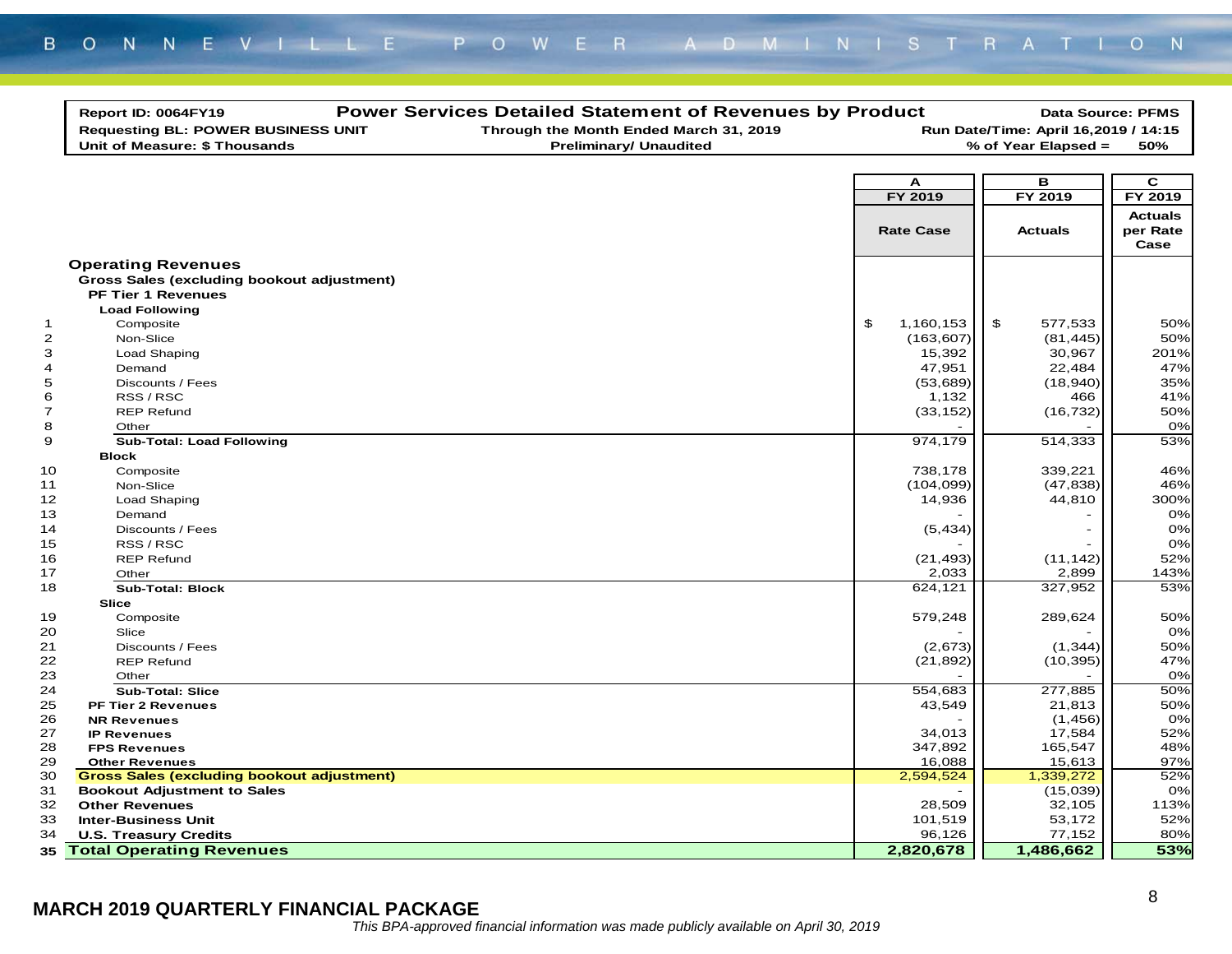|                | Report ID: 0064FY19<br><b>Requesting BL: POWER BUSINESS UNIT</b>        | <b>Power Services Detailed Statement of Revenues by Product</b><br>Through the Month Ended March 31, 2019 |                   | Run Date/Time: April 16,2019 / 14:15 | <b>Data Source: PFMS</b> |
|----------------|-------------------------------------------------------------------------|-----------------------------------------------------------------------------------------------------------|-------------------|--------------------------------------|--------------------------|
|                | Unit of Measure: \$ Thousands                                           | <b>Preliminary/ Unaudited</b>                                                                             |                   | % of Year Elapsed =                  | 50%                      |
|                |                                                                         |                                                                                                           |                   |                                      |                          |
|                |                                                                         |                                                                                                           | A                 | в                                    | C                        |
|                |                                                                         |                                                                                                           | FY 2019           | FY 2019                              | FY 2019                  |
|                |                                                                         |                                                                                                           |                   |                                      | <b>Actuals</b>           |
|                |                                                                         |                                                                                                           | <b>Rate Case</b>  | <b>Actuals</b>                       | per Rate                 |
|                |                                                                         |                                                                                                           |                   |                                      | Case                     |
|                |                                                                         |                                                                                                           |                   |                                      |                          |
|                | <b>Operating Revenues</b><br>Gross Sales (excluding bookout adjustment) |                                                                                                           |                   |                                      |                          |
|                | <b>PF Tier 1 Revenues</b>                                               |                                                                                                           |                   |                                      |                          |
|                | <b>Load Following</b>                                                   |                                                                                                           |                   |                                      |                          |
| $\mathbf{1}$   | Composite                                                               |                                                                                                           | \$<br>1,160,153   | \$<br>577,533                        | 50%                      |
| $\overline{c}$ | Non-Slice                                                               |                                                                                                           | (163, 607)        | (81, 445)                            | 50%                      |
| 3              | Load Shaping                                                            |                                                                                                           | 15,392            | 30,967                               | 201%                     |
| 4              | Demand                                                                  |                                                                                                           | 47,951            | 22,484                               | 47%                      |
| 5              | Discounts / Fees                                                        |                                                                                                           | (53,689)          | (18, 940)                            | 35%                      |
| 6              | RSS / RSC                                                               |                                                                                                           | 1,132             | 466                                  | 41%                      |
| $\overline{7}$ | <b>REP Refund</b>                                                       |                                                                                                           | (33, 152)         | (16, 732)                            | 50%                      |
| 8              | Other                                                                   |                                                                                                           |                   |                                      | 0%                       |
| 9              | <b>Sub-Total: Load Following</b>                                        |                                                                                                           | 974,179           | 514,333                              | 53%                      |
|                | <b>Block</b>                                                            |                                                                                                           |                   |                                      |                          |
| 10             | Composite                                                               |                                                                                                           | 738,178           | 339,221                              | 46%                      |
| 11             | Non-Slice                                                               |                                                                                                           | (104, 099)        | (47, 838)                            | 46%                      |
| 12             | Load Shaping                                                            |                                                                                                           | 14,936            | 44,810                               | 300%                     |
| 13             | Demand                                                                  |                                                                                                           |                   |                                      | 0%                       |
| 14             | Discounts / Fees                                                        |                                                                                                           | (5, 434)          |                                      | 0%                       |
| 15             | RSS / RSC                                                               |                                                                                                           |                   |                                      | 0%                       |
| 16             | <b>REP Refund</b>                                                       |                                                                                                           | (21, 493)         | (11, 142)                            | 52%                      |
| 17             | Other                                                                   |                                                                                                           | 2,033             | 2,899                                | 143%                     |
| 18             | <b>Sub-Total: Block</b>                                                 |                                                                                                           | 624,121           | 327,952                              | 53%                      |
|                | <b>Slice</b>                                                            |                                                                                                           |                   |                                      |                          |
| 19             | Composite                                                               |                                                                                                           | 579,248           | 289,624                              | 50%                      |
| 20             | Slice                                                                   |                                                                                                           |                   |                                      | 0%                       |
| 21             | Discounts / Fees                                                        |                                                                                                           | (2,673)           | (1, 344)                             | 50%                      |
| 22             | <b>REP Refund</b>                                                       |                                                                                                           | (21, 892)         | (10, 395)                            | 47%                      |
| 23             | Other                                                                   |                                                                                                           |                   |                                      | 0%                       |
| 24             | <b>Sub-Total: Slice</b>                                                 |                                                                                                           | 554,683           | 277,885                              | 50%                      |
| 25             | <b>PF Tier 2 Revenues</b>                                               |                                                                                                           | 43,549            | 21,813                               | 50%                      |
| 26             | <b>NR Revenues</b>                                                      |                                                                                                           |                   | (1, 456)                             | 0%                       |
| 27             | <b>IP Revenues</b>                                                      |                                                                                                           | 34,013            | 17,584                               | 52%                      |
| 28             | <b>FPS Revenues</b>                                                     |                                                                                                           | 347,892           | 165,547                              | 48%                      |
| 29             | <b>Other Revenues</b>                                                   |                                                                                                           | 16,088            | 15,613                               | 97%                      |
| 30             | <b>Gross Sales (excluding bookout adjustment)</b>                       |                                                                                                           | 2,594,524         | 1,339,272                            | 52%                      |
| 31<br>32       | <b>Bookout Adjustment to Sales</b>                                      |                                                                                                           |                   | (15,039)                             | 0%                       |
|                | <b>Other Revenues</b>                                                   |                                                                                                           | 28,509            | 32,105<br>53,172                     | 113%<br>52%              |
| 33<br>34       | <b>Inter-Business Unit</b><br><b>U.S. Treasury Credits</b>              |                                                                                                           | 101,519<br>96,126 | 77,152                               | 80%                      |
|                |                                                                         |                                                                                                           |                   |                                      |                          |
|                | <b>35 Total Operating Revenues</b>                                      |                                                                                                           | 2,820,678         | 1,486,662                            | 53%                      |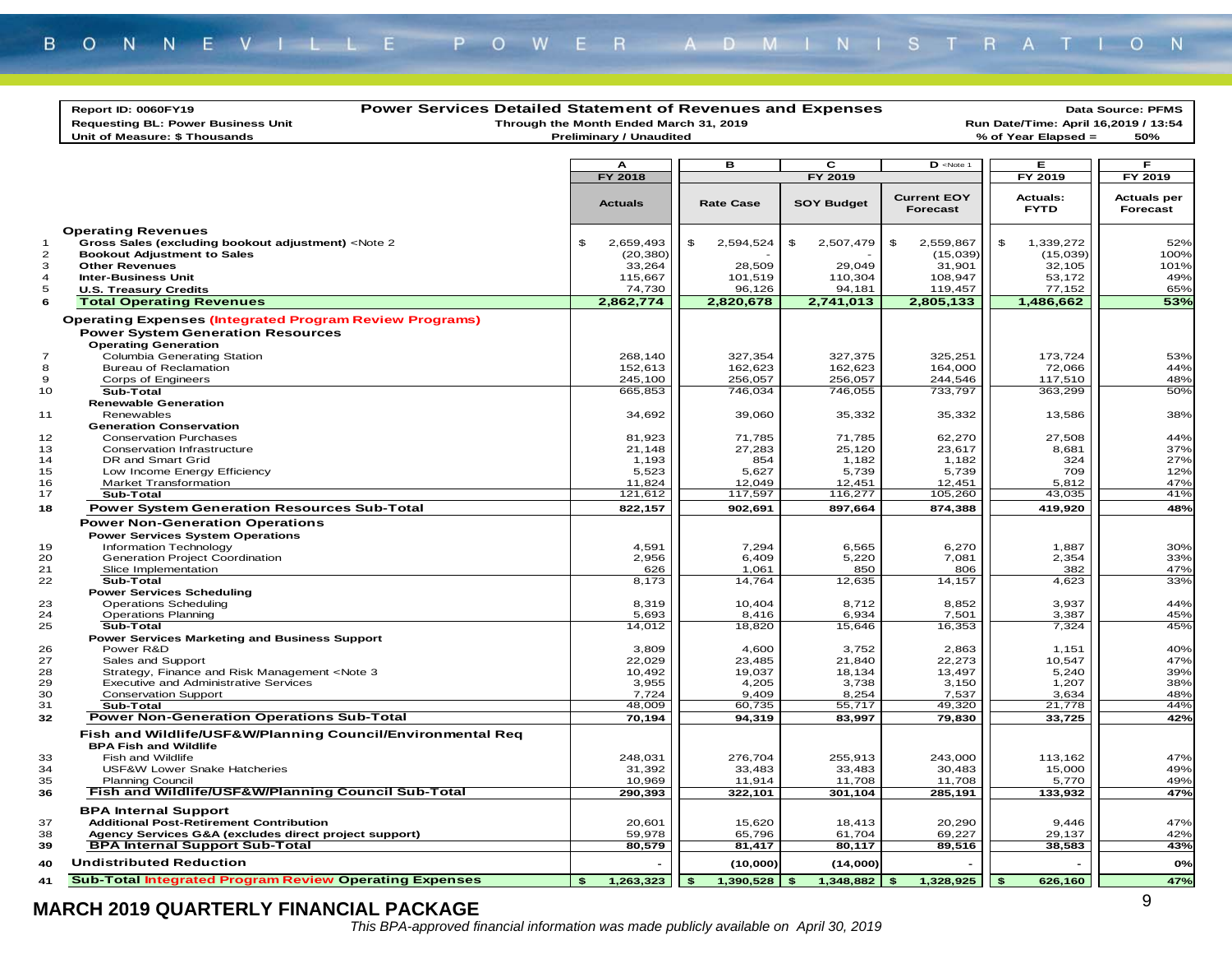|                | <b>Power Services Detailed Statement of Revenues and Expenses</b><br>Report ID: 0060FY19                                                                                                                              |              |                                        |                     |                     |                                                                                 |          |                                | Data Source: PFMS                    |
|----------------|-----------------------------------------------------------------------------------------------------------------------------------------------------------------------------------------------------------------------|--------------|----------------------------------------|---------------------|---------------------|---------------------------------------------------------------------------------|----------|--------------------------------|--------------------------------------|
|                | <b>Requesting BL: Power Business Unit</b>                                                                                                                                                                             |              | Through the Month Ended March 31, 2019 |                     |                     |                                                                                 |          |                                | Run Date/Time: April 16,2019 / 13:54 |
|                | Unit of Measure: \$ Thousands                                                                                                                                                                                         |              | <b>Preliminary / Unaudited</b>         |                     |                     |                                                                                 |          | % of Year Elapsed =            | 50%                                  |
|                |                                                                                                                                                                                                                       |              |                                        |                     |                     |                                                                                 |          |                                |                                      |
|                |                                                                                                                                                                                                                       |              | А                                      | в                   | c                   | $\overline{\mathbf{D}}$ <note 1<="" td=""><td></td><td>Е</td><td>F.</td></note> |          | Е                              | F.                                   |
|                |                                                                                                                                                                                                                       |              | <b>FY 2018</b>                         |                     | FY 2019             |                                                                                 |          | FY 2019                        | FY 2019                              |
|                |                                                                                                                                                                                                                       |              | <b>Actuals</b>                         | <b>Rate Case</b>    | <b>SOY Budget</b>   | <b>Current EOY</b><br><b>Forecast</b>                                           |          | <b>Actuals:</b><br><b>FYTD</b> | <b>Actuals per</b><br>Forecast       |
|                | <b>Operating Revenues</b>                                                                                                                                                                                             |              |                                        |                     |                     |                                                                                 |          |                                |                                      |
| $\mathbf 1$    | Gross Sales (excluding bookout adjustment) <note 2<="" td=""><td>\$</td><td>2,659,493</td><td>\$<br/>2,594,524</td><td>\$<br/>2,507,479</td><td>\$<br/>2,559,867</td><td>\$</td><td>1,339,272</td><td>52%</td></note> | \$           | 2,659,493                              | \$<br>2,594,524     | \$<br>2,507,479     | \$<br>2,559,867                                                                 | \$       | 1,339,272                      | 52%                                  |
| $\overline{2}$ | <b>Bookout Adjustment to Sales</b>                                                                                                                                                                                    |              | (20, 380)                              |                     |                     | (15,039)                                                                        |          | (15,039)                       | 100%                                 |
| 3              | <b>Other Revenues</b>                                                                                                                                                                                                 |              | 33,264                                 | 28,509              | 29,049              | 31,901                                                                          |          | 32,105                         | 101%                                 |
| 4              | <b>Inter-Business Unit</b>                                                                                                                                                                                            |              | 115,667                                | 101,519             | 110,304             | 108,947                                                                         |          | 53,172                         | 49%                                  |
| 5<br>6         | <b>U.S. Treasury Credits</b>                                                                                                                                                                                          |              | 74,730<br>2,862,774                    | 96,126<br>2,820,678 | 94,181<br>2,741,013 | 119,457<br>2,805,133                                                            |          | 77,152<br>1,486,662            | 65%<br>53%                           |
|                | <b>Total Operating Revenues</b>                                                                                                                                                                                       |              |                                        |                     |                     |                                                                                 |          |                                |                                      |
|                | <b>Operating Expenses (Integrated Program Review Programs)</b><br><b>Power System Generation Resources</b><br><b>Operating Generation</b>                                                                             |              |                                        |                     |                     |                                                                                 |          |                                |                                      |
| $\overline{7}$ | Columbia Generating Station                                                                                                                                                                                           |              | 268,140                                | 327,354             | 327,375             | 325,251                                                                         |          | 173,724                        | 53%                                  |
| 8              | <b>Bureau of Reclamation</b>                                                                                                                                                                                          |              | 152,613                                | 162,623             | 162,623             | 164,000                                                                         |          | 72,066                         | 44%                                  |
| 9              | Corps of Engineers                                                                                                                                                                                                    |              | 245,100                                | 256,057             | 256,057             | 244,546                                                                         |          | 117,510                        | 48%                                  |
| 10             | Sub-Total                                                                                                                                                                                                             |              | 665,853                                | 746,034             | 746,055             | 733,797                                                                         |          | 363,299                        | 50%                                  |
|                | <b>Renewable Generation</b>                                                                                                                                                                                           |              |                                        |                     |                     |                                                                                 |          |                                |                                      |
| 11             | Renewables<br><b>Generation Conservation</b>                                                                                                                                                                          |              | 34,692                                 | 39,060              | 35,332              | 35,332                                                                          |          | 13,586                         | 38%                                  |
| 12             | <b>Conservation Purchases</b>                                                                                                                                                                                         |              | 81,923                                 | 71,785              | 71,785              | 62,270                                                                          |          | 27,508                         | 44%                                  |
| 13             | Conservation Infrastructure                                                                                                                                                                                           |              | 21,148                                 | 27,283              | 25,120              | 23,617                                                                          |          | 8,681                          | 37%                                  |
| 14             | DR and Smart Grid                                                                                                                                                                                                     |              | 1,193                                  | 854                 | 1,182               | 1,182                                                                           |          | 324                            | 27%                                  |
| 15             | Low Income Energy Efficiency                                                                                                                                                                                          |              | 5,523                                  | 5,627               | 5,739               | 5,739                                                                           |          | 709                            | 12%                                  |
| 16             | Market Transformation<br>Sub-Total                                                                                                                                                                                    |              | 11,824                                 | 12,049              | 12,451              | 12,451                                                                          |          | 5,812                          | 47%                                  |
| 17             | <b>Power System Generation Resources Sub-Total</b>                                                                                                                                                                    |              | 121,612                                | 117,597             | 116,277             | 105,260                                                                         |          | 43,035                         | 41%                                  |
| 18             |                                                                                                                                                                                                                       |              | 822,157                                | 902,691             | 897,664             | 874,388                                                                         |          | 419,920                        | 48%                                  |
|                | <b>Power Non-Generation Operations</b><br><b>Power Services System Operations</b>                                                                                                                                     |              |                                        |                     |                     |                                                                                 |          |                                |                                      |
| 19             | Information Technology                                                                                                                                                                                                |              | 4,591                                  | 7,294               | 6,565               | 6,270                                                                           |          | 1,887                          | 30%                                  |
| 20             | Generation Project Coordination                                                                                                                                                                                       |              | 2,956                                  | 6,409               | 5,220               | 7,081                                                                           |          | 2,354                          | 33%                                  |
| 21             | Slice Implementation                                                                                                                                                                                                  |              | 626                                    | 1,061               | 850                 | 806                                                                             |          | 382                            | 47%                                  |
| 22             | Sub-Total                                                                                                                                                                                                             |              | 8,173                                  | 14,764              | 12,635              | 14,157                                                                          |          | 4,623                          | 33%                                  |
| 23             | <b>Power Services Scheduling</b>                                                                                                                                                                                      |              |                                        |                     | 8.712               |                                                                                 |          |                                |                                      |
| 24             | <b>Operations Scheduling</b><br><b>Operations Planning</b>                                                                                                                                                            |              | 8,319<br>5,693                         | 10,404<br>8,416     | 6,934               | 8,852<br>7,501                                                                  |          | 3,937<br>3,387                 | 44%<br>45%                           |
| 25             | Sub-Total                                                                                                                                                                                                             |              | 14,012                                 | 18,820              | 15,646              | 16,353                                                                          |          | 7,324                          | 45%                                  |
|                | <b>Power Services Marketing and Business Support</b>                                                                                                                                                                  |              |                                        |                     |                     |                                                                                 |          |                                |                                      |
| 26             | Power R&D                                                                                                                                                                                                             |              | 3,809                                  | 4,600               | 3,752               | 2,863                                                                           |          | 1,151                          | 40%                                  |
| 27             | Sales and Support                                                                                                                                                                                                     |              | 22,029                                 | 23,485              | 21,840              | 22,273                                                                          |          | 10,547                         | 47%                                  |
| 28<br>29       | Strategy, Finance and Risk Management <note 3<br=""><b>Executive and Administrative Services</b></note>                                                                                                               |              | 10,492<br>3,955                        | 19,037<br>4,205     | 18,134<br>3,738     | 13,497<br>3,150                                                                 |          | 5,240<br>1,207                 | 39%<br>38%                           |
| 30             | <b>Conservation Support</b>                                                                                                                                                                                           |              | 7,724                                  | 9,409               | 8,254               | 7,537                                                                           |          | 3,634                          | 48%                                  |
| 31             | Sub-Total                                                                                                                                                                                                             |              | 48,009                                 | 60,735              | 55,717              | 49,320                                                                          |          | 21.778                         | 44%                                  |
| 32             | <b>Power Non-Generation Operations Sub-Total</b>                                                                                                                                                                      |              | 70,194                                 | 94,319              | 83,997              | 79,830                                                                          |          | 33,725                         | 42%                                  |
|                | Fish and Wildlife/USF&W/Planning Council/Environmental Reg<br><b>BPA Fish and Wildlife</b>                                                                                                                            |              |                                        |                     |                     |                                                                                 |          |                                |                                      |
| 33             | Fish and Wildlife                                                                                                                                                                                                     |              | 248,031                                | 276,704             | 255,913             | 243,000                                                                         |          | 113,162                        | 47%                                  |
| 34             | USF&W Lower Snake Hatcheries                                                                                                                                                                                          |              | 31,392                                 | 33,483              | 33,483              | 30,483                                                                          |          | 15,000                         | 49%                                  |
| 35             | <b>Planning Council</b>                                                                                                                                                                                               |              | 10,969                                 | 11,914              | 11,708              | 11,708                                                                          |          | 5,770                          | 49%                                  |
| 36             | Fish and Wildlife/USF&W/Planning Council Sub-Total                                                                                                                                                                    |              | 290,393                                | 322,101             | 301,104             | 285,191                                                                         |          | 133,932                        | 47%                                  |
|                | <b>BPA Internal Support</b>                                                                                                                                                                                           |              |                                        |                     |                     |                                                                                 |          |                                |                                      |
| 37             | <b>Additional Post-Retirement Contribution</b>                                                                                                                                                                        |              | 20,601                                 | 15,620              | 18,413              | 20,290                                                                          |          | 9,446                          | 47%                                  |
| 38<br>39       | Agency Services G&A (excludes direct project support)<br><b>BPA Internal Support Sub-Total</b>                                                                                                                        |              | 59,978<br>80,579                       | 65,796<br>81,417    | 61,704<br>80,117    | 69,227<br>89,516                                                                |          | 29,137<br>38,583               | 42%<br>43%                           |
|                |                                                                                                                                                                                                                       |              |                                        |                     |                     |                                                                                 |          |                                |                                      |
| 40             | <b>Undistributed Reduction</b>                                                                                                                                                                                        |              |                                        | (10,000)            | (14,000)            |                                                                                 |          |                                | 0%                                   |
| 41             | <b>Sub-Total Integrated Program Review Operating Expenses</b>                                                                                                                                                         | $\mathbf{s}$ | 1,263,323                              | \$<br>1,390,528     | \$<br>1,348,882     | \$<br>1,328,925                                                                 | <b>S</b> | 626,160                        | 47%                                  |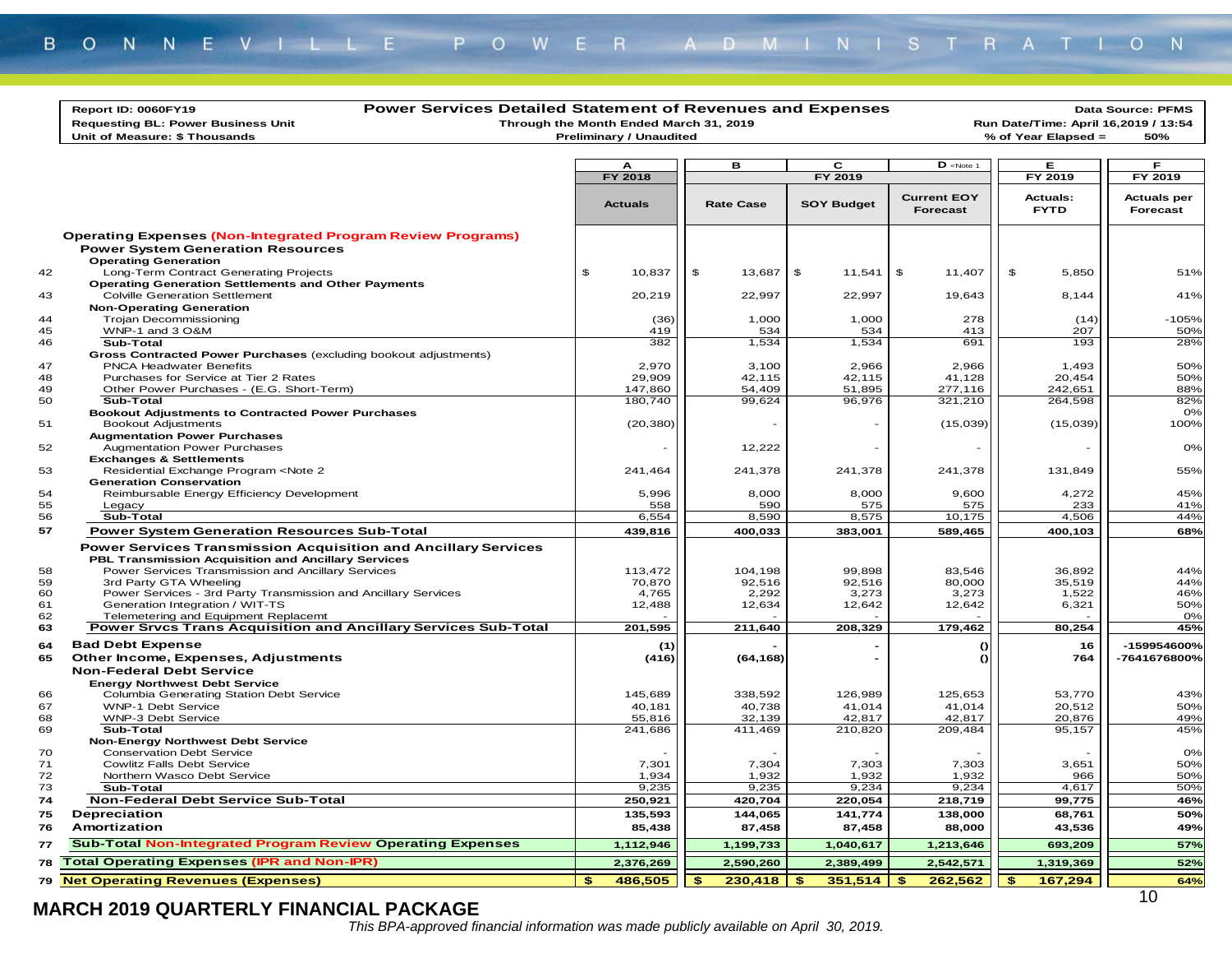| Report ID: 0060FY19                                                                                                                                | <b>Power Services Detailed Statement of Revenues and Expenses</b>        |                  |                   |                                                     |                                                             | Data Source: PFMS              |
|----------------------------------------------------------------------------------------------------------------------------------------------------|--------------------------------------------------------------------------|------------------|-------------------|-----------------------------------------------------|-------------------------------------------------------------|--------------------------------|
| <b>Requesting BL: Power Business Unit</b>                                                                                                          | Through the Month Ended March 31, 2019<br><b>Preliminary / Unaudited</b> |                  |                   |                                                     | Run Date/Time: April 16,2019 / 13:54<br>% of Year Elapsed = | 50%                            |
| Unit of Measure: \$ Thousands                                                                                                                      |                                                                          |                  |                   |                                                     |                                                             |                                |
|                                                                                                                                                    | A                                                                        | в                | C                 | $D$ <note 1<="" th=""><th>Е.</th><th>F.</th></note> | Е.                                                          | F.                             |
|                                                                                                                                                    | <b>FY 2018</b>                                                           |                  | FY 2019           |                                                     | FY 2019                                                     | FY 2019                        |
|                                                                                                                                                    |                                                                          |                  |                   |                                                     |                                                             |                                |
|                                                                                                                                                    | <b>Actuals</b>                                                           | <b>Rate Case</b> | <b>SOY Budget</b> | <b>Current EOY</b><br>Forecast                      | <b>Actuals:</b><br><b>FYTD</b>                              | <b>Actuals per</b><br>Forecast |
|                                                                                                                                                    |                                                                          |                  |                   |                                                     |                                                             |                                |
| <b>Operating Expenses (Non-Integrated Program Review Programs)</b><br><b>Power System Generation Resources</b>                                     |                                                                          |                  |                   |                                                     |                                                             |                                |
| <b>Operating Generation</b>                                                                                                                        |                                                                          |                  |                   |                                                     |                                                             |                                |
| Long-Term Contract Generating Projects                                                                                                             | \$<br>10,837                                                             | \$<br>13,687     | \$<br>11,541      | \$<br>11,407                                        | \$<br>5,850                                                 | 51%                            |
| <b>Operating Generation Settlements and Other Payments</b>                                                                                         |                                                                          |                  |                   |                                                     |                                                             |                                |
| <b>Colville Generation Settlement</b>                                                                                                              | 20,219                                                                   | 22,997           | 22,997            | 19,643                                              | 8,144                                                       | 41%                            |
| <b>Non-Operating Generation</b>                                                                                                                    |                                                                          |                  |                   |                                                     |                                                             |                                |
| <b>Trojan Decommissioning</b><br>WNP-1 and 3 O&M                                                                                                   | (36)<br>419                                                              | 1,000<br>534     | 1,000<br>534      | 278<br>413                                          | (14)<br>207                                                 | $-105%$<br>50%                 |
| Sub-Total                                                                                                                                          | 382                                                                      | 1,534            | 1,534             | 691                                                 | 193                                                         | 28%                            |
| Gross Contracted Power Purchases (excluding bookout adjustments)                                                                                   |                                                                          |                  |                   |                                                     |                                                             |                                |
| <b>PNCA Headwater Benefits</b>                                                                                                                     | 2,970                                                                    | 3,100            | 2,966             | 2,966                                               | 1,493                                                       | 50%                            |
| Purchases for Service at Tier 2 Rates                                                                                                              | 29,909                                                                   | 42,115           | 42,115            | 41,128                                              | 20,454                                                      | 50%                            |
| Other Power Purchases - (E.G. Short-Term)                                                                                                          | 147,860                                                                  | 54,409           | 51,895            | 277,116                                             | 242,651                                                     | 88%                            |
| Sub-Total                                                                                                                                          | 180,740                                                                  | 99,624           | 96,976            | 321,210                                             | 264,598                                                     | 82%                            |
| <b>Bookout Adjustments to Contracted Power Purchases</b>                                                                                           |                                                                          |                  |                   |                                                     |                                                             | 0%                             |
| <b>Bookout Adjustments</b>                                                                                                                         | (20, 380)                                                                |                  |                   | (15,039)                                            | (15,039)                                                    | 100%                           |
| <b>Augmentation Power Purchases</b><br><b>Augmentation Power Purchases</b>                                                                         |                                                                          | 12,222           |                   |                                                     |                                                             | 0%                             |
| <b>Exchanges &amp; Settlements</b>                                                                                                                 |                                                                          |                  |                   |                                                     |                                                             |                                |
| Residential Exchange Program <note 2<="" td=""><td>241,464</td><td>241,378</td><td>241,378</td><td>241,378</td><td>131,849</td><td>55%</td></note> | 241,464                                                                  | 241,378          | 241,378           | 241,378                                             | 131,849                                                     | 55%                            |
| <b>Generation Conservation</b>                                                                                                                     |                                                                          |                  |                   |                                                     |                                                             |                                |
| Reimbursable Energy Efficiency Development                                                                                                         | 5,996                                                                    | 8,000            | 8,000             | 9,600                                               | 4,272                                                       | 45%                            |
| Legacy                                                                                                                                             | 558                                                                      | 590              | 575               | 575                                                 | 233                                                         | 41%                            |
| Sub-Total                                                                                                                                          | 6,554                                                                    | 8,590            | 8,575             | 10,175                                              | 4,506                                                       | 44%                            |
| <b>Power System Generation Resources Sub-Total</b>                                                                                                 | 439,816                                                                  | 400,033          | 383,001           | 589,465                                             | 400,103                                                     | 68%                            |
| <b>Power Services Transmission Acquisition and Ancillary Services</b>                                                                              |                                                                          |                  |                   |                                                     |                                                             |                                |
| PBL Transmission Acquisition and Ancillary Services                                                                                                |                                                                          |                  |                   |                                                     |                                                             |                                |
| Power Services Transmission and Ancillary Services                                                                                                 | 113,472                                                                  | 104,198          | 99,898            | 83,546                                              | 36,892                                                      | 44%                            |
| 3rd Party GTA Wheeling<br>Power Services - 3rd Party Transmission and Ancillary Services                                                           | 70,870<br>4,765                                                          | 92,516<br>2,292  | 92,516<br>3,273   | 80,000<br>3,273                                     | 35,519<br>1,522                                             | 44%<br>46%                     |
| Generation Integration / WIT-TS                                                                                                                    | 12,488                                                                   | 12,634           | 12,642            | 12,642                                              | 6,321                                                       | 50%                            |
| Telemetering and Equipment Replacemt                                                                                                               |                                                                          |                  |                   |                                                     |                                                             | 0%                             |
| <b>Power Srvcs Trans Acquisition and Ancillary Services Sub-Total</b>                                                                              | 201,595                                                                  | 211,640          | 208,329           | 179,462                                             | 80,254                                                      | 45%                            |
| <b>Bad Debt Expense</b>                                                                                                                            | (1)                                                                      |                  |                   | $\Omega$                                            | 16                                                          | -159954600%                    |
| Other Income, Expenses, Adjustments                                                                                                                | (416)                                                                    | (64, 168)        |                   | $\Omega$                                            | 764                                                         | -7641676800%                   |
| <b>Non-Federal Debt Service</b>                                                                                                                    |                                                                          |                  |                   |                                                     |                                                             |                                |
| <b>Energy Northwest Debt Service</b>                                                                                                               |                                                                          |                  |                   |                                                     |                                                             |                                |
| Columbia Generating Station Debt Service                                                                                                           | 145,689                                                                  | 338,592          | 126,989           | 125,653                                             | 53,770                                                      | 43%                            |
| <b>WNP-1 Debt Service</b>                                                                                                                          | 40,181                                                                   | 40,738           | 41,014            | 41,014                                              | 20,512                                                      | 50%                            |
| WNP-3 Debt Service                                                                                                                                 | 55,816                                                                   | 32,139           | 42,817            | 42,817                                              | 20,876                                                      | 49%                            |
| Sub-Total<br><b>Non-Energy Northwest Debt Service</b>                                                                                              | 241,686                                                                  | 411,469          | 210,820           | 209,484                                             | 95,157                                                      | 45%                            |
| <b>Conservation Debt Service</b>                                                                                                                   |                                                                          |                  |                   |                                                     |                                                             | 0%                             |
| <b>Cowlitz Falls Debt Service</b>                                                                                                                  | 7,301                                                                    | 7,304            | 7,303             | 7,303                                               | 3,651                                                       | 50%                            |
| Northern Wasco Debt Service                                                                                                                        | 1,934                                                                    | 1,932            | 1,932             | 1,932                                               | 966                                                         | 50%                            |
| Sub-Total                                                                                                                                          | 9,235                                                                    | 9,235            | 9,234             | 9,234                                               | 4,617                                                       | 50%                            |
| <b>Non-Federal Debt Service Sub-Total</b>                                                                                                          | 250,921                                                                  | 420.704          | 220,054           | 218,719                                             | 99,775                                                      | 46%                            |
| Depreciation                                                                                                                                       | 135,593                                                                  | 144,065          | 141,774           | 138,000                                             | 68,761                                                      | 50%                            |
| Amortization                                                                                                                                       | 85,438                                                                   | 87,458           | 87,458            | 88,000                                              | 43,536                                                      | 49%                            |
| <b>Sub-Total Non-Integrated Program Review Operating Expenses</b>                                                                                  | 1,112,946                                                                | 1,199,733        | 1,040,617         | 1,213,646                                           | 693,209                                                     | 57%                            |
| 78 Total Operating Expenses (IPR and Non-IPR)                                                                                                      | 2,376,269                                                                | 2,590,260        | 2,389,499         | 2,542,571                                           | 1,319,369                                                   | 52%                            |
| 79 Net Operating Revenues (Expenses)                                                                                                               | 486,505<br>\$.                                                           | 230,418<br>\$    | 351,514<br>\$     | \$<br>262,562                                       | 167,294<br>\$                                               | 64%                            |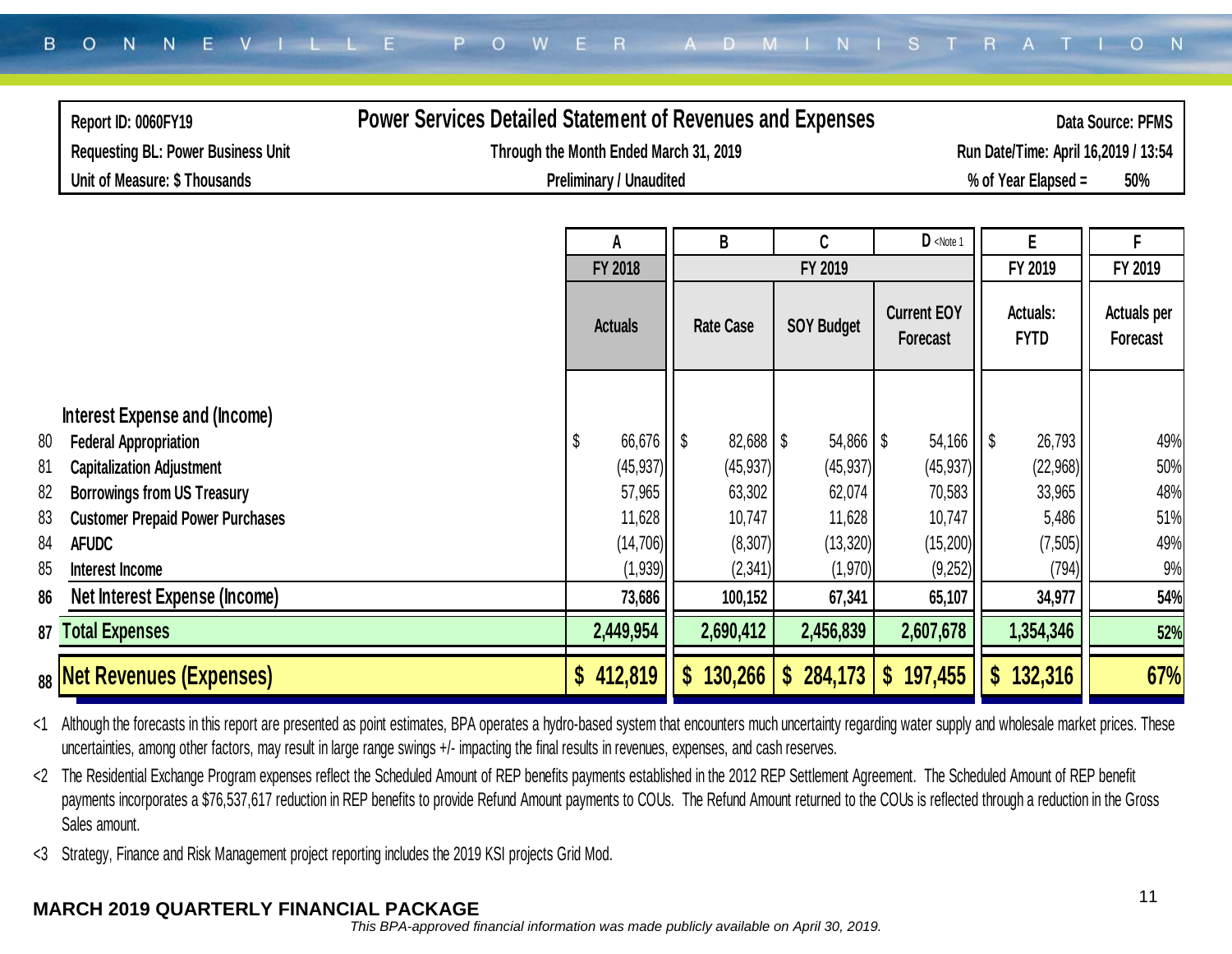| Report ID: 0060FY19                           | <b>Power Services Detailed Statement of Revenues and Expenses</b> |                                        |                                      |                         |                   |                                                   |                                |                                       |  |  |
|-----------------------------------------------|-------------------------------------------------------------------|----------------------------------------|--------------------------------------|-------------------------|-------------------|---------------------------------------------------|--------------------------------|---------------------------------------|--|--|
| <b>Requesting BL: Power Business Unit</b>     |                                                                   | Through the Month Ended March 31, 2019 | Run Date/Time: April 16,2019 / 13:54 |                         |                   |                                                   |                                |                                       |  |  |
| Unit of Measure: \$ Thousands                 |                                                                   |                                        | <b>Preliminary / Unaudited</b>       |                         |                   |                                                   | % of Year Elapsed =            | 50%                                   |  |  |
|                                               |                                                                   |                                        |                                      |                         |                   |                                                   |                                |                                       |  |  |
|                                               |                                                                   |                                        | A                                    | B                       | C                 | $D$ <note 1<="" th=""><th>E</th><th>F</th></note> | E                              | F                                     |  |  |
|                                               |                                                                   |                                        | <b>FY 2018</b>                       |                         | FY 2019           |                                                   | FY 2019                        | FY 2019                               |  |  |
|                                               |                                                                   |                                        | <b>Actuals</b>                       | <b>Rate Case</b>        | <b>SOY Budget</b> | <b>Current EOY</b><br><b>Forecast</b>             | <b>Actuals:</b><br><b>FYTD</b> | <b>Actuals per</b><br><b>Forecast</b> |  |  |
| Interest Expense and (Income)                 |                                                                   |                                        |                                      |                         |                   |                                                   |                                |                                       |  |  |
| <b>Federal Appropriation</b><br>80            |                                                                   |                                        | 66,676                               | $82,688$ \ \ \$<br>l \$ | $54,866$ \$       | 54,166                                            | l \$<br>26,793                 | 49%                                   |  |  |
| 81<br><b>Capitalization Adjustment</b>        |                                                                   |                                        | (45, 937)                            | (45, 937)               | (45, 937)         | (45, 937)                                         | (22,968)                       | 50%                                   |  |  |
| 82<br><b>Borrowings from US Treasury</b>      |                                                                   |                                        | 57,965                               | 63,302                  | 62,074            | 70,583                                            | 33,965                         | 48%                                   |  |  |
| <b>Customer Prepaid Power Purchases</b><br>83 |                                                                   |                                        | 11,628                               | 10,747                  | 11,628            | 10,747                                            | 5,486                          | 51%                                   |  |  |
| 84<br><b>AFUDC</b>                            |                                                                   |                                        | (14, 706)                            | (8, 307)                | (13, 320)         | (15, 200)                                         | (7, 505)                       | 49%                                   |  |  |
| 85<br>Interest Income                         |                                                                   |                                        | (1,939)                              | (2, 341)                | (1,970)           | (9,252)                                           | (794)                          | 9%                                    |  |  |
| Net Interest Expense (Income)<br>86           |                                                                   |                                        | 73,686                               | 100,152                 | 67,341            | 65,107                                            | 34,977                         | 54%                                   |  |  |
| <b>Total Expenses</b><br>87                   |                                                                   |                                        | 2,449,954                            | 2,690,412               | 2,456,839         | 2,607,678                                         | 1,354,346                      | 52%                                   |  |  |
| <sub>88</sub>  Net Revenues (Expenses)        |                                                                   | $\mathbf{\$}$                          | 412,819                              | 130,266<br>\$           | 284,173<br>S.     | 197,455<br>S.                                     | 132,316<br>S                   | 67%                                   |  |  |

<1 Although the forecasts in this report are presented as point estimates, BPA operates a hydro-based system that encounters much uncertainty regarding water supply and wholesale market prices. These uncertainties, among other factors, may result in large range swings +/- impacting the final results in revenues, expenses, and cash reserves.

<2 The Residential Exchange Program expenses reflect the Scheduled Amount of REP benefits payments established in the 2012 REP Settlement Agreement. The Scheduled Amount of REP benefit payments incorporates a \$76,537,617 reduction in REP benefits to provide Refund Amount payments to COUs. The Refund Amount returned to the COUs is reflected through a reduction in the Gross Sales amount.

<3 Strategy, Finance and Risk Management project reporting includes the 2019 KSI projects Grid Mod.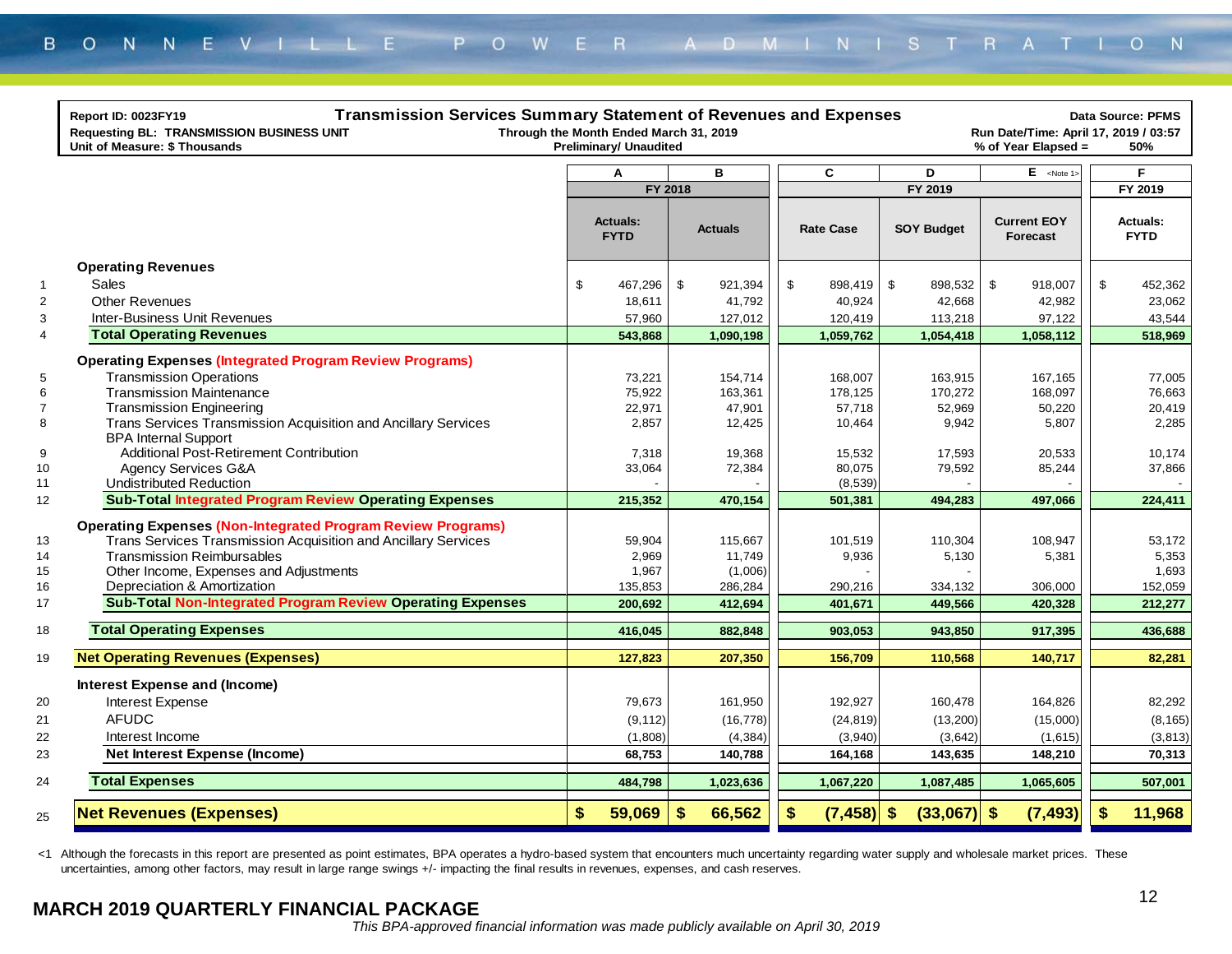|                     | <b>Transmission Services Summary Statement of Revenues and Expenses</b><br>Report ID: 0023FY19<br>Requesting BL: TRANSMISSION BUSINESS UNIT<br>Unit of Measure: \$ Thousands | Through the Month Ended March 31, 2019<br><b>Preliminary/ Unaudited</b> |                   |                  |               |                  |                   | Run Date/Time: April 17, 2019 / 03:57<br>% of Year Elapsed = | <b>Data Source: PFMS</b><br>50% |
|---------------------|------------------------------------------------------------------------------------------------------------------------------------------------------------------------------|-------------------------------------------------------------------------|-------------------|------------------|---------------|------------------|-------------------|--------------------------------------------------------------|---------------------------------|
|                     |                                                                                                                                                                              | A                                                                       |                   | B                |               | C                | D                 | $E$ <note 1=""></note>                                       | F                               |
|                     |                                                                                                                                                                              | FY 2018                                                                 |                   |                  |               |                  | FY 2019           |                                                              | FY 2019                         |
|                     |                                                                                                                                                                              | <b>Actuals:</b><br><b>FYTD</b>                                          |                   | <b>Actuals</b>   |               | <b>Rate Case</b> | <b>SOY Budget</b> | <b>Current EOY</b><br>Forecast                               | <b>Actuals:</b><br><b>FYTD</b>  |
|                     | <b>Operating Revenues</b>                                                                                                                                                    |                                                                         |                   |                  |               |                  |                   |                                                              |                                 |
| $\overline{1}$      | Sales                                                                                                                                                                        | \$<br>467,296                                                           | \$                | 921,394          | \$            | 898,419          | \$<br>898,532     | \$<br>918,007                                                | \$<br>452,362                   |
| $\overline{2}$      | <b>Other Revenues</b>                                                                                                                                                        | 18,611                                                                  |                   | 41,792           |               | 40,924           | 42,668            | 42,982                                                       | 23,062                          |
| 3                   | Inter-Business Unit Revenues                                                                                                                                                 | 57,960                                                                  |                   | 127,012          |               | 120,419          | 113,218           | 97,122                                                       | 43,544                          |
| $\overline{4}$      | <b>Total Operating Revenues</b>                                                                                                                                              | 543,868                                                                 |                   | 1,090,198        |               | 1,059,762        | 1,054,418         | 1,058,112                                                    | 518,969                         |
|                     | <b>Operating Expenses (Integrated Program Review Programs)</b>                                                                                                               |                                                                         |                   |                  |               |                  |                   |                                                              |                                 |
| 5                   | <b>Transmission Operations</b>                                                                                                                                               | 73,221                                                                  |                   | 154.714          |               | 168,007          | 163,915           | 167.165                                                      | 77,005                          |
| 6                   | <b>Transmission Maintenance</b>                                                                                                                                              | 75,922                                                                  |                   | 163.361          |               | 178.125          | 170,272           | 168.097                                                      | 76.663                          |
| $\overline{7}$<br>8 | <b>Transmission Engineering</b><br>Trans Services Transmission Acquisition and Ancillary Services                                                                            | 22,971<br>2,857                                                         |                   | 47,901<br>12,425 |               | 57,718           | 52,969<br>9,942   | 50,220<br>5,807                                              | 20,419<br>2,285                 |
|                     | <b>BPA Internal Support</b>                                                                                                                                                  |                                                                         |                   |                  |               | 10,464           |                   |                                                              |                                 |
| 9                   | <b>Additional Post-Retirement Contribution</b>                                                                                                                               | 7,318                                                                   |                   | 19,368           |               | 15,532           | 17,593            | 20,533                                                       | 10,174                          |
| 10                  | Agency Services G&A                                                                                                                                                          | 33,064                                                                  |                   | 72,384           |               | 80,075           | 79,592            | 85,244                                                       | 37,866                          |
| 11                  | <b>Undistributed Reduction</b>                                                                                                                                               |                                                                         |                   |                  |               | (8,539)          |                   |                                                              |                                 |
| 12                  | <b>Sub-Total Integrated Program Review Operating Expenses</b>                                                                                                                | 215,352                                                                 |                   | 470,154          |               | 501,381          | 494,283           | 497,066                                                      | 224,411                         |
|                     | <b>Operating Expenses (Non-Integrated Program Review Programs)</b>                                                                                                           |                                                                         |                   |                  |               |                  |                   |                                                              |                                 |
| 13                  | Trans Services Transmission Acquisition and Ancillary Services                                                                                                               | 59,904                                                                  |                   | 115,667          |               | 101,519          | 110,304           | 108,947                                                      | 53,172                          |
| 14                  | <b>Transmission Reimbursables</b>                                                                                                                                            | 2,969                                                                   |                   | 11,749           |               | 9,936            | 5,130             | 5,381                                                        | 5,353                           |
| 15                  | Other Income, Expenses and Adjustments                                                                                                                                       | 1,967                                                                   |                   | (1,006)          |               |                  |                   |                                                              | 1,693                           |
| 16                  | Depreciation & Amortization                                                                                                                                                  | 135,853                                                                 |                   | 286,284          |               | 290,216          | 334,132           | 306,000                                                      | 152,059                         |
| 17                  | <b>Sub-Total Non-Integrated Program Review Operating Expenses</b>                                                                                                            | 200,692                                                                 |                   | 412,694          |               | 401,671          | 449,566           | 420,328                                                      | 212,277                         |
| 18                  | <b>Total Operating Expenses</b>                                                                                                                                              | 416,045                                                                 |                   | 882,848          |               | 903,053          | 943,850           | 917,395                                                      | 436,688                         |
| 19                  | <b>Net Operating Revenues (Expenses)</b>                                                                                                                                     | 127,823                                                                 |                   | 207,350          |               | 156,709          | 110,568           | 140,717                                                      | 82,281                          |
|                     |                                                                                                                                                                              |                                                                         |                   |                  |               |                  |                   |                                                              |                                 |
|                     | <b>Interest Expense and (Income)</b>                                                                                                                                         |                                                                         |                   |                  |               |                  |                   |                                                              |                                 |
| 20                  | Interest Expense                                                                                                                                                             | 79,673                                                                  |                   | 161,950          |               | 192,927          | 160,478           | 164,826                                                      | 82,292                          |
| 21                  | <b>AFUDC</b>                                                                                                                                                                 | (9, 112)                                                                |                   | (16, 778)        |               | (24, 819)        | (13, 200)         | (15,000)                                                     | (8, 165)                        |
| 22                  | Interest Income                                                                                                                                                              | (1,808)                                                                 |                   | (4, 384)         |               | (3,940)          | (3,642)           | (1,615)                                                      | (3, 813)                        |
| 23                  | <b>Net Interest Expense (Income)</b>                                                                                                                                         | 68,753                                                                  |                   | 140,788          |               | 164,168          | 143,635           | 148,210                                                      | 70,313                          |
| 24                  | <b>Total Expenses</b>                                                                                                                                                        | 484,798                                                                 |                   | 1,023,636        |               | 1,067,220        | 1,087,485         | 1,065,605                                                    | 507,001                         |
| 25                  | <b>Net Revenues (Expenses)</b>                                                                                                                                               | \$<br>59,069                                                            | $\boldsymbol{\$}$ | 66,562           | $\sqrt[6]{3}$ | $(7, 458)$ \$    | (33,067)          | $\sqrt[3]{2}$<br>(7, 493)                                    | \$<br>11,968                    |

<1 Although the forecasts in this report are presented as point estimates, BPA operates a hydro-based system that encounters much uncertainty regarding water supply and wholesale market prices. These uncertainties, among other factors, may result in large range swings +/- impacting the final results in revenues, expenses, and cash reserves.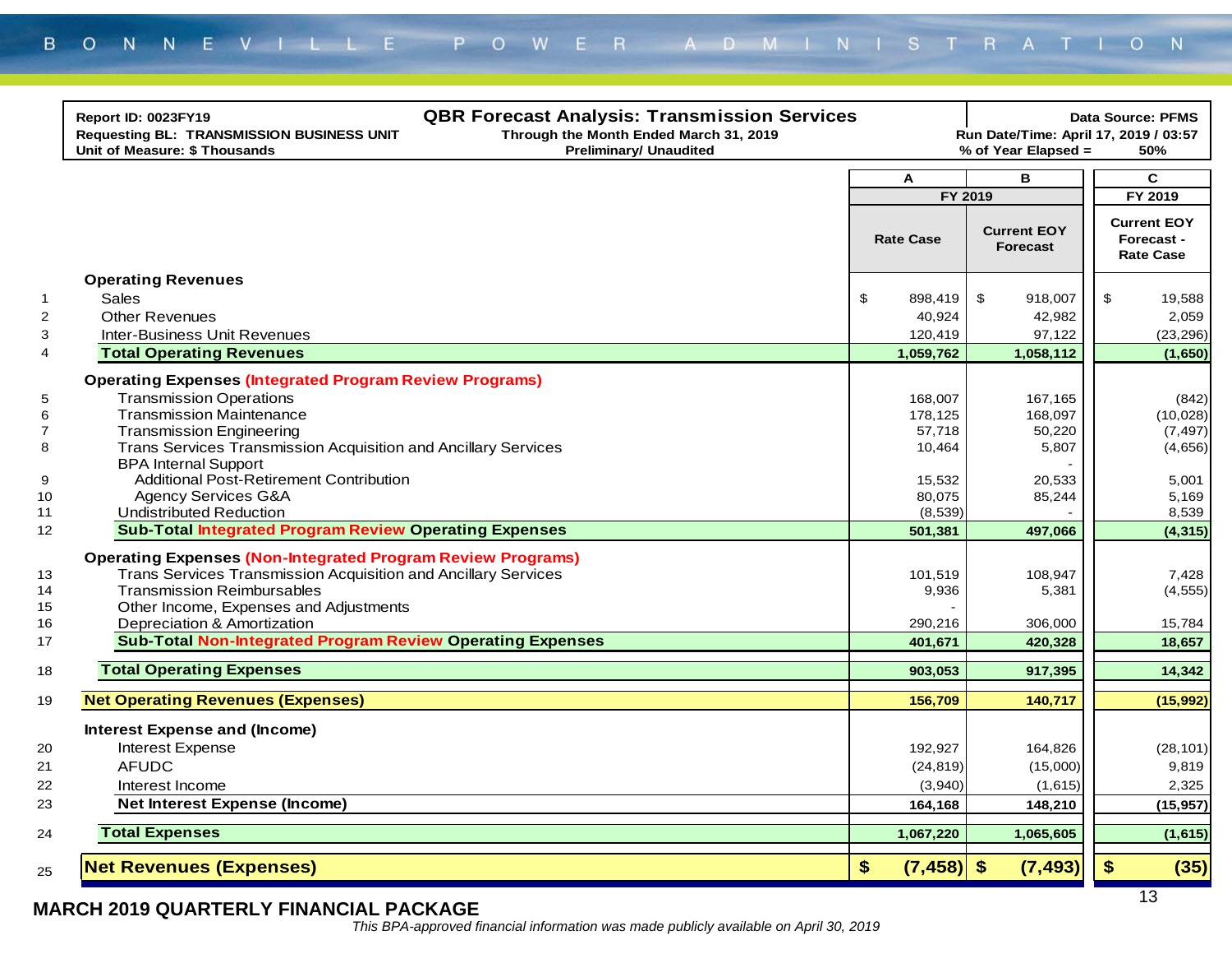|                | <b>QBR Forecast Analysis: Transmission Services</b><br>Report ID: 0023FY19<br>Through the Month Ended March 31, 2019<br><b>Requesting BL: TRANSMISSION BUSINESS UNIT</b><br>Unit of Measure: \$ Thousands<br><b>Preliminary/ Unaudited</b> |                          | Run Date/Time: April 17, 2019 / 03:57<br>% of Year Elapsed = | <b>Data Source: PFMS</b><br>50%                      |
|----------------|--------------------------------------------------------------------------------------------------------------------------------------------------------------------------------------------------------------------------------------------|--------------------------|--------------------------------------------------------------|------------------------------------------------------|
|                |                                                                                                                                                                                                                                            | A                        | в                                                            | $\mathbf{C}$                                         |
|                |                                                                                                                                                                                                                                            |                          | FY 2019                                                      | FY 2019                                              |
|                |                                                                                                                                                                                                                                            | <b>Rate Case</b>         | <b>Current EOY</b><br><b>Forecast</b>                        | <b>Current EOY</b><br>Forecast -<br><b>Rate Case</b> |
|                | <b>Operating Revenues</b>                                                                                                                                                                                                                  |                          |                                                              |                                                      |
| $\mathbf{1}$   | <b>Sales</b>                                                                                                                                                                                                                               | $\frac{2}{3}$<br>898,419 | \$<br>918,007                                                | \$<br>19,588                                         |
| $\overline{c}$ | <b>Other Revenues</b>                                                                                                                                                                                                                      | 40,924                   | 42,982                                                       | 2,059                                                |
| 3              | Inter-Business Unit Revenues                                                                                                                                                                                                               | 120,419                  | 97,122                                                       | (23, 296)                                            |
| $\overline{4}$ | <b>Total Operating Revenues</b>                                                                                                                                                                                                            | 1,059,762                | 1,058,112                                                    | (1,650)                                              |
|                | <b>Operating Expenses (Integrated Program Review Programs)</b>                                                                                                                                                                             |                          |                                                              |                                                      |
| $\,$ 5 $\,$    | <b>Transmission Operations</b>                                                                                                                                                                                                             | 168,007                  | 167,165                                                      | (842)                                                |
| $\,6$          | <b>Transmission Maintenance</b>                                                                                                                                                                                                            | 178,125                  | 168,097                                                      | (10,028)                                             |
| $\overline{7}$ | <b>Transmission Engineering</b>                                                                                                                                                                                                            | 57,718                   | 50,220                                                       | (7, 497)                                             |
| 8              | Trans Services Transmission Acquisition and Ancillary Services                                                                                                                                                                             | 10,464                   | 5,807                                                        | (4,656)                                              |
|                | <b>BPA Internal Support</b>                                                                                                                                                                                                                |                          |                                                              |                                                      |
| 9              | Additional Post-Retirement Contribution                                                                                                                                                                                                    | 15,532                   | 20.533                                                       | 5,001                                                |
| 10             | <b>Agency Services G&amp;A</b>                                                                                                                                                                                                             | 80,075                   | 85,244                                                       | 5,169                                                |
| 11             | <b>Undistributed Reduction</b>                                                                                                                                                                                                             | (8,539)                  |                                                              | 8,539                                                |
| 12             | <b>Sub-Total Integrated Program Review Operating Expenses</b>                                                                                                                                                                              | 501,381                  | 497,066                                                      | (4, 315)                                             |
|                |                                                                                                                                                                                                                                            |                          |                                                              |                                                      |
|                | <b>Operating Expenses (Non-Integrated Program Review Programs)</b>                                                                                                                                                                         |                          |                                                              |                                                      |
| 13             | Trans Services Transmission Acquisition and Ancillary Services                                                                                                                                                                             | 101,519                  | 108,947                                                      | 7,428                                                |
| 14             | <b>Transmission Reimbursables</b>                                                                                                                                                                                                          | 9,936                    | 5,381                                                        | (4, 555)                                             |
| 15             | Other Income, Expenses and Adjustments                                                                                                                                                                                                     |                          |                                                              |                                                      |
| 16             | Depreciation & Amortization                                                                                                                                                                                                                | 290,216                  | 306,000                                                      | 15,784                                               |
| 17             | <b>Sub-Total Non-Integrated Program Review Operating Expenses</b>                                                                                                                                                                          | 401,671                  | 420,328                                                      | 18,657                                               |
| 18             | <b>Total Operating Expenses</b>                                                                                                                                                                                                            | 903,053                  | 917,395                                                      | 14,342                                               |
| 19             | <b>Net Operating Revenues (Expenses)</b>                                                                                                                                                                                                   | 156,709                  | 140,717                                                      | (15, 992)                                            |
|                | <b>Interest Expense and (Income)</b>                                                                                                                                                                                                       |                          |                                                              |                                                      |
| 20             | Interest Expense                                                                                                                                                                                                                           | 192,927                  | 164,826                                                      | (28, 101)                                            |
| 21             | <b>AFUDC</b>                                                                                                                                                                                                                               | (24, 819)                | (15,000)                                                     | 9,819                                                |
| 22             | Interest Income                                                                                                                                                                                                                            | (3,940)                  | (1,615)                                                      | 2,325                                                |
| 23             | <b>Net Interest Expense (Income)</b>                                                                                                                                                                                                       | 164,168                  | 148,210                                                      | (15, 957)                                            |
|                |                                                                                                                                                                                                                                            |                          |                                                              |                                                      |
| 24             | <b>Total Expenses</b>                                                                                                                                                                                                                      | 1,067,220                | 1,065,605                                                    | (1,615)                                              |
| 25             | <b>Net Revenues (Expenses)</b>                                                                                                                                                                                                             | \$<br>$(7,458)$ \$       | (7, 493)                                                     | \$<br>(35)                                           |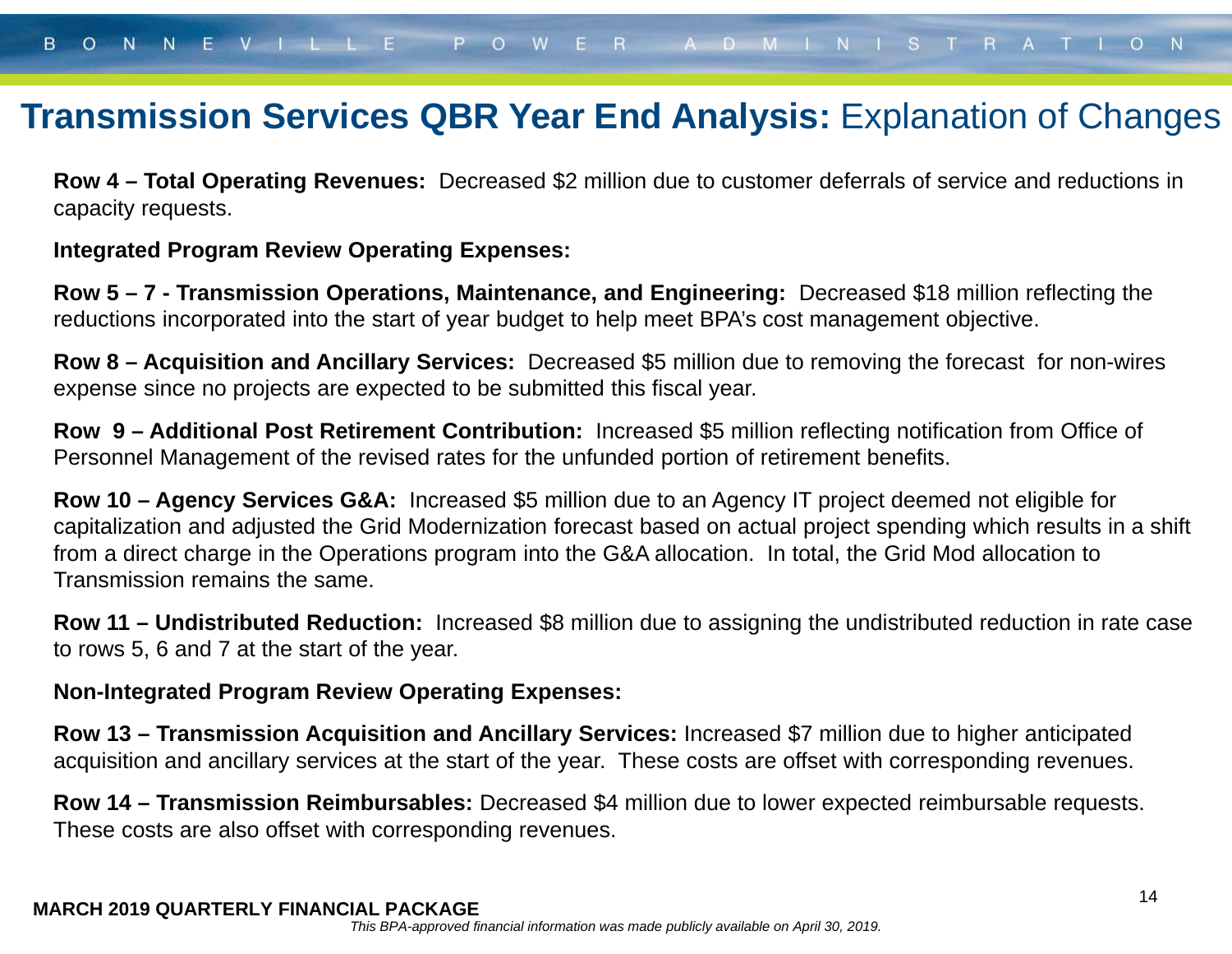### **Transmission Services QBR Year End Analysis:** Explanation of Changes

**Row 4 – Total Operating Revenues:** Decreased \$2 million due to customer deferrals of service and reductions in capacity requests.

#### **Integrated Program Review Operating Expenses:**

**Row 5 – 7 - Transmission Operations, Maintenance, and Engineering:** Decreased \$18 million reflecting the reductions incorporated into the start of year budget to help meet BPA's cost management objective.

**Row 8 – Acquisition and Ancillary Services:** Decreased \$5 million due to removing the forecast for non-wires expense since no projects are expected to be submitted this fiscal year.

**Row 9 – Additional Post Retirement Contribution:** Increased \$5 million reflecting notification from Office of Personnel Management of the revised rates for the unfunded portion of retirement benefits.

**Row 10 – Agency Services G&A:** Increased \$5 million due to an Agency IT project deemed not eligible for capitalization and adjusted the Grid Modernization forecast based on actual project spending which results in a shift from a direct charge in the Operations program into the G&A allocation. In total, the Grid Mod allocation to Transmission remains the same.

**Row 11 – Undistributed Reduction:** Increased \$8 million due to assigning the undistributed reduction in rate case to rows 5, 6 and 7 at the start of the year.

#### **Non-Integrated Program Review Operating Expenses:**

**Row 13 – Transmission Acquisition and Ancillary Services:** Increased \$7 million due to higher anticipated acquisition and ancillary services at the start of the year. These costs are offset with corresponding revenues.

**Row 14 – Transmission Reimbursables:** Decreased \$4 million due to lower expected reimbursable requests. These costs are also offset with corresponding revenues.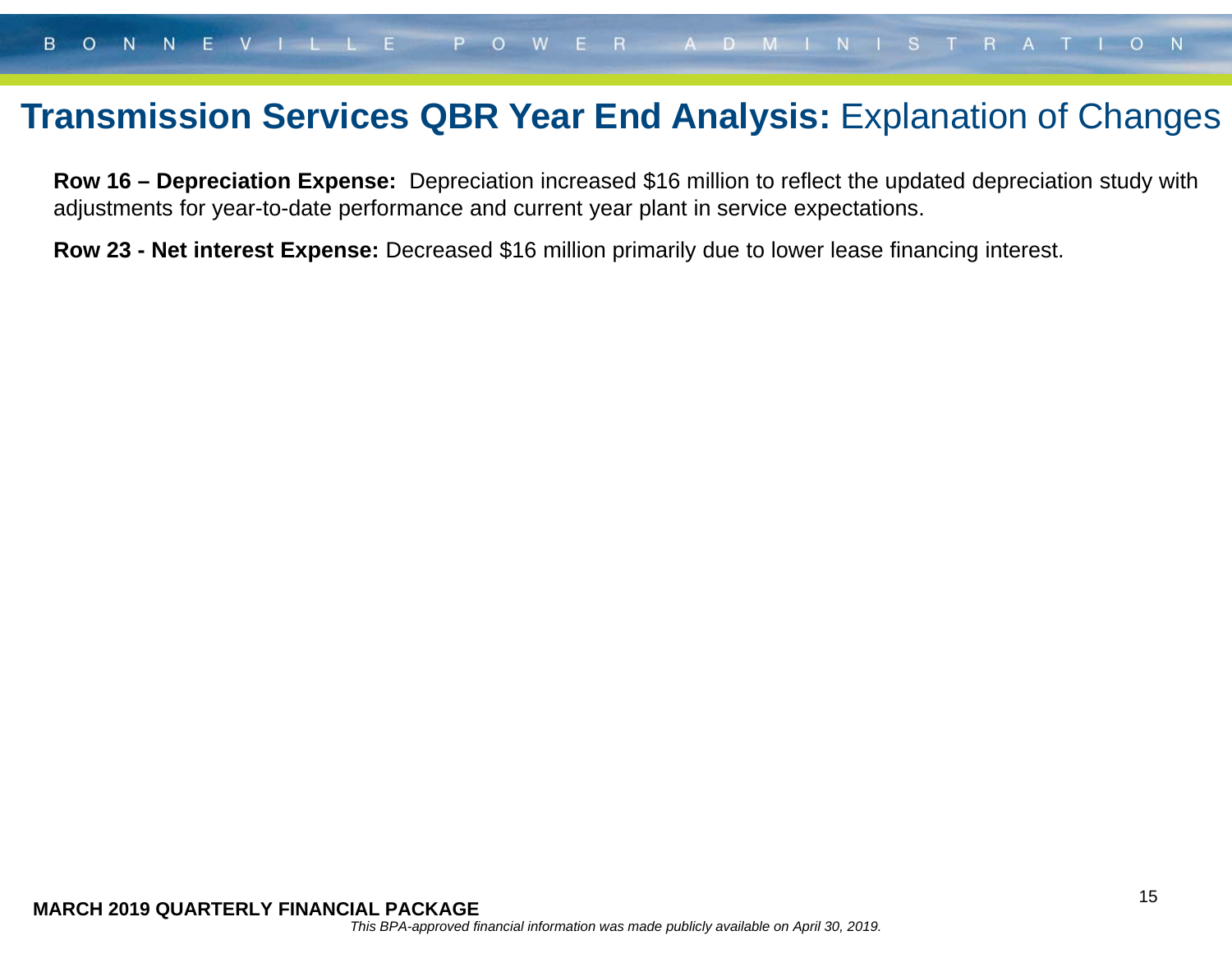### **Transmission Services QBR Year End Analysis: Explanation of Changes**

**Row 16 – Depreciation Expense:** Depreciation increased \$16 million to reflect the updated depreciation study with adjustments for year-to-date performance and current year plant in service expectations.

**Row 23 - Net interest Expense:** Decreased \$16 million primarily due to lower lease financing interest.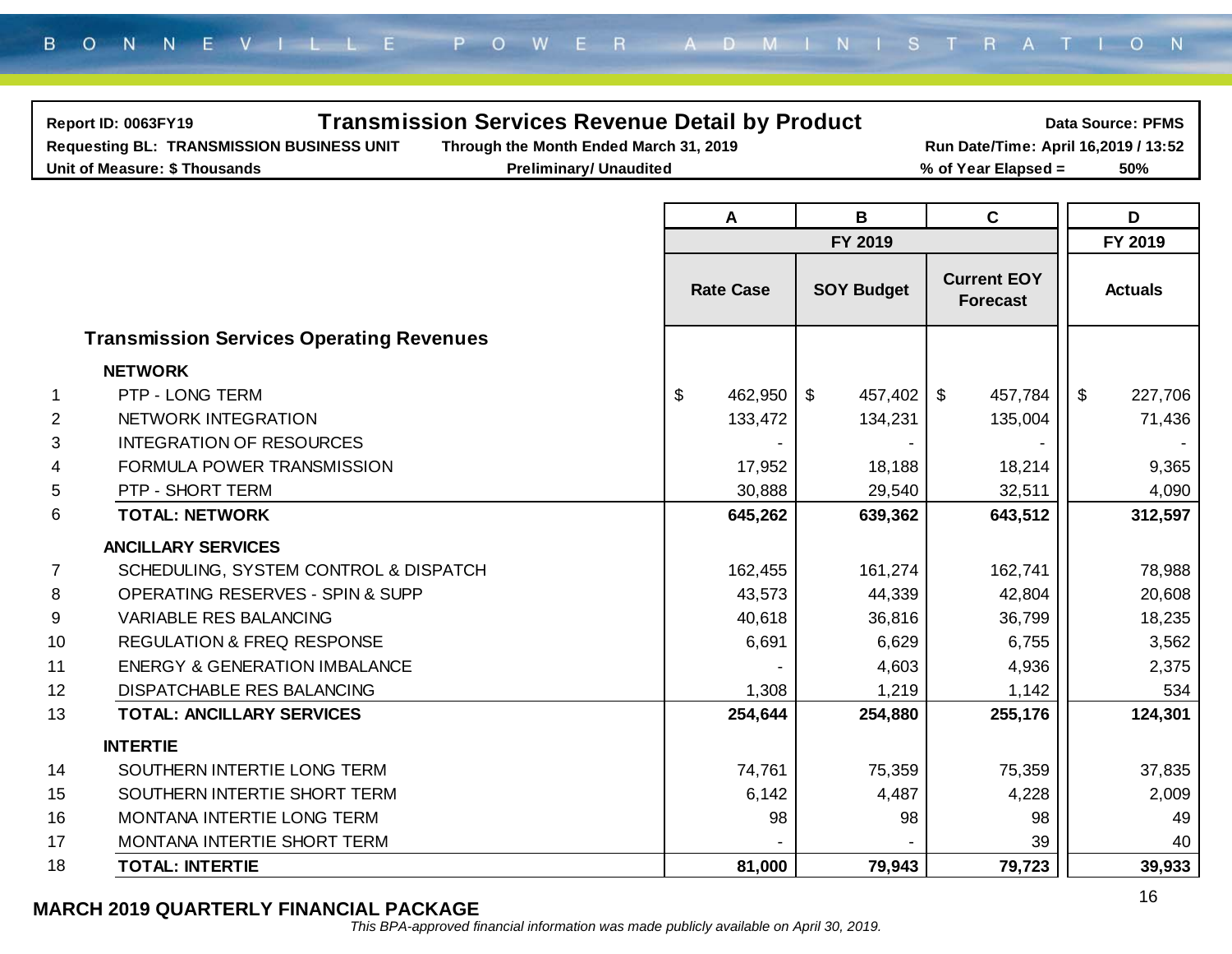| Report ID: 0063FY19<br><b>Requesting BL: TRANSMISSION BUSINESS UNIT</b><br>Unit of Measure: \$ Thousands | <b>Transmission Services Revenue Detail by Product</b><br>Through the Month Ended March 31, 2019<br><b>Preliminary/ Unaudited</b> |                  |                          | Run Date/Time: April 16,2019 / 13:52<br>% of Year Elapsed = | <b>Data Source: PFMS</b><br>50%      |  |  |  |  |  |  |
|----------------------------------------------------------------------------------------------------------|-----------------------------------------------------------------------------------------------------------------------------------|------------------|--------------------------|-------------------------------------------------------------|--------------------------------------|--|--|--|--|--|--|
|                                                                                                          |                                                                                                                                   |                  |                          |                                                             |                                      |  |  |  |  |  |  |
|                                                                                                          |                                                                                                                                   | A                | $\mathbf B$              | $\mathbf c$                                                 | D                                    |  |  |  |  |  |  |
|                                                                                                          |                                                                                                                                   |                  | FY 2019                  |                                                             | FY 2019                              |  |  |  |  |  |  |
|                                                                                                          |                                                                                                                                   | <b>Rate Case</b> | <b>SOY Budget</b>        | <b>Current EOY</b><br><b>Forecast</b>                       | <b>Actuals</b>                       |  |  |  |  |  |  |
| <b>Transmission Services Operating Revenues</b>                                                          |                                                                                                                                   |                  |                          |                                                             |                                      |  |  |  |  |  |  |
| <b>NETWORK</b>                                                                                           |                                                                                                                                   |                  |                          |                                                             |                                      |  |  |  |  |  |  |
| PTP - LONG TERM<br>1                                                                                     |                                                                                                                                   | \$<br>462,950    | $\sqrt[6]{2}$<br>457,402 | $\mathfrak{F}$<br>457,784                                   | $\boldsymbol{\mathsf{S}}$<br>227,706 |  |  |  |  |  |  |
| NETWORK INTEGRATION<br>2                                                                                 |                                                                                                                                   | 133,472          | 134,231                  | 135,004                                                     | 71,436                               |  |  |  |  |  |  |
| <b>INTEGRATION OF RESOURCES</b><br>3                                                                     |                                                                                                                                   |                  |                          |                                                             |                                      |  |  |  |  |  |  |
| FORMULA POWER TRANSMISSION<br>4                                                                          |                                                                                                                                   | 17,952           | 18,188                   | 18,214                                                      | 9,365                                |  |  |  |  |  |  |
| PTP - SHORT TERM<br>5                                                                                    |                                                                                                                                   | 30,888           | 29,540                   | 32,511                                                      | 4,090                                |  |  |  |  |  |  |
| 6<br><b>TOTAL: NETWORK</b>                                                                               |                                                                                                                                   | 645,262          | 639,362                  | 643,512                                                     | 312,597                              |  |  |  |  |  |  |
| <b>ANCILLARY SERVICES</b>                                                                                |                                                                                                                                   |                  |                          |                                                             |                                      |  |  |  |  |  |  |
| SCHEDULING, SYSTEM CONTROL & DISPATCH<br>7                                                               |                                                                                                                                   | 162,455          | 161,274                  | 162,741                                                     | 78,988                               |  |  |  |  |  |  |
| OPERATING RESERVES - SPIN & SUPP<br>8                                                                    |                                                                                                                                   | 43,573           | 44,339                   | 42,804                                                      | 20,608                               |  |  |  |  |  |  |
| 9<br>VARIABLE RES BALANCING                                                                              |                                                                                                                                   | 40,618           | 36,816                   | 36,799                                                      | 18,235                               |  |  |  |  |  |  |
| 10<br><b>REGULATION &amp; FREQ RESPONSE</b>                                                              |                                                                                                                                   | 6,691            | 6,629                    | 6,755                                                       | 3,562                                |  |  |  |  |  |  |
| 11<br><b>ENERGY &amp; GENERATION IMBALANCE</b>                                                           |                                                                                                                                   |                  | 4,603                    | 4,936                                                       | 2,375                                |  |  |  |  |  |  |
| 12<br><b>DISPATCHABLE RES BALANCING</b>                                                                  |                                                                                                                                   | 1,308            | 1,219                    | 1,142                                                       | 534                                  |  |  |  |  |  |  |
| 13<br><b>TOTAL: ANCILLARY SERVICES</b>                                                                   |                                                                                                                                   | 254,644          | 254,880                  | 255,176                                                     | 124,301                              |  |  |  |  |  |  |
| <b>INTERTIE</b>                                                                                          |                                                                                                                                   |                  |                          |                                                             |                                      |  |  |  |  |  |  |
| 14<br>SOUTHERN INTERTIE LONG TERM                                                                        |                                                                                                                                   | 74,761           | 75,359                   | 75,359                                                      | 37,835                               |  |  |  |  |  |  |
| 15<br>SOUTHERN INTERTIE SHORT TERM                                                                       |                                                                                                                                   | 6,142            | 4,487                    | 4,228                                                       | 2,009                                |  |  |  |  |  |  |
| 16<br>MONTANA INTERTIE LONG TERM                                                                         |                                                                                                                                   | 98               | 98                       | 98                                                          | 49                                   |  |  |  |  |  |  |
| 17<br>MONTANA INTERTIE SHORT TERM                                                                        |                                                                                                                                   |                  |                          | 39                                                          | 40                                   |  |  |  |  |  |  |
| 18<br><b>TOTAL: INTERTIE</b>                                                                             |                                                                                                                                   | 81,000           | 79,943                   | 79,723                                                      | 39,933                               |  |  |  |  |  |  |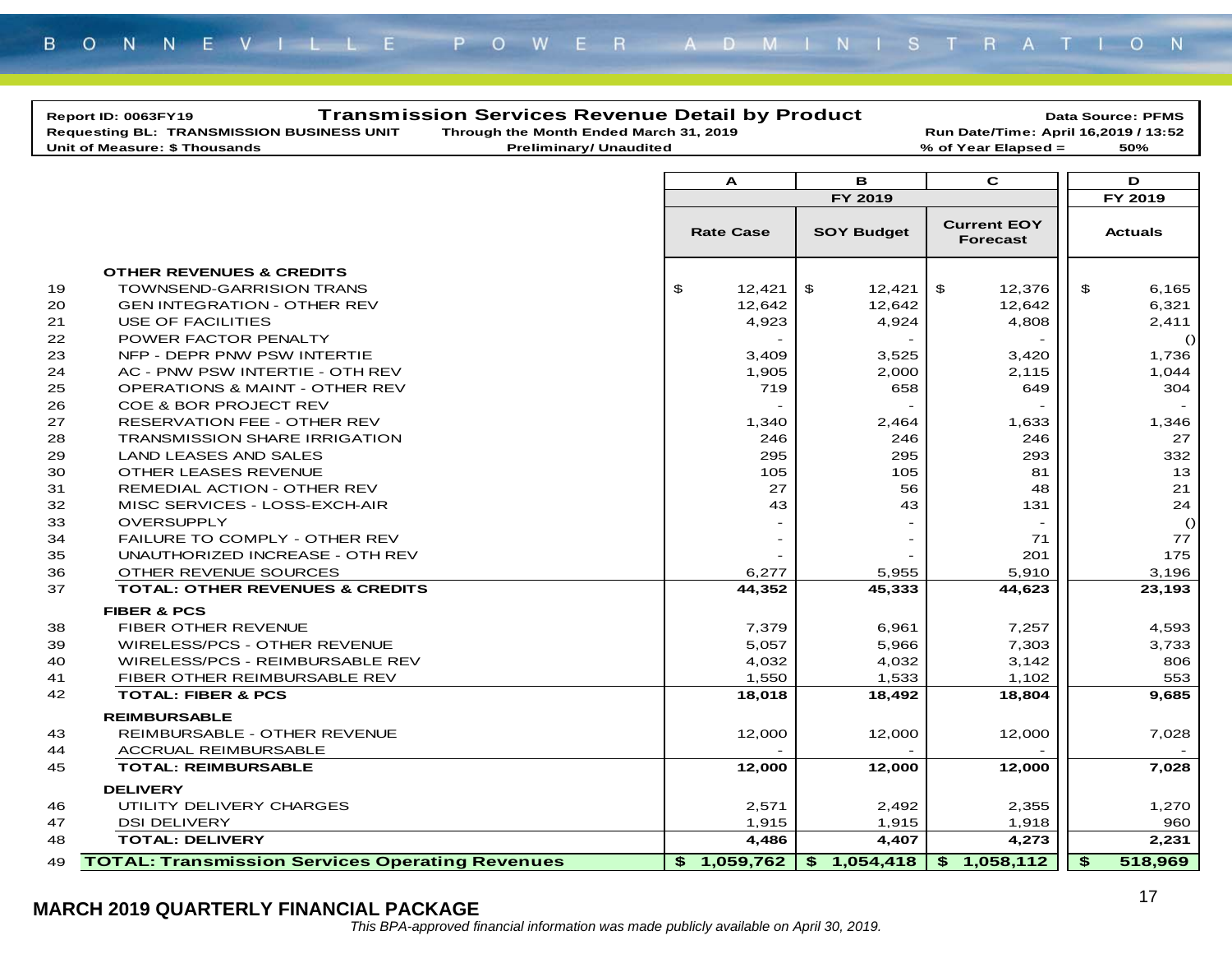|    | Report ID: 0063FY19                                    | <b>Transmission Services Revenue Detail by Product</b> |        |                          |                                       |                | <b>Data Source: PFMS</b> |
|----|--------------------------------------------------------|--------------------------------------------------------|--------|--------------------------|---------------------------------------|----------------|--------------------------|
|    | <b>Requesting BL: TRANSMISSION BUSINESS UNIT</b>       | Through the Month Ended March 31, 2019                 |        |                          | Run Date/Time: April 16,2019 / 13:52  |                |                          |
|    | Unit of Measure: \$ Thousands                          | <b>Preliminary/ Unaudited</b>                          |        |                          | % of Year Elapsed =                   |                | 50%                      |
|    |                                                        |                                                        |        |                          |                                       |                |                          |
|    |                                                        | A                                                      |        | в                        | $\mathbf c$                           |                | D                        |
|    |                                                        |                                                        |        | FY 2019                  |                                       |                | FY 2019                  |
|    |                                                        | <b>Rate Case</b>                                       |        | <b>SOY Budget</b>        | <b>Current EOY</b><br><b>Forecast</b> |                | <b>Actuals</b>           |
|    | <b>OTHER REVENUES &amp; CREDITS</b>                    |                                                        |        |                          |                                       |                |                          |
| 19 | <b>TOWNSEND-GARRISION TRANS</b>                        | $\boldsymbol{\mathsf{s}}$                              | 12,421 | $\mathfrak{P}$<br>12,421 | \$<br>12,376                          | $\mathfrak{P}$ | 6,165                    |
| 20 | <b>GEN INTEGRATION - OTHER REV</b>                     |                                                        | 12,642 | 12,642                   | 12,642                                |                | 6,321                    |
| 21 | USE OF FACILITIES                                      |                                                        | 4,923  | 4,924                    | 4,808                                 |                | 2,411                    |
| 22 | POWER FACTOR PENALTY                                   |                                                        |        |                          |                                       |                | ()                       |
| 23 | NFP - DEPR PNW PSW INTERTIE                            |                                                        | 3,409  | 3,525                    | 3,420                                 |                | 1,736                    |
| 24 | AC - PNW PSW INTERTIE - OTH REV                        |                                                        | 1,905  | 2,000                    | 2,115                                 |                | 1,044                    |
| 25 | <b>OPERATIONS &amp; MAINT - OTHER REV</b>              |                                                        | 719    | 658                      | 649                                   |                | 304                      |
| 26 | COE & BOR PROJECT REV                                  |                                                        |        |                          |                                       |                |                          |
| 27 | <b>RESERVATION FEE - OTHER REV</b>                     |                                                        | 1,340  | 2,464                    | 1,633                                 |                | 1,346                    |
| 28 | <b>TRANSMISSION SHARE IRRIGATION</b>                   |                                                        | 246    | 246                      | 246                                   |                | 27                       |
| 29 | <b>LAND LEASES AND SALES</b>                           |                                                        | 295    | 295                      | 293                                   |                | 332                      |
| 30 | OTHER LEASES REVENUE                                   |                                                        | 105    | 105                      | 81                                    |                | 13                       |
| 31 | REMEDIAL ACTION - OTHER REV                            |                                                        | 27     | 56                       | 48                                    |                | 21                       |
| 32 | MISC SERVICES - LOSS-EXCH-AIR                          |                                                        | 43     | 43                       | 131                                   |                | 24                       |
| 33 | <b>OVERSUPPLY</b>                                      |                                                        |        |                          |                                       |                | $\circ$                  |
| 34 | <b>FAILURE TO COMPLY - OTHER REV</b>                   |                                                        |        |                          | 71                                    |                | 77                       |
| 35 | UNAUTHORIZED INCREASE - OTH REV                        |                                                        |        |                          | 201                                   |                | 175                      |
| 36 | OTHER REVENUE SOURCES                                  |                                                        | 6,277  | 5,955                    | 5,910                                 |                | 3,196                    |
| 37 | <b>TOTAL: OTHER REVENUES &amp; CREDITS</b>             |                                                        | 44,352 | 45,333                   | 44,623                                |                | 23,193                   |
|    |                                                        |                                                        |        |                          |                                       |                |                          |
|    | <b>FIBER &amp; PCS</b>                                 |                                                        |        |                          |                                       |                |                          |
| 38 | FIBER OTHER REVENUE                                    |                                                        | 7,379  | 6,961                    | 7,257                                 |                | 4,593                    |
| 39 | WIRELESS/PCS - OTHER REVENUE                           |                                                        | 5,057  | 5,966                    | 7,303                                 |                | 3,733                    |
| 40 | WIRELESS/PCS - REIMBURSABLE REV                        |                                                        | 4,032  | 4,032                    | 3,142                                 |                | 806                      |
| 41 | FIBER OTHER REIMBURSABLE REV                           |                                                        | 1,550  | 1,533                    | 1,102                                 |                | 553                      |
| 42 | <b>TOTAL: FIBER &amp; PCS</b>                          |                                                        | 18,018 | 18,492                   | 18,804                                |                | 9.685                    |
|    | <b>REIMBURSABLE</b>                                    |                                                        |        |                          |                                       |                |                          |
| 43 | <b>REIMBURSABLE - OTHER REVENUE</b>                    |                                                        | 12,000 | 12,000                   | 12,000                                |                | 7,028                    |
| 44 | <b>ACCRUAL REIMBURSABLE</b>                            |                                                        |        |                          |                                       |                |                          |
| 45 | <b>TOTAL: REIMBURSABLE</b>                             |                                                        | 12,000 | 12,000                   | 12,000                                |                | 7,028                    |
|    | <b>DELIVERY</b>                                        |                                                        |        |                          |                                       |                |                          |
| 46 | UTILITY DELIVERY CHARGES                               |                                                        | 2,571  | 2,492                    | 2,355                                 |                | 1,270                    |
| 47 | <b>DSI DELIVERY</b>                                    |                                                        | 1,915  | 1,915                    | 1,918                                 |                | 960                      |
| 48 | <b>TOTAL: DELIVERY</b>                                 |                                                        | 4,486  | 4,407                    | 4,273                                 |                | 2,231                    |
| 49 | <b>TOTAL: Transmission Services Operating Revenues</b> | 1,059,762<br>\$                                        |        | \$1,054,418              | \$1,058,112                           | \$             | 518,969                  |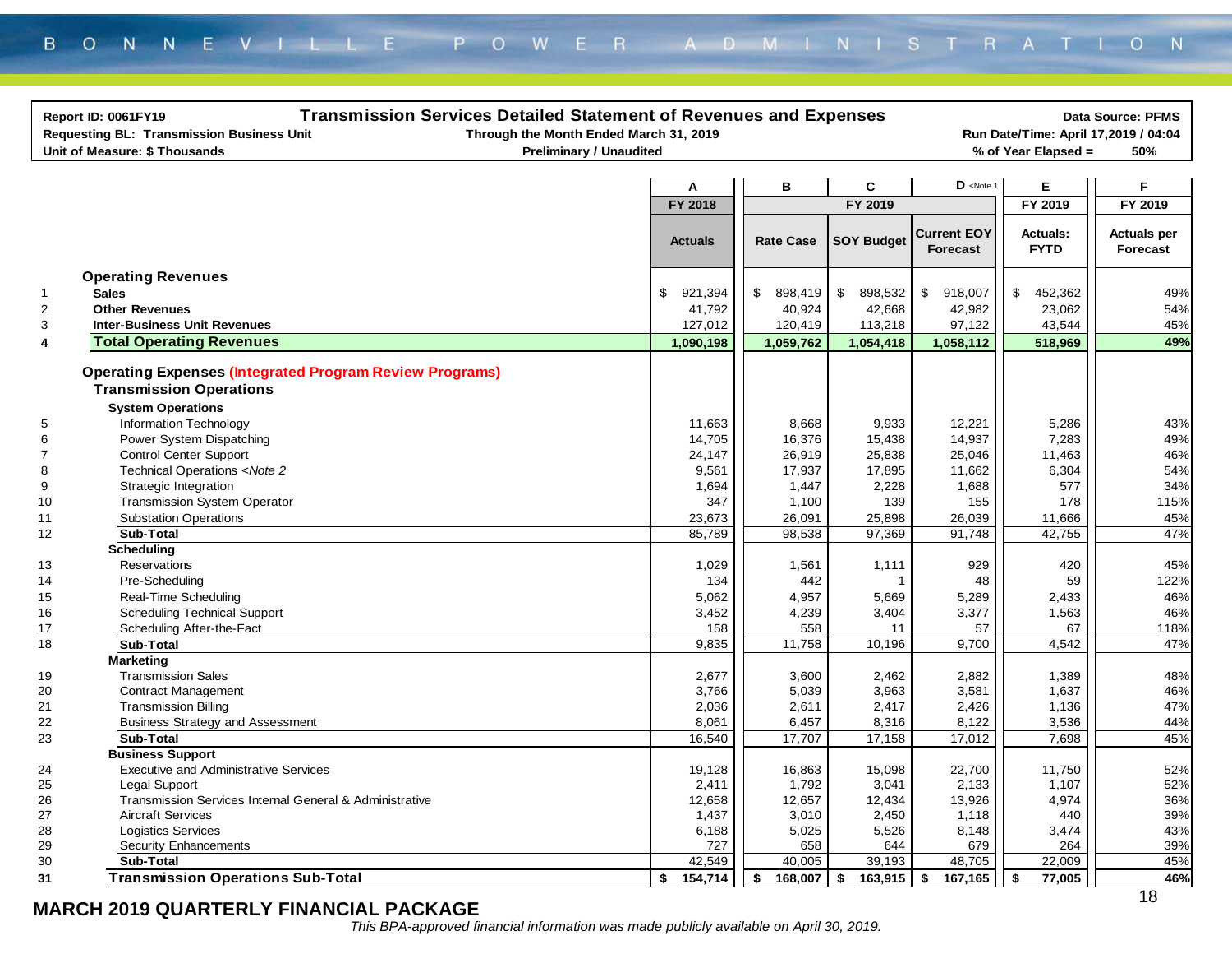|                         | <b>Transmission Services Detailed Statement of Revenues and Expenses</b><br><b>Data Source: PFMS</b><br>Report ID: 0061FY19<br><b>Requesting BL: Transmission Business Unit</b><br>Through the Month Ended March 31, 2019<br>Run Date/Time: April 17,2019 / 04:04<br>Unit of Measure: \$ Thousands<br><b>Preliminary / Unaudited</b><br>% of Year Elapsed =<br>50% |                |                  |                         |                                               |                                |                                |  |  |
|-------------------------|--------------------------------------------------------------------------------------------------------------------------------------------------------------------------------------------------------------------------------------------------------------------------------------------------------------------------------------------------------------------|----------------|------------------|-------------------------|-----------------------------------------------|--------------------------------|--------------------------------|--|--|
|                         |                                                                                                                                                                                                                                                                                                                                                                    |                |                  |                         |                                               |                                |                                |  |  |
|                         |                                                                                                                                                                                                                                                                                                                                                                    | A              | в                | C                       | $D$ <note< td=""><td>Е</td><td>F</td></note<> | Е                              | F                              |  |  |
|                         |                                                                                                                                                                                                                                                                                                                                                                    | FY 2018        |                  | FY 2019                 |                                               | FY 2019                        | FY 2019                        |  |  |
|                         |                                                                                                                                                                                                                                                                                                                                                                    |                |                  |                         |                                               |                                |                                |  |  |
|                         |                                                                                                                                                                                                                                                                                                                                                                    | <b>Actuals</b> | <b>Rate Case</b> | <b>SOY Budget</b>       | <b>Current EOY</b><br><b>Forecast</b>         | <b>Actuals:</b><br><b>FYTD</b> | <b>Actuals per</b><br>Forecast |  |  |
|                         | <b>Operating Revenues</b>                                                                                                                                                                                                                                                                                                                                          |                |                  |                         |                                               |                                |                                |  |  |
| $\mathbf{1}$            | <b>Sales</b>                                                                                                                                                                                                                                                                                                                                                       | \$<br>921,394  | \$<br>898,419    | $\mathbb{S}$<br>898,532 | \$<br>918,007                                 | \$<br>452,362                  | 49%                            |  |  |
| $\overline{2}$          | <b>Other Revenues</b>                                                                                                                                                                                                                                                                                                                                              | 41,792         | 40,924           | 42,668                  | 42,982                                        | 23,062                         | 54%                            |  |  |
| 3                       | <b>Inter-Business Unit Revenues</b>                                                                                                                                                                                                                                                                                                                                | 127,012        | 120,419          | 113,218                 | 97,122                                        | 43,544                         | 45%                            |  |  |
| $\overline{\mathbf{4}}$ | <b>Total Operating Revenues</b>                                                                                                                                                                                                                                                                                                                                    | 1,090,198      | 1,059,762        | 1,054,418               | 1,058,112                                     | 518,969                        | 49%                            |  |  |
|                         | <b>Operating Expenses (Integrated Program Review Programs)</b><br><b>Transmission Operations</b>                                                                                                                                                                                                                                                                   |                |                  |                         |                                               |                                |                                |  |  |
|                         | <b>System Operations</b>                                                                                                                                                                                                                                                                                                                                           |                |                  |                         |                                               |                                |                                |  |  |
| 5                       | Information Technology                                                                                                                                                                                                                                                                                                                                             | 11,663         | 8,668            | 9,933                   | 12,221                                        | 5,286                          | 43%                            |  |  |
| 6                       | Power System Dispatching                                                                                                                                                                                                                                                                                                                                           | 14,705         | 16,376           | 15,438                  | 14,937                                        | 7,283                          | 49%                            |  |  |
| $\overline{\mathbf{7}}$ | <b>Control Center Support</b>                                                                                                                                                                                                                                                                                                                                      | 24,147         | 26,919           | 25,838                  | 25,046                                        | 11,463                         | 46%                            |  |  |
| 8                       | Technical Operations <note 2<="" td=""><td>9,561</td><td>17,937</td><td>17,895</td><td>11,662</td><td>6,304</td><td>54%</td></note>                                                                                                                                                                                                                                | 9,561          | 17,937           | 17,895                  | 11,662                                        | 6,304                          | 54%                            |  |  |
| $\boldsymbol{9}$        | Strategic Integration                                                                                                                                                                                                                                                                                                                                              | 1,694          | 1,447            | 2,228                   | 1,688                                         | 577                            | 34%                            |  |  |
| 10                      | Transmission System Operator                                                                                                                                                                                                                                                                                                                                       | 347            | 1,100            | 139                     | 155                                           | 178                            | 115%                           |  |  |
| 11                      | <b>Substation Operations</b>                                                                                                                                                                                                                                                                                                                                       | 23,673         | 26,091           | 25,898                  | 26,039                                        | 11,666                         | 45%                            |  |  |
| 12                      | <b>Sub-Total</b>                                                                                                                                                                                                                                                                                                                                                   | 85,789         | 98,538           | 97,369                  | 91,748                                        | 42,755                         | 47%                            |  |  |
|                         | Scheduling                                                                                                                                                                                                                                                                                                                                                         |                |                  |                         |                                               |                                |                                |  |  |
| 13                      | Reservations                                                                                                                                                                                                                                                                                                                                                       | 1,029          | 1,561            | 1,111                   | 929                                           | 420                            | 45%                            |  |  |
| 14                      | Pre-Scheduling                                                                                                                                                                                                                                                                                                                                                     | 134            | 442              | -1                      | 48                                            | 59                             | 122%                           |  |  |
| 15                      | Real-Time Scheduling                                                                                                                                                                                                                                                                                                                                               | 5,062          | 4,957            | 5,669                   | 5,289                                         | 2,433                          | 46%                            |  |  |
| 16                      | <b>Scheduling Technical Support</b>                                                                                                                                                                                                                                                                                                                                | 3,452          | 4,239            | 3,404                   | 3,377                                         | 1,563                          | 46%                            |  |  |
| 17                      | Scheduling After-the-Fact                                                                                                                                                                                                                                                                                                                                          | 158            | 558              | 11                      | 57                                            | 67                             | 118%                           |  |  |
| 18                      | Sub-Total                                                                                                                                                                                                                                                                                                                                                          | 9,835          | 11,758           | 10,196                  | 9,700                                         | 4,542                          | 47%                            |  |  |
|                         | <b>Marketing</b>                                                                                                                                                                                                                                                                                                                                                   |                |                  |                         |                                               |                                |                                |  |  |
| 19                      | <b>Transmission Sales</b>                                                                                                                                                                                                                                                                                                                                          | 2,677          | 3,600            | 2,462                   | 2,882                                         | 1,389                          | 48%                            |  |  |
| 20<br>21                | Contract Management<br><b>Transmission Billing</b>                                                                                                                                                                                                                                                                                                                 | 3,766<br>2,036 | 5,039<br>2,611   | 3,963<br>2,417          | 3,581<br>2,426                                | 1,637<br>1,136                 | 46%<br>47%                     |  |  |
| 22                      |                                                                                                                                                                                                                                                                                                                                                                    | 8,061          | 6,457            | 8,316                   |                                               |                                | 44%                            |  |  |
| 23                      | <b>Business Strategy and Assessment</b><br>Sub-Total                                                                                                                                                                                                                                                                                                               | 16,540         | 17,707           | 17,158                  | 8,122<br>17,012                               | 3,536<br>7,698                 | 45%                            |  |  |
|                         | <b>Business Support</b>                                                                                                                                                                                                                                                                                                                                            |                |                  |                         |                                               |                                |                                |  |  |
| 24                      | <b>Executive and Administrative Services</b>                                                                                                                                                                                                                                                                                                                       | 19,128         | 16,863           | 15,098                  | 22,700                                        | 11,750                         | 52%                            |  |  |
| 25                      | <b>Legal Support</b>                                                                                                                                                                                                                                                                                                                                               | 2,411          | 1,792            | 3,041                   | 2,133                                         | 1,107                          | 52%                            |  |  |
| 26                      | Transmission Services Internal General & Administrative                                                                                                                                                                                                                                                                                                            | 12,658         | 12,657           | 12,434                  | 13,926                                        | 4,974                          | 36%                            |  |  |
| 27                      | <b>Aircraft Services</b>                                                                                                                                                                                                                                                                                                                                           | 1,437          | 3,010            | 2,450                   | 1,118                                         | 440                            | 39%                            |  |  |
| 28                      | <b>Logistics Services</b>                                                                                                                                                                                                                                                                                                                                          | 6,188          | 5,025            | 5,526                   | 8,148                                         | 3,474                          | 43%                            |  |  |
| 29                      | <b>Security Enhancements</b>                                                                                                                                                                                                                                                                                                                                       | 727            | 658              | 644                     | 679                                           | 264                            | 39%                            |  |  |
| 30                      | Sub-Total                                                                                                                                                                                                                                                                                                                                                          | 42,549         | 40,005           | 39,193                  | 48,705                                        | 22,009                         | 45%                            |  |  |
| 31                      | <b>Transmission Operations Sub-Total</b>                                                                                                                                                                                                                                                                                                                           | \$<br>154,714  | 168,007<br>\$    | \$<br>163,915           | S.<br>167,165                                 | S.<br>77,005                   | 46%                            |  |  |
|                         | MARCH 2019 QUARTERLY FINANCIAL PACKAGE                                                                                                                                                                                                                                                                                                                             |                |                  |                         |                                               |                                | 18                             |  |  |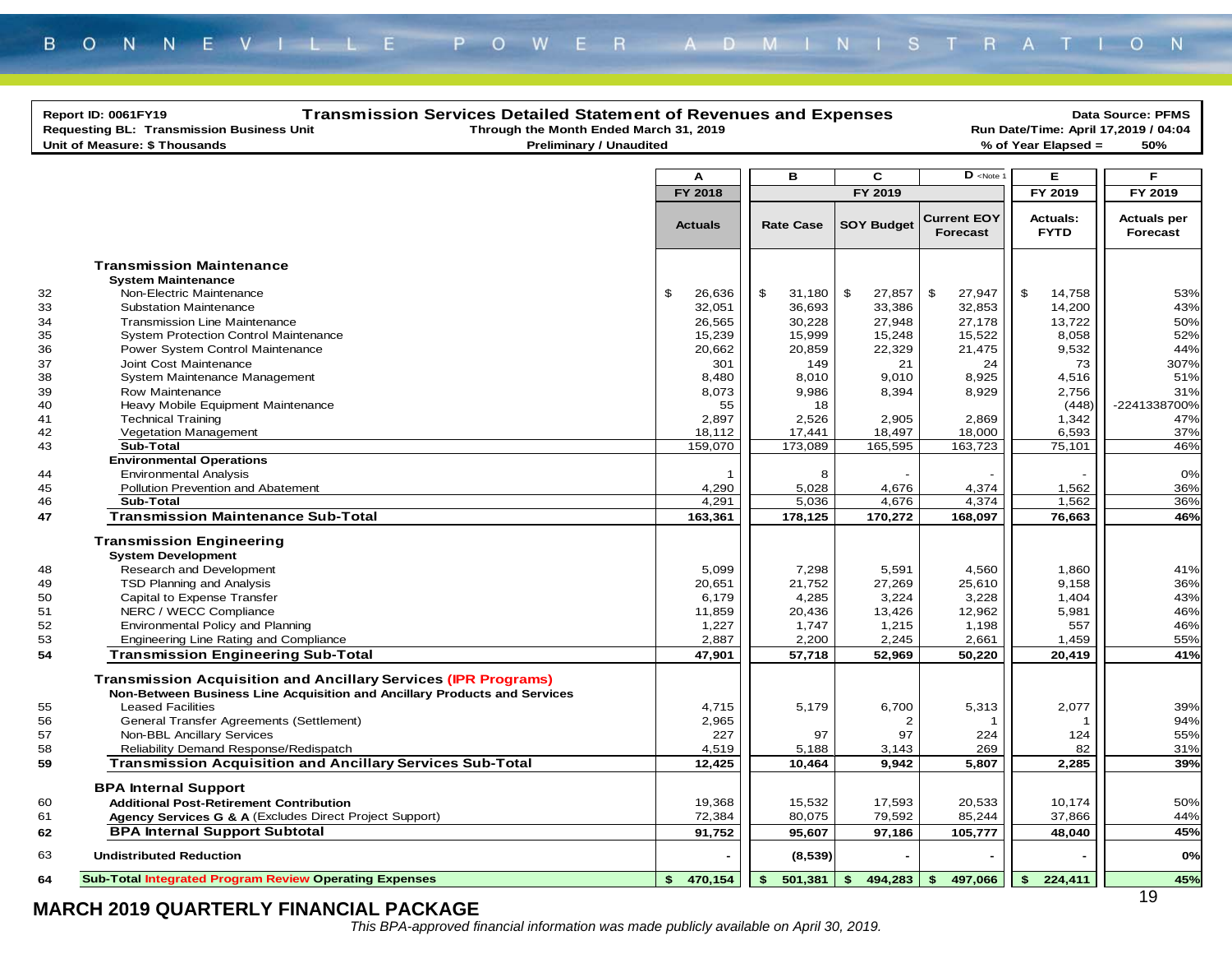|    | <b>Transmission Services Detailed Statement of Revenues and Expenses</b><br>Report ID: 0061FY19<br>Requesting BL: Transmission Business Unit<br>Through the Month Ended March 31, 2019<br>Unit of Measure: \$ Thousands<br><b>Preliminary / Unaudited</b> |                |                  |                   | % of Year Elapsed =                           | Data Source: PFMS<br>Run Date/Time: April 17,2019 / 04:04<br>50% |                                |
|----|-----------------------------------------------------------------------------------------------------------------------------------------------------------------------------------------------------------------------------------------------------------|----------------|------------------|-------------------|-----------------------------------------------|------------------------------------------------------------------|--------------------------------|
|    |                                                                                                                                                                                                                                                           |                |                  |                   |                                               |                                                                  |                                |
|    |                                                                                                                                                                                                                                                           | A              | в                | C                 | $D$ <note< td=""><td>Е</td><td>E</td></note<> | Е                                                                | E                              |
|    |                                                                                                                                                                                                                                                           | FY 2018        |                  | FY 2019           |                                               | FY 2019                                                          | FY 2019                        |
|    |                                                                                                                                                                                                                                                           | <b>Actuals</b> | <b>Rate Case</b> | <b>SOY Budget</b> | <b>Current EOY</b><br>Forecast                | <b>Actuals:</b><br><b>FYTD</b>                                   | <b>Actuals per</b><br>Forecast |
|    | <b>Transmission Maintenance</b>                                                                                                                                                                                                                           |                |                  |                   |                                               |                                                                  |                                |
|    | <b>System Maintenance</b>                                                                                                                                                                                                                                 |                |                  |                   |                                               |                                                                  |                                |
| 32 | Non-Electric Maintenance                                                                                                                                                                                                                                  | \$<br>26,636   | \$<br>31,180     | \$<br>27,857      | \$<br>27,947                                  | \$<br>14,758                                                     | 53%                            |
| 33 | <b>Substation Maintenance</b>                                                                                                                                                                                                                             | 32,051         | 36,693           | 33,386            | 32,853                                        | 14,200                                                           | 43%                            |
| 34 | <b>Transmission Line Maintenance</b>                                                                                                                                                                                                                      | 26,565         | 30,228           | 27,948            | 27,178                                        | 13,722                                                           | 50%                            |
| 35 | <b>System Protection Control Maintenance</b>                                                                                                                                                                                                              | 15,239         | 15,999           | 15,248            | 15,522                                        | 8,058                                                            | 52%                            |
| 36 | Power System Control Maintenance                                                                                                                                                                                                                          | 20,662         | 20,859           | 22,329            | 21,475                                        | 9,532                                                            | 44%                            |
| 37 | Joint Cost Maintenance                                                                                                                                                                                                                                    | 301            | 149              | 21                | 24                                            | 73                                                               | 307%                           |
| 38 | System Maintenance Management                                                                                                                                                                                                                             | 8,480          | 8,010            | 9,010             | 8,925                                         | 4,516                                                            | 51%                            |
| 39 | Row Maintenance                                                                                                                                                                                                                                           | 8,073          | 9,986            | 8,394             | 8,929                                         | 2,756                                                            | 31%                            |
| 40 | Heavy Mobile Equipment Maintenance                                                                                                                                                                                                                        | 55             | 18               |                   |                                               | (448)                                                            | -2241338700%                   |
| 41 | <b>Technical Training</b>                                                                                                                                                                                                                                 | 2,897          | 2,526            | 2,905             | 2,869                                         | 1,342                                                            | 47%                            |
| 42 | Vegetation Management                                                                                                                                                                                                                                     | 18,112         | 17,441           | 18,497            | 18,000                                        | 6,593                                                            | 37%                            |
| 43 | Sub-Total                                                                                                                                                                                                                                                 | 159,070        | 173,089          | 165,595           | 163,723                                       | 75, 101                                                          | 46%                            |
|    | <b>Environmental Operations</b>                                                                                                                                                                                                                           |                |                  |                   |                                               |                                                                  |                                |
| 44 | <b>Environmental Analysis</b>                                                                                                                                                                                                                             | -1             | 8                |                   |                                               |                                                                  | 0%                             |
| 45 | Pollution Prevention and Abatement                                                                                                                                                                                                                        | 4,290          | 5,028            | 4,676             | 4,374                                         | 1,562                                                            | 36%                            |
| 46 | Sub-Total                                                                                                                                                                                                                                                 | 4,291          | 5,036            | 4,676             | 4,374                                         | 1,562                                                            | 36%                            |
| 47 | <b>Transmission Maintenance Sub-Total</b>                                                                                                                                                                                                                 | 163,361        | 178,125          | 170,272           | 168,097                                       | 76,663                                                           | 46%                            |
|    | <b>Transmission Engineering</b>                                                                                                                                                                                                                           |                |                  |                   |                                               |                                                                  |                                |
|    | <b>System Development</b>                                                                                                                                                                                                                                 |                |                  |                   |                                               |                                                                  |                                |
| 48 | Research and Development                                                                                                                                                                                                                                  | 5,099          | 7,298            | 5,591             | 4,560                                         | 1,860                                                            | 41%                            |
| 49 | TSD Planning and Analysis                                                                                                                                                                                                                                 | 20,651         | 21,752           | 27,269            | 25,610                                        | 9,158                                                            | 36%                            |
| 50 | Capital to Expense Transfer                                                                                                                                                                                                                               | 6,179          | 4,285            | 3,224             | 3,228                                         | 1,404                                                            | 43%                            |
| 51 | NERC / WECC Compliance                                                                                                                                                                                                                                    | 11,859         | 20,436           | 13,426            | 12,962                                        | 5,981                                                            | 46%                            |
| 52 | Environmental Policy and Planning                                                                                                                                                                                                                         | 1,227          | 1,747            | 1,215             | 1,198                                         | 557                                                              | 46%                            |
| 53 | Engineering Line Rating and Compliance                                                                                                                                                                                                                    | 2,887          | 2,200            | 2,245             | 2,661                                         | 1,459                                                            | 55%                            |
| 54 | <b>Transmission Engineering Sub-Total</b>                                                                                                                                                                                                                 | 47,901         | 57,718           | 52,969            | 50,220                                        | 20,419                                                           | 41%                            |
|    | <b>Transmission Acquisition and Ancillary Services (IPR Programs)</b><br>Non-Between Business Line Acquisition and Ancillary Products and Services                                                                                                        |                |                  |                   |                                               |                                                                  |                                |
| 55 | <b>Leased Facilities</b>                                                                                                                                                                                                                                  | 4,715          | 5,179            | 6,700             | 5,313                                         | 2,077                                                            | 39%                            |
| 56 | General Transfer Agreements (Settlement)                                                                                                                                                                                                                  | 2,965          |                  | 2                 |                                               |                                                                  | 94%                            |
| 57 | Non-BBL Ancillary Services                                                                                                                                                                                                                                | 227            | 97               | 97                | 224                                           | 124                                                              | 55%                            |
| 58 | Reliability Demand Response/Redispatch                                                                                                                                                                                                                    | 4,519          | 5,188            | 3,143             | 269                                           | 82                                                               | 31%                            |
| 59 | <b>Transmission Acquisition and Ancillary Services Sub-Total</b>                                                                                                                                                                                          | 12,425         | 10,464           | 9,942             | 5,807                                         | 2,285                                                            | 39%                            |
|    | <b>BPA Internal Support</b>                                                                                                                                                                                                                               |                |                  |                   |                                               |                                                                  |                                |
| 60 | <b>Additional Post-Retirement Contribution</b>                                                                                                                                                                                                            | 19,368         | 15,532           | 17,593            | 20,533                                        | 10,174                                                           | 50%                            |
| 61 | Agency Services G & A (Excludes Direct Project Support)                                                                                                                                                                                                   | 72,384         | 80,075           | 79,592            | 85,244                                        | 37,866                                                           | 44%                            |
| 62 | <b>BPA Internal Support Subtotal</b>                                                                                                                                                                                                                      | 91,752         | 95,607           | 97,186            | 105,777                                       | 48,040                                                           | 45%                            |
| 63 | <b>Undistributed Reduction</b>                                                                                                                                                                                                                            |                | (8, 539)         |                   |                                               |                                                                  | 0%                             |
| 64 | <b>Sub-Total Integrated Program Review Operating Expenses</b>                                                                                                                                                                                             | \$470,154      | \$<br>501,381    | \$<br>494,283     | \$<br>497,066                                 | \$<br>224,411                                                    | 45%                            |
|    | MARCH 2019 QUARTERLY FINANCIAL PACKAGE                                                                                                                                                                                                                    |                |                  |                   |                                               |                                                                  | 19                             |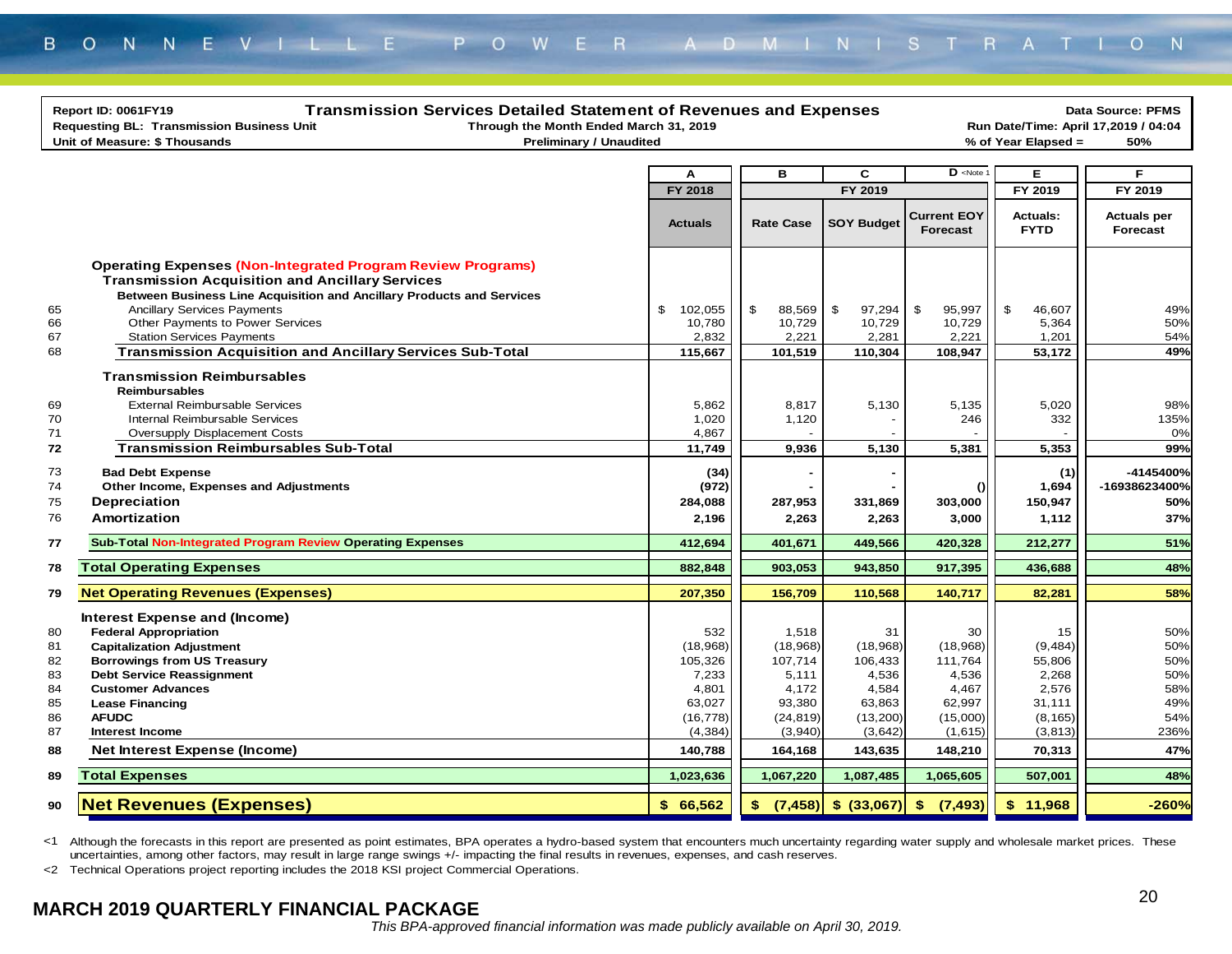|                                                          | <b>Transmission Services Detailed Statement of Revenues and Expenses</b><br>Report ID: 0061FY19                                                                                                                                                                                                                                       |                                                                                                         |                                                                                                          |                                                                                                      |                                                                                                      |                                                                                                   | <b>Data Source: PFMS</b>                                            |
|----------------------------------------------------------|---------------------------------------------------------------------------------------------------------------------------------------------------------------------------------------------------------------------------------------------------------------------------------------------------------------------------------------|---------------------------------------------------------------------------------------------------------|----------------------------------------------------------------------------------------------------------|------------------------------------------------------------------------------------------------------|------------------------------------------------------------------------------------------------------|---------------------------------------------------------------------------------------------------|---------------------------------------------------------------------|
|                                                          | Through the Month Ended March 31, 2019<br>Requesting BL: Transmission Business Unit                                                                                                                                                                                                                                                   |                                                                                                         |                                                                                                          |                                                                                                      |                                                                                                      |                                                                                                   | Run Date/Time: April 17,2019 / 04:04                                |
|                                                          | Unit of Measure: \$ Thousands<br><b>Preliminary / Unaudited</b>                                                                                                                                                                                                                                                                       |                                                                                                         |                                                                                                          |                                                                                                      |                                                                                                      | % of Year Elapsed =                                                                               | 50%                                                                 |
|                                                          |                                                                                                                                                                                                                                                                                                                                       |                                                                                                         |                                                                                                          |                                                                                                      |                                                                                                      |                                                                                                   |                                                                     |
|                                                          |                                                                                                                                                                                                                                                                                                                                       | A                                                                                                       | в                                                                                                        | C                                                                                                    | $\mathbf{D}$ <note< td=""><td>Е</td><td>F.</td></note<>                                              | Е                                                                                                 | F.                                                                  |
|                                                          |                                                                                                                                                                                                                                                                                                                                       | FY 2018                                                                                                 |                                                                                                          | FY 2019                                                                                              |                                                                                                      | FY 2019                                                                                           | FY 2019                                                             |
|                                                          |                                                                                                                                                                                                                                                                                                                                       | <b>Actuals</b>                                                                                          | <b>Rate Case</b>                                                                                         | <b>SOY Budget</b>                                                                                    | <b>Current EOY</b><br><b>Forecast</b>                                                                | Actuals:<br><b>FYTD</b>                                                                           | <b>Actuals per</b><br>Forecast                                      |
| 65<br>66<br>67                                           | <b>Operating Expenses (Non-Integrated Program Review Programs)</b><br><b>Transmission Acquisition and Ancillary Services</b><br>Between Business Line Acquisition and Ancillary Products and Services<br><b>Ancillary Services Payments</b><br>Other Payments to Power Services<br><b>Station Services Payments</b>                   | \$<br>102,055<br>10,780<br>2,832                                                                        | $\mathfrak{S}$<br>88,569<br>10,729<br>2,221                                                              | \$<br>97,294<br>10,729<br>2,281                                                                      | \$<br>95,997<br>10,729<br>2,221                                                                      | \$<br>46,607<br>5,364<br>1,201                                                                    | 49%<br>50%<br>54%                                                   |
| 68                                                       | <b>Transmission Acquisition and Ancillary Services Sub-Total</b>                                                                                                                                                                                                                                                                      | 115,667                                                                                                 | 101,519                                                                                                  | 110,304                                                                                              | 108,947                                                                                              | 53,172                                                                                            | 49%                                                                 |
| 69<br>70<br>71<br>72                                     | <b>Transmission Reimbursables</b><br><b>Reimbursables</b><br><b>External Reimbursable Services</b><br>Internal Reimbursable Services<br>Oversupply Displacement Costs<br><b>Transmission Reimbursables Sub-Total</b>                                                                                                                  | 5.862<br>1,020<br>4,867<br>11,749                                                                       | 8,817<br>1,120<br>9,936                                                                                  | 5,130<br>5,130                                                                                       | 5,135<br>246<br>5,381                                                                                | 5,020<br>332<br>5,353                                                                             | 98%<br>135%<br>0%<br>99%                                            |
| 73<br>74<br>75<br>76                                     | <b>Bad Debt Expense</b><br>Other Income, Expenses and Adjustments<br>Depreciation<br>Amortization                                                                                                                                                                                                                                     | (34)<br>(972)<br>284,088<br>2,196                                                                       | 287,953<br>2,263                                                                                         | 331,869<br>2,263                                                                                     | $\Omega$<br>303,000<br>3,000                                                                         | (1)<br>1,694<br>150,947<br>1,112                                                                  | -4145400%<br>-16938623400%<br>50%<br>37%                            |
| 77                                                       | <b>Sub-Total Non-Integrated Program Review Operating Expenses</b>                                                                                                                                                                                                                                                                     | 412,694                                                                                                 | 401,671                                                                                                  | 449,566                                                                                              | 420,328                                                                                              | 212,277                                                                                           | 51%                                                                 |
| 78                                                       | <b>Total Operating Expenses</b>                                                                                                                                                                                                                                                                                                       | 882,848                                                                                                 | 903,053                                                                                                  | 943,850                                                                                              | 917,395                                                                                              | 436,688                                                                                           | 48%                                                                 |
| 79                                                       | <b>Net Operating Revenues (Expenses)</b>                                                                                                                                                                                                                                                                                              | 207,350                                                                                                 | 156,709                                                                                                  | 110,568                                                                                              | 140,717                                                                                              | 82,281                                                                                            | 58%                                                                 |
| 80<br>81<br>82<br>83<br>84<br>85<br>86<br>87<br>88<br>89 | Interest Expense and (Income)<br><b>Federal Appropriation</b><br><b>Capitalization Adjustment</b><br><b>Borrowings from US Treasury</b><br><b>Debt Service Reassignment</b><br><b>Customer Advances</b><br><b>Lease Financing</b><br><b>AFUDC</b><br>Interest Income<br><b>Net Interest Expense (Income)</b><br><b>Total Expenses</b> | 532<br>(18,968)<br>105,326<br>7,233<br>4,801<br>63,027<br>(16, 778)<br>(4, 384)<br>140,788<br>1,023,636 | 1,518<br>(18,968)<br>107,714<br>5,111<br>4,172<br>93,380<br>(24, 819)<br>(3,940)<br>164,168<br>1,067,220 | 31<br>(18,968)<br>106,433<br>4,536<br>4,584<br>63,863<br>(13,200)<br>(3,642)<br>143,635<br>1,087,485 | 30<br>(18,968)<br>111.764<br>4,536<br>4,467<br>62,997<br>(15,000)<br>(1,615)<br>148,210<br>1,065,605 | 15<br>(9, 484)<br>55,806<br>2,268<br>2,576<br>31,111<br>(8, 165)<br>(3, 813)<br>70,313<br>507,001 | 50%<br>50%<br>50%<br>50%<br>58%<br>49%<br>54%<br>236%<br>47%<br>48% |
| 90                                                       | <b>Net Revenues (Expenses)</b>                                                                                                                                                                                                                                                                                                        | \$66.562                                                                                                |                                                                                                          |                                                                                                      |                                                                                                      | \$11,968                                                                                          | $-260%$                                                             |
|                                                          |                                                                                                                                                                                                                                                                                                                                       |                                                                                                         |                                                                                                          |                                                                                                      |                                                                                                      |                                                                                                   |                                                                     |

<1 Although the forecasts in this report are presented as point estimates, BPA operates a hydro-based system that encounters much uncertainty regarding water supply and wholesale market prices. These uncertainties, among other factors, may result in large range swings +/- impacting the final results in revenues, expenses, and cash reserves.

<2 Technical Operations project reporting includes the 2018 KSI project Commercial Operations.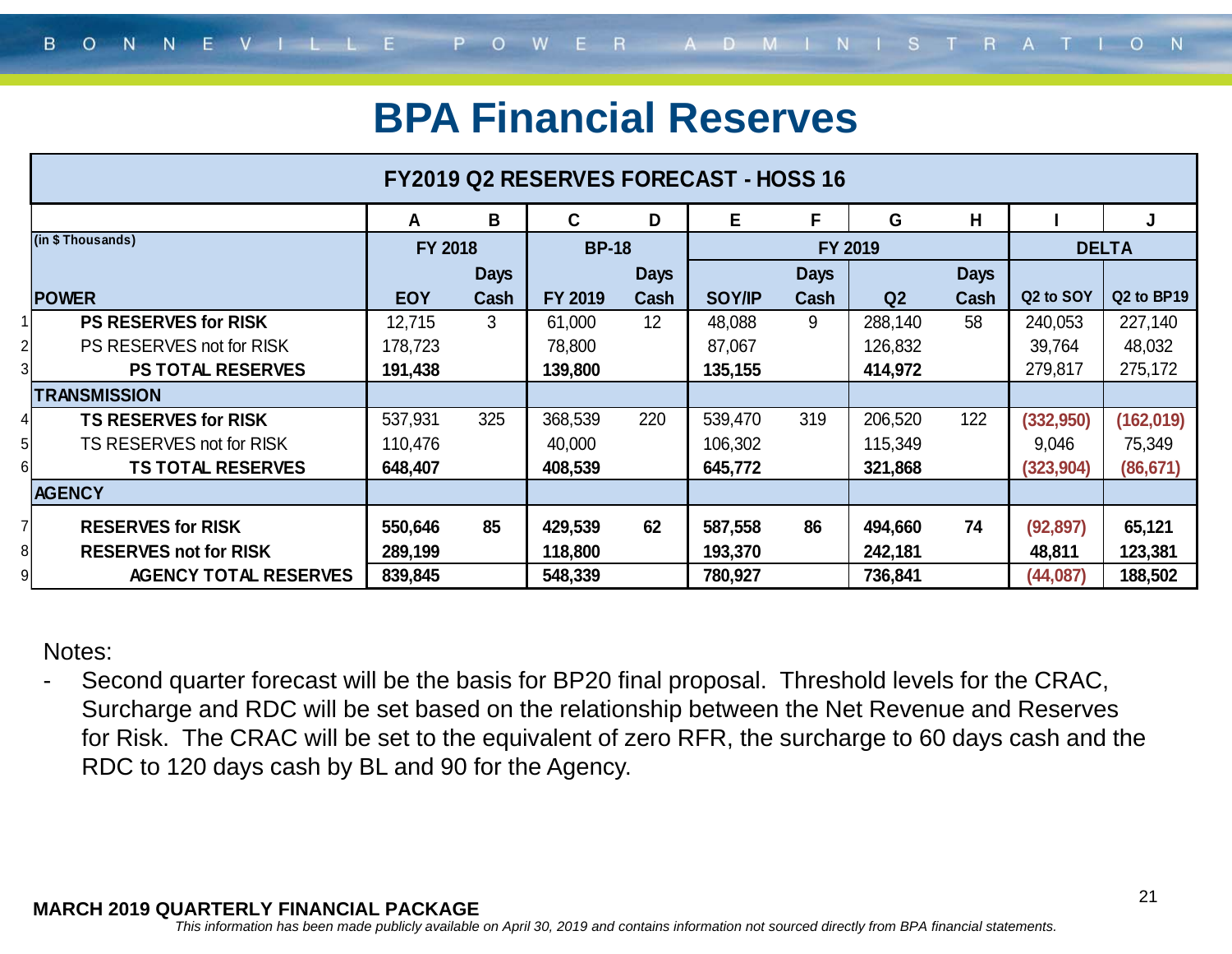### **BPA Financial Reserves**

|                                    | <b>FY2019 Q2 RESERVES FORECAST - HOSS 16</b> |             |              |             |               |             |         |             |            |                                    |
|------------------------------------|----------------------------------------------|-------------|--------------|-------------|---------------|-------------|---------|-------------|------------|------------------------------------|
|                                    | A                                            | B           | C            | D           | Е             | F           | G       | H           |            | J                                  |
| (in \$Thousands)                   | <b>FY 2018</b>                               |             | <b>BP-18</b> |             |               |             | FY 2019 |             |            | <b>DELTA</b>                       |
|                                    |                                              | <b>Days</b> |              | <b>Days</b> |               | <b>Days</b> |         | <b>Days</b> |            |                                    |
| <b>POWER</b>                       | <b>EOY</b>                                   | Cash        | FY 2019      | Cash        | <b>SOY/IP</b> | Cash        | Q2      | Cash        | Q2 to SOY  | Q <sub>2</sub> to BP <sub>19</sub> |
| <b>PS RESERVES for RISK</b>        | 12,715                                       | 3           | 61,000       | 12          | 48,088        | 9           | 288,140 | 58          | 240,053    | 227,140                            |
| PS RESERVES not for RISK           | 178,723                                      |             | 78,800       |             | 87,067        |             | 126,832 |             | 39,764     | 48,032                             |
| <b>PS TOTAL RESERVES</b>           | 191,438                                      |             | 139,800      |             | 135,155       |             | 414,972 |             | 279,817    | 275,172                            |
| <b>TRANSMISSION</b>                |                                              |             |              |             |               |             |         |             |            |                                    |
| <b>TS RESERVES for RISK</b>        | 537,931                                      | 325         | 368,539      | 220         | 539,470       | 319         | 206,520 | 122         | (332,950)  | (162,019)                          |
| TS RESERVES not for RISK           | 110,476                                      |             | 40,000       |             | 106,302       |             | 115,349 |             | 9,046      | 75,349                             |
| <b>TS TOTAL RESERVES</b>           | 648,407                                      |             | 408,539      |             | 645,772       |             | 321,868 |             | (323, 904) | (86, 671)                          |
| <b>AGENCY</b>                      |                                              |             |              |             |               |             |         |             |            |                                    |
| <b>RESERVES for RISK</b>           | 550,646                                      | 85          | 429,539      | 62          | 587,558       | 86          | 494,660 | 74          | (92, 897)  | 65,121                             |
| <b>RESERVES not for RISK</b><br>81 | 289,199                                      |             | 118,800      |             | 193,370       |             | 242,181 |             | 48,811     | 123,381                            |
| <b>AGENCY TOTAL RESERVES</b>       | 839,845                                      |             | 548,339      |             | 780,927       |             | 736,841 |             | (44, 087)  | 188,502                            |

Notes:

- Second quarter forecast will be the basis for BP20 final proposal. Threshold levels for the CRAC, Surcharge and RDC will be set based on the relationship between the Net Revenue and Reserves for Risk. The CRAC will be set to the equivalent of zero RFR, the surcharge to 60 days cash and the RDC to 120 days cash by BL and 90 for the Agency.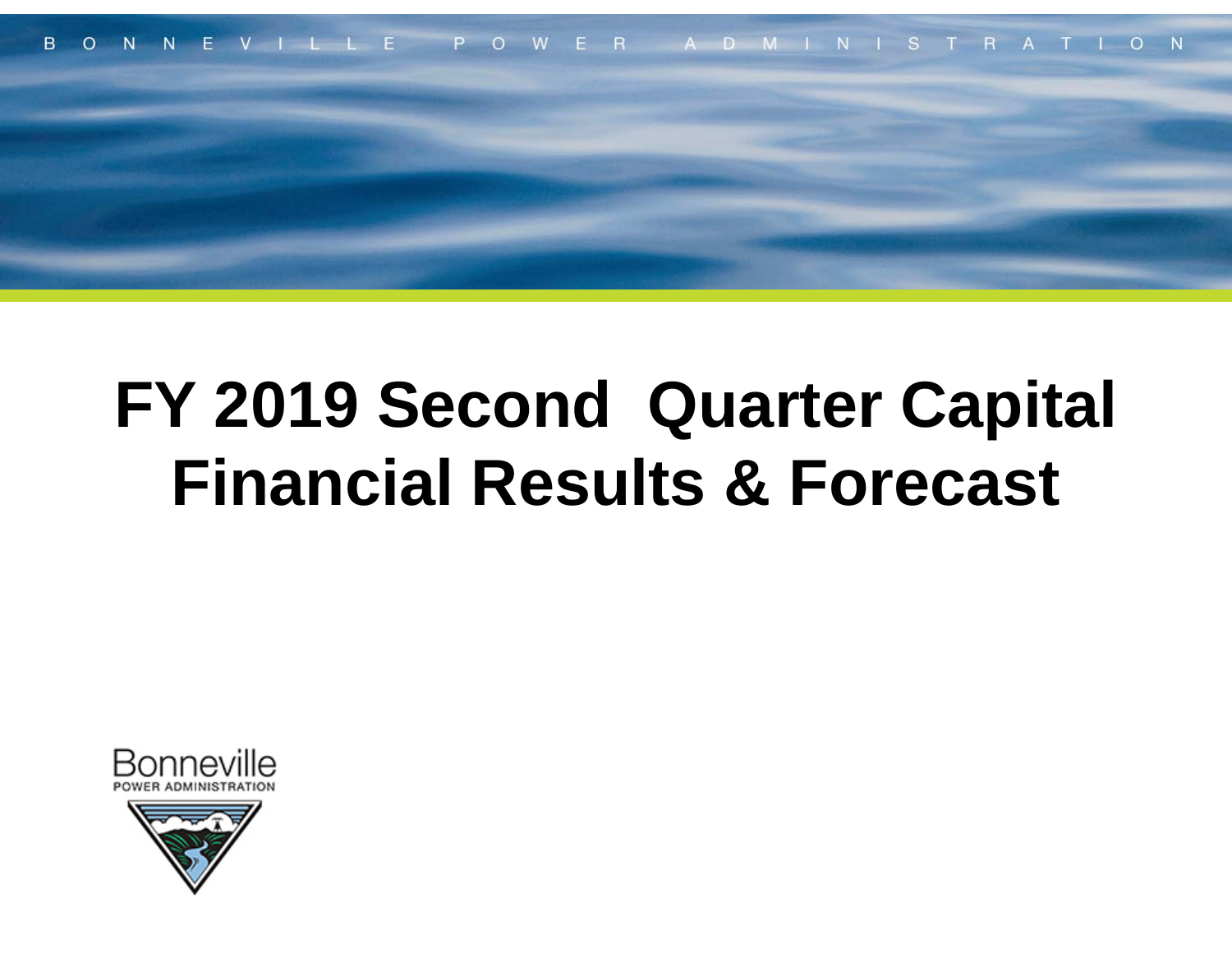

# **FY 2019 Second Quarter Capital Financial Results & Forecast**



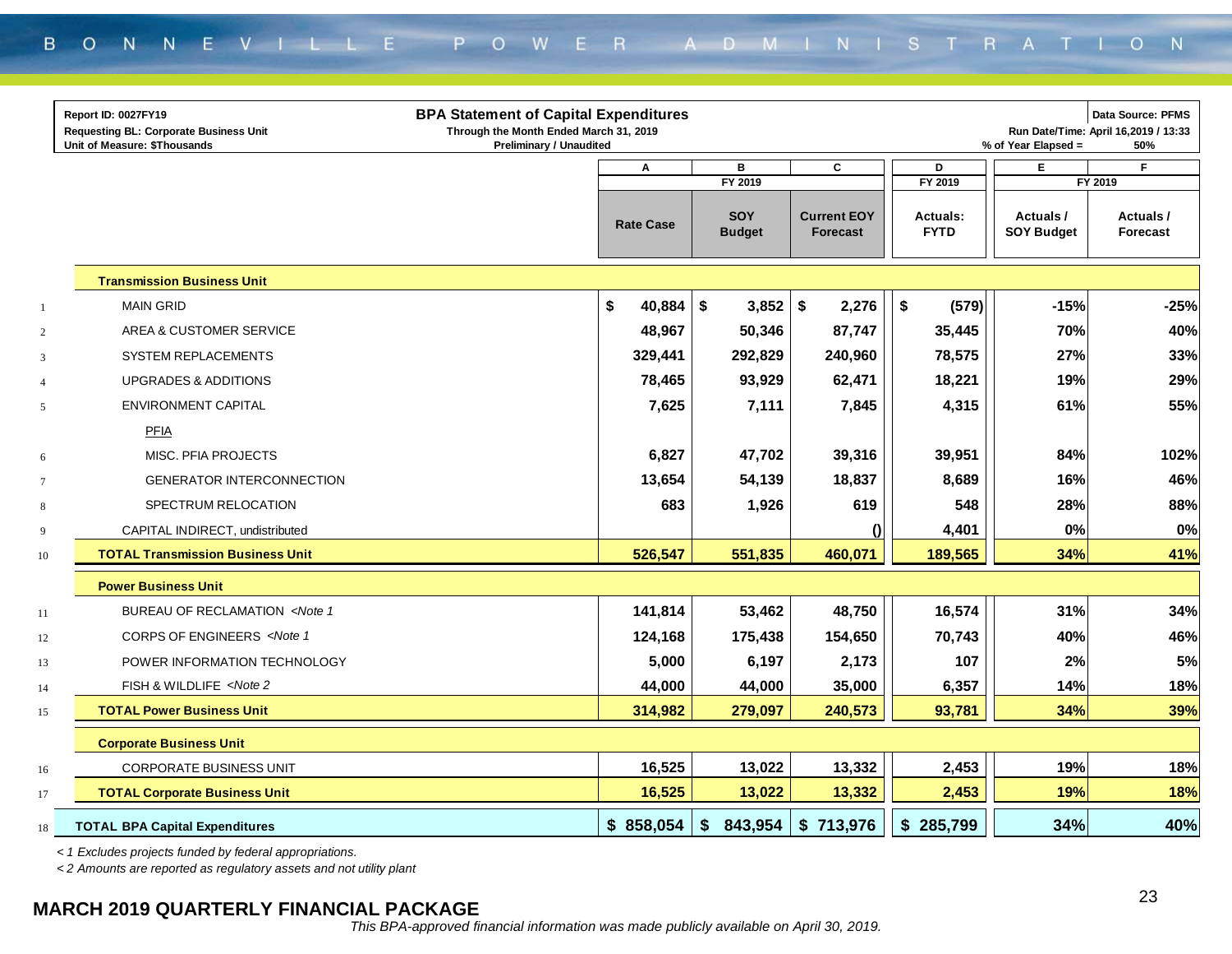|                | Report ID: 0027FY19                                                                                                                  | <b>BPA Statement of Capital Expenditures</b>                             |                             |                                       |                                |                               | Data Source: PFMS                           |
|----------------|--------------------------------------------------------------------------------------------------------------------------------------|--------------------------------------------------------------------------|-----------------------------|---------------------------------------|--------------------------------|-------------------------------|---------------------------------------------|
|                | <b>Requesting BL: Corporate Business Unit</b><br>Unit of Measure: \$Thousands                                                        | Through the Month Ended March 31, 2019<br><b>Preliminary / Unaudited</b> |                             |                                       |                                | % of Year Elapsed =           | Run Date/Time: April 16,2019 / 13:33<br>50% |
|                |                                                                                                                                      | Α                                                                        | В                           | C                                     | D                              | Е                             | F                                           |
|                |                                                                                                                                      |                                                                          | FY 2019                     |                                       | FY 2019                        |                               | FY 2019                                     |
|                |                                                                                                                                      | <b>Rate Case</b>                                                         | <b>SOY</b><br><b>Budget</b> | <b>Current EOY</b><br><b>Forecast</b> | <b>Actuals:</b><br><b>FYTD</b> | Actuals/<br><b>SOY Budget</b> | Actuals/<br><b>Forecast</b>                 |
|                | <b>Transmission Business Unit</b>                                                                                                    |                                                                          |                             |                                       |                                |                               |                                             |
| $\overline{1}$ | <b>MAIN GRID</b>                                                                                                                     | \$<br>40,884                                                             | \$<br>3,852                 | \$<br>2,276                           | \$<br>(579)                    | $-15%$                        | $-25%$                                      |
| $\overline{2}$ | AREA & CUSTOMER SERVICE                                                                                                              | 48,967                                                                   | 50,346                      | 87,747                                | 35,445                         | 70%                           | 40%                                         |
| 3              | SYSTEM REPLACEMENTS                                                                                                                  | 329,441                                                                  | 292,829                     | 240,960                               | 78,575                         | 27%                           | 33%                                         |
| $\overline{4}$ | <b>UPGRADES &amp; ADDITIONS</b>                                                                                                      | 78,465                                                                   | 93,929                      | 62,471                                | 18,221                         | 19%                           | 29%                                         |
| 5              | ENVIRONMENT CAPITAL                                                                                                                  | 7,625                                                                    | 7,111                       | 7,845                                 | 4,315                          | 61%                           | 55%                                         |
|                | PFIA                                                                                                                                 |                                                                          |                             |                                       |                                |                               |                                             |
| 6              | MISC. PFIA PROJECTS                                                                                                                  | 6,827                                                                    | 47,702                      | 39,316                                | 39,951                         | 84%                           | 102%                                        |
| $\tau$         | <b>GENERATOR INTERCONNECTION</b>                                                                                                     | 13,654                                                                   | 54,139                      | 18,837                                | 8,689                          | 16%                           | 46%                                         |
| $\,8\,$        | SPECTRUM RELOCATION                                                                                                                  | 683                                                                      | 1,926                       | 619                                   | 548                            | 28%                           | 88%                                         |
| 9              | CAPITAL INDIRECT, undistributed                                                                                                      |                                                                          |                             |                                       | 4,401                          | 0%                            | 0%                                          |
| 10             | <b>TOTAL Transmission Business Unit</b>                                                                                              | 526,547                                                                  | 551,835                     | 460,071                               | 189,565                        | 34%                           | 41%                                         |
|                | <b>Power Business Unit</b>                                                                                                           |                                                                          |                             |                                       |                                |                               |                                             |
| 11             | BUREAU OF RECLAMATION <note 1<="" td=""><td>141,814</td><td>53,462</td><td>48,750</td><td>16,574</td><td>31%</td><td>34%</td></note> | 141,814                                                                  | 53,462                      | 48,750                                | 16,574                         | 31%                           | 34%                                         |
| 12             | CORPS OF ENGINEERS <note 1<="" td=""><td>124,168</td><td>175,438</td><td>154,650</td><td>70,743</td><td>40%</td><td>46%</td></note>  | 124,168                                                                  | 175,438                     | 154,650                               | 70,743                         | 40%                           | 46%                                         |
| 13             | POWER INFORMATION TECHNOLOGY                                                                                                         | 5,000                                                                    | 6,197                       | 2,173                                 | 107                            | 2%                            | 5%                                          |
| 14             | FISH & WILDLIFE <note 2<="" td=""><td>44,000</td><td>44,000</td><td>35,000</td><td>6,357</td><td>14%</td><td>18%</td></note>         | 44,000                                                                   | 44,000                      | 35,000                                | 6,357                          | 14%                           | 18%                                         |
| 15             | <b>TOTAL Power Business Unit</b>                                                                                                     | 314,982                                                                  | 279,097                     | 240,573                               | 93,781                         | 34%                           | 39%                                         |
|                | <b>Corporate Business Unit</b>                                                                                                       |                                                                          |                             |                                       |                                |                               |                                             |
| 16             | <b>CORPORATE BUSINESS UNIT</b>                                                                                                       | 16,525                                                                   | 13,022                      | 13,332                                | 2,453                          | 19%                           | 18%                                         |
| 17             | <b>TOTAL Corporate Business Unit</b>                                                                                                 | 16,525                                                                   | 13,022                      | 13,332                                | 2,453                          | 19%                           | 18%                                         |
| 18             | <b>TOTAL BPA Capital Expenditures</b>                                                                                                | \$858,054                                                                | \$<br>843,954               | \$<br>713,976                         | 285,799<br>\$                  | 34%                           | 40%                                         |

*< 1 Excludes projects funded by federal appropriations.*

*< 2 Amounts are reported as regulatory assets and not utility plant*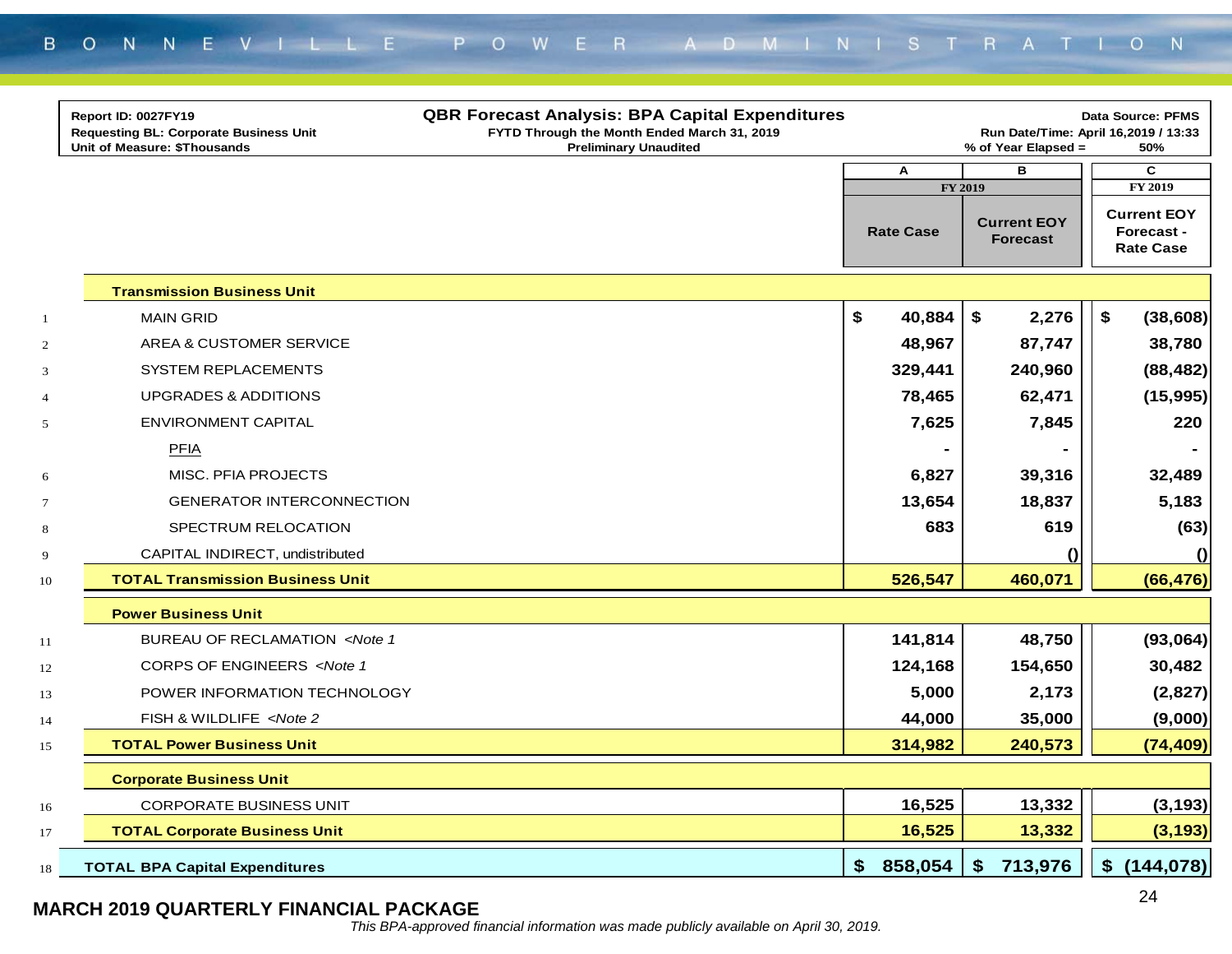|                  | Report ID: 0027FY19<br><b>Requesting BL: Corporate Business Unit</b><br>Unit of Measure: \$Thousands     | <b>QBR Forecast Analysis: BPA Capital Expenditures</b><br>FYTD Through the Month Ended March 31, 2019<br><b>Preliminary Unaudited</b> |                  | % of Year Elapsed =                              | <b>Data Source: PFMS</b><br>Run Date/Time: April 16,2019 / 13:33<br>50% |
|------------------|----------------------------------------------------------------------------------------------------------|---------------------------------------------------------------------------------------------------------------------------------------|------------------|--------------------------------------------------|-------------------------------------------------------------------------|
|                  |                                                                                                          |                                                                                                                                       | A                | в                                                | C                                                                       |
|                  |                                                                                                          |                                                                                                                                       | <b>Rate Case</b> | FY 2019<br><b>Current EOY</b><br><b>Forecast</b> | FY 2019<br><b>Current EOY</b><br>Forecast -<br><b>Rate Case</b>         |
|                  | <b>Transmission Business Unit</b>                                                                        |                                                                                                                                       |                  |                                                  |                                                                         |
| $\mathbf{1}$     | <b>MAIN GRID</b>                                                                                         |                                                                                                                                       | \$<br>40,884     | \$<br>2,276                                      | \$<br>(38, 608)                                                         |
| $\overline{c}$   | AREA & CUSTOMER SERVICE                                                                                  |                                                                                                                                       | 48,967           | 87,747                                           | 38,780                                                                  |
| 3                | <b>SYSTEM REPLACEMENTS</b>                                                                               |                                                                                                                                       | 329,441          | 240,960                                          | (88, 482)                                                               |
| $\overline{4}$   | <b>UPGRADES &amp; ADDITIONS</b>                                                                          |                                                                                                                                       | 78,465           | 62,471                                           | (15,995)                                                                |
| 5                | <b>ENVIRONMENT CAPITAL</b>                                                                               |                                                                                                                                       | 7,625            | 7,845                                            | 220                                                                     |
|                  | PFIA                                                                                                     |                                                                                                                                       |                  |                                                  |                                                                         |
| 6                | <b>MISC. PFIA PROJECTS</b>                                                                               |                                                                                                                                       | 6,827            | 39,316                                           | 32,489                                                                  |
| $\boldsymbol{7}$ | <b>GENERATOR INTERCONNECTION</b>                                                                         |                                                                                                                                       | 13,654           | 18,837                                           | 5,183                                                                   |
| $\bf 8$          | SPECTRUM RELOCATION                                                                                      |                                                                                                                                       | 683              | 619                                              | (63)                                                                    |
| 9                | CAPITAL INDIRECT, undistributed                                                                          |                                                                                                                                       |                  | $\Omega$                                         | $\Omega$                                                                |
| 10               | <b>TOTAL Transmission Business Unit</b>                                                                  |                                                                                                                                       | 526,547          | 460,071                                          | (66, 476)                                                               |
|                  | <b>Power Business Unit</b>                                                                               |                                                                                                                                       |                  |                                                  |                                                                         |
| 11               | BUREAU OF RECLAMATION <note 1<="" td=""><td></td><td>141,814</td><td>48,750</td><td>(93,064)</td></note> |                                                                                                                                       | 141,814          | 48,750                                           | (93,064)                                                                |
| 12               | CORPS OF ENGINEERS <note 1<="" td=""><td></td><td>124,168</td><td>154,650</td><td>30,482</td></note>     |                                                                                                                                       | 124,168          | 154,650                                          | 30,482                                                                  |
| 13               | POWER INFORMATION TECHNOLOGY                                                                             |                                                                                                                                       | 5,000            | 2,173                                            | (2,827)                                                                 |
| 14               | FISH & WILDLIFE <note 2<="" td=""><td></td><td>44,000</td><td>35,000</td><td>(9,000)</td></note>         |                                                                                                                                       | 44,000           | 35,000                                           | (9,000)                                                                 |
| 15               | <b>TOTAL Power Business Unit</b>                                                                         |                                                                                                                                       | 314,982          | 240,573                                          | (74, 409)                                                               |
|                  | <b>Corporate Business Unit</b>                                                                           |                                                                                                                                       |                  |                                                  |                                                                         |
| l 6              | <b>CORPORATE BUSINESS UNIT</b>                                                                           |                                                                                                                                       | 16,525           | 13,332                                           | (3, 193)                                                                |
| 17               | <b>TOTAL Corporate Business Unit</b>                                                                     |                                                                                                                                       | 16,525           | 13,332                                           | (3, 193)                                                                |
| 18               | <b>TOTAL BPA Capital Expenditures</b>                                                                    |                                                                                                                                       | 858,054<br>\$    | 713,976<br>S                                     | \$<br>(144, 078)                                                        |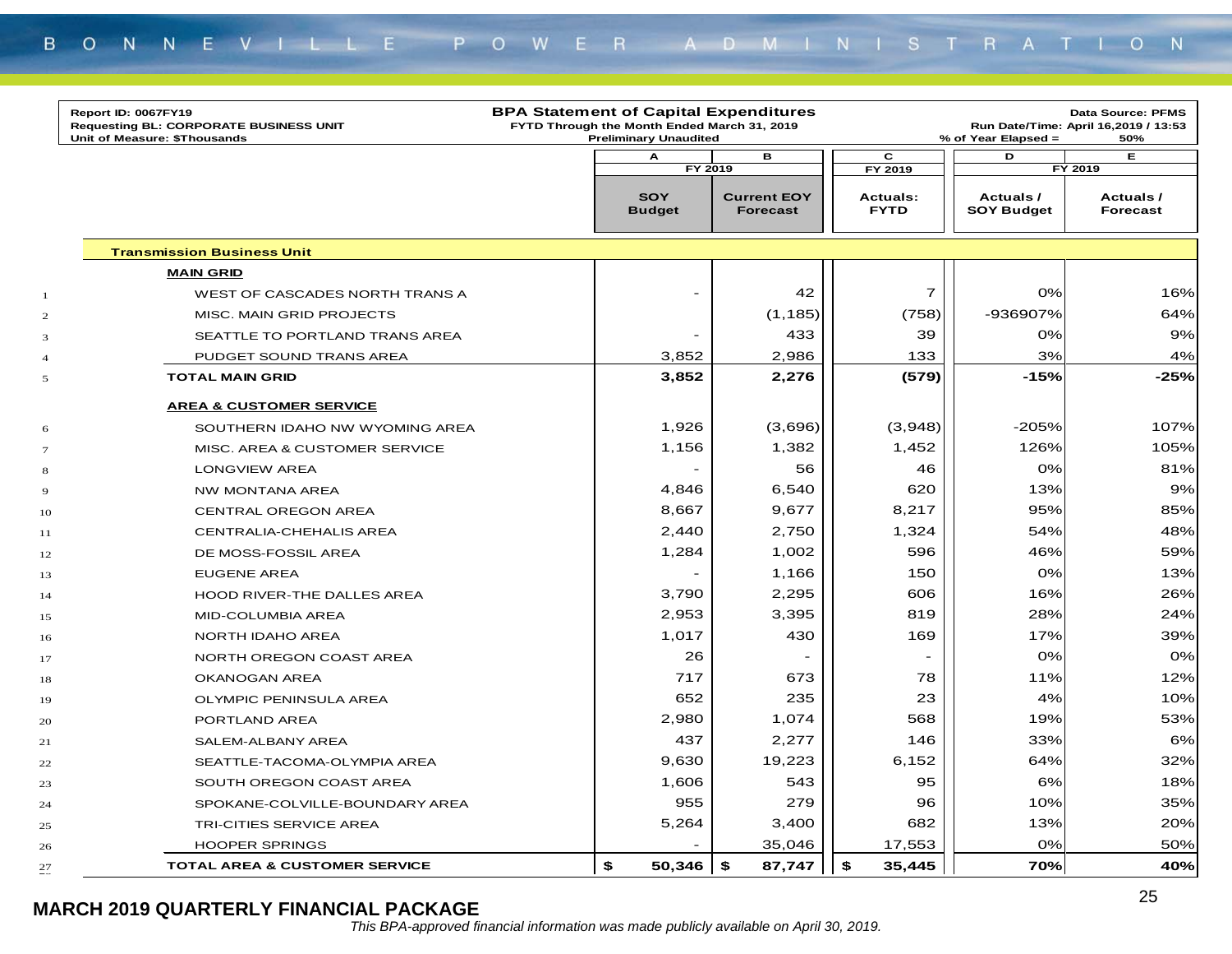|                          | Report ID: 0067FY19<br><b>Requesting BL: CORPORATE BUSINESS UNIT</b><br>Unit of Measure: \$Thousands | <b>BPA Statement of Capital Expenditures</b><br>FYTD Through the Month Ended March 31, 2019<br><b>Preliminary Unaudited</b> |                                       |                                | % of Year Elapsed =            | <b>Data Source: PFMS</b><br>Run Date/Time: April 16,2019 / 13:53<br>50% |
|--------------------------|------------------------------------------------------------------------------------------------------|-----------------------------------------------------------------------------------------------------------------------------|---------------------------------------|--------------------------------|--------------------------------|-------------------------------------------------------------------------|
|                          |                                                                                                      | A                                                                                                                           | в                                     | C                              | D                              | E                                                                       |
|                          |                                                                                                      |                                                                                                                             | FY 2019                               | FY 2019                        |                                | FY 2019                                                                 |
|                          |                                                                                                      | <b>SOY</b><br><b>Budget</b>                                                                                                 | <b>Current EOY</b><br><b>Forecast</b> | <b>Actuals:</b><br><b>FYTD</b> | Actuals /<br><b>SOY Budget</b> | Actuals /<br><b>Forecast</b>                                            |
|                          | <b>Transmission Business Unit</b>                                                                    |                                                                                                                             |                                       |                                |                                |                                                                         |
|                          | <b>MAIN GRID</b>                                                                                     |                                                                                                                             |                                       |                                |                                |                                                                         |
| 1                        | WEST OF CASCADES NORTH TRANS A                                                                       | -                                                                                                                           | 42                                    | $\overline{7}$                 | 0%                             | 16%                                                                     |
| $\mathbf{2}$             | MISC. MAIN GRID PROJECTS                                                                             |                                                                                                                             | (1, 185)                              | (758)                          | -936907%                       | 64%                                                                     |
| 3                        | SEATTLE TO PORTLAND TRANS AREA                                                                       | $\qquad \qquad -$                                                                                                           | 433                                   | 39                             | 0%                             | 9%                                                                      |
| $\overline{\mathcal{A}}$ | PUDGET SOUND TRANS AREA                                                                              | 3,852                                                                                                                       | 2,986                                 | 133                            | 3%                             | 4%                                                                      |
| 5                        | <b>TOTAL MAIN GRID</b>                                                                               | 3,852                                                                                                                       | 2,276                                 | (579)                          | $-15%$                         | $-25%$                                                                  |
|                          | <b>AREA &amp; CUSTOMER SERVICE</b>                                                                   |                                                                                                                             |                                       |                                |                                |                                                                         |
| 6                        | SOUTHERN IDAHO NW WYOMING AREA                                                                       | 1,926                                                                                                                       | (3,696)                               | (3,948)                        | -205%                          | 107%                                                                    |
| $\tau$                   | MISC. AREA & CUSTOMER SERVICE                                                                        | 1,156                                                                                                                       | 1,382                                 | 1,452                          | 126%                           | 105%                                                                    |
| 8                        | <b>LONGVIEW AREA</b>                                                                                 |                                                                                                                             | 56                                    | 46                             | 0%                             | 81%                                                                     |
| 9                        | NW MONTANA AREA                                                                                      | 4,846                                                                                                                       | 6,540                                 | 620                            | 13%                            | 9%                                                                      |
| 10                       | <b>CENTRAL OREGON AREA</b>                                                                           | 8,667                                                                                                                       | 9,677                                 | 8,217                          | 95%                            | 85%                                                                     |
| 11                       | CENTRALIA-CHEHALIS AREA                                                                              | 2,440                                                                                                                       | 2,750                                 | 1,324                          | 54%                            | 48%                                                                     |
| 12                       | DE MOSS-FOSSIL AREA                                                                                  | 1,284                                                                                                                       | 1,002                                 | 596                            | 46%                            | 59%                                                                     |
| 13                       | <b>EUGENE AREA</b>                                                                                   |                                                                                                                             | 1,166                                 | 150                            | 0%                             | 13%                                                                     |
| 14                       | HOOD RIVER-THE DALLES AREA                                                                           | 3,790                                                                                                                       | 2,295                                 | 606                            | 16%                            | 26%                                                                     |
| 15                       | MID-COLUMBIA AREA                                                                                    | 2,953                                                                                                                       | 3,395                                 | 819                            | 28%                            | 24%                                                                     |
| 16                       | NORTH IDAHO AREA                                                                                     | 1,017                                                                                                                       | 430                                   | 169                            | 17%                            | 39%                                                                     |
| 17                       | NORTH OREGON COAST AREA                                                                              | 26                                                                                                                          |                                       |                                | 0%                             | 0%                                                                      |
| 18                       | OKANOGAN AREA                                                                                        | 717                                                                                                                         | 673                                   | 78                             | 11%                            | 12%                                                                     |
| 19                       | OLYMPIC PENINSULA AREA                                                                               | 652                                                                                                                         | 235                                   | 23                             | 4%                             | 10%                                                                     |
| 20                       | PORTLAND AREA                                                                                        | 2,980                                                                                                                       | 1,074                                 | 568                            | 19%                            | 53%                                                                     |
| 21                       | SALEM-ALBANY AREA                                                                                    | 437                                                                                                                         | 2,277                                 | 146                            | 33%                            | 6%                                                                      |
| 22                       | SEATTLE-TACOMA-OLYMPIA AREA                                                                          | 9,630                                                                                                                       | 19,223                                | 6,152                          | 64%                            | 32%                                                                     |
| 23                       | SOUTH OREGON COAST AREA                                                                              | 1,606                                                                                                                       | 543                                   | 95                             | 6%                             | 18%                                                                     |
| 24                       | SPOKANE-COLVILLE-BOUNDARY AREA                                                                       | 955                                                                                                                         | 279                                   | 96                             | 10%                            | 35%                                                                     |
| 25                       | TRI-CITIES SERVICE AREA                                                                              | 5,264                                                                                                                       | 3,400                                 | 682                            | 13%                            | 20%                                                                     |
| 26                       | <b>HOOPER SPRINGS</b>                                                                                |                                                                                                                             | 35,046                                | 17,553                         | 0%                             | 50%                                                                     |
| 27                       | <b>TOTAL AREA &amp; CUSTOMER SERVICE</b>                                                             | \$<br>$50,346$ \$                                                                                                           | 87,747                                | \$<br>35,445                   | 70%                            | 40%                                                                     |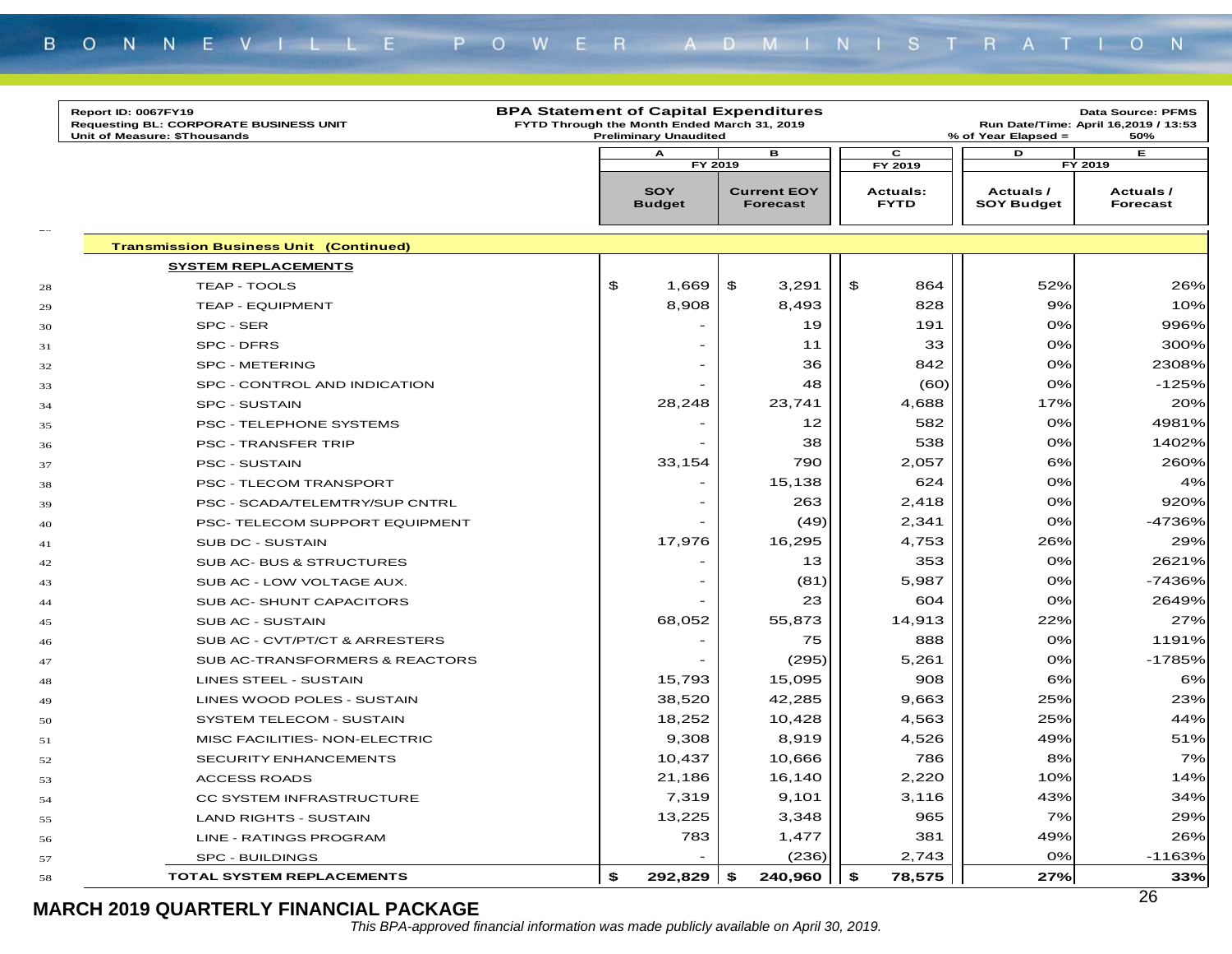|        | Report ID: 0067FY19<br><b>Requesting BL: CORPORATE BUSINESS UNIT</b><br>Unit of Measure: \$Thousands | <b>BPA Statement of Capital Expenditures</b><br>FYTD Through the Month Ended March 31, 2019 | <b>Preliminary Unaudited</b> |                          |                                       |                                | % of Year Elapsed =                   |     | Data Source: PFMS<br>Run Date/Time: April 16,2019 / 13:53<br>50% |
|--------|------------------------------------------------------------------------------------------------------|---------------------------------------------------------------------------------------------|------------------------------|--------------------------|---------------------------------------|--------------------------------|---------------------------------------|-----|------------------------------------------------------------------|
|        |                                                                                                      |                                                                                             | А                            |                          | в                                     | c                              | D                                     |     | Е                                                                |
|        |                                                                                                      |                                                                                             |                              | FY 2019                  |                                       | FY 2019                        |                                       |     | FY 2019                                                          |
|        |                                                                                                      |                                                                                             | <b>SOY</b><br><b>Budget</b>  |                          | <b>Current EOY</b><br><b>Forecast</b> | <b>Actuals:</b><br><b>FYTD</b> | <b>Actuals /</b><br><b>SOY Budget</b> |     | Actuals /<br><b>Forecast</b>                                     |
| $\sim$ | <b>Transmission Business Unit (Continued)</b>                                                        |                                                                                             |                              |                          |                                       |                                |                                       |     |                                                                  |
|        | <b>SYSTEM REPLACEMENTS</b>                                                                           |                                                                                             |                              |                          |                                       |                                |                                       |     |                                                                  |
| 28     | <b>TEAP - TOOLS</b>                                                                                  |                                                                                             | \$                           | 1,669                    | \$<br>3,291                           | \$<br>864                      |                                       | 52% | 26%                                                              |
| 29     | <b>TEAP - EQUIPMENT</b>                                                                              |                                                                                             |                              | 8,908                    | 8,493                                 | 828                            |                                       | 9%  | 10%                                                              |
| 30     | SPC - SER                                                                                            |                                                                                             |                              |                          | 19                                    | 191                            |                                       | 0%  | 996%                                                             |
| 31     | SPC - DFRS                                                                                           |                                                                                             |                              |                          | 11                                    | 33                             |                                       | 0%  | 300%                                                             |
| 32     | <b>SPC - METERING</b>                                                                                |                                                                                             |                              |                          | 36                                    | 842                            |                                       | 0%  | 2308%                                                            |
| 33     | SPC - CONTROL AND INDICATION                                                                         |                                                                                             |                              | $\overline{\phantom{a}}$ | 48                                    | (60)                           |                                       | 0%  | -125%                                                            |
| 34     | <b>SPC - SUSTAIN</b>                                                                                 |                                                                                             |                              | 28,248                   | 23,741                                | 4,688                          |                                       | 17% | 20%                                                              |
| 35     | PSC - TELEPHONE SYSTEMS                                                                              |                                                                                             |                              |                          | 12                                    | 582                            |                                       | 0%  | 4981%                                                            |
| 36     | <b>PSC - TRANSFER TRIP</b>                                                                           |                                                                                             |                              |                          | 38                                    | 538                            |                                       | 0%  | 1402%                                                            |
| 37     | <b>PSC - SUSTAIN</b>                                                                                 |                                                                                             |                              | 33,154                   | 790                                   | 2,057                          |                                       | 6%  | 260%                                                             |
| 38     | PSC - TLECOM TRANSPORT                                                                               |                                                                                             |                              |                          | 15,138                                | 624                            |                                       | 0%  | 4%                                                               |
| 39     | PSC - SCADA/TELEMTRY/SUP CNTRL                                                                       |                                                                                             |                              |                          | 263                                   | 2,418                          |                                       | 0%  | 920%                                                             |
| 40     | PSC- TELECOM SUPPORT EQUIPMENT                                                                       |                                                                                             |                              |                          | (49)                                  | 2,341                          |                                       | 0%  | -4736%                                                           |
| 41     | SUB DC - SUSTAIN                                                                                     |                                                                                             |                              | 17,976                   | 16,295                                | 4,753                          |                                       | 26% | 29%                                                              |
| 42     | SUB AC- BUS & STRUCTURES                                                                             |                                                                                             |                              |                          | 13                                    | 353                            |                                       | 0%  | 2621%                                                            |
| 43     | SUB AC - LOW VOLTAGE AUX.                                                                            |                                                                                             |                              |                          | (81)                                  | 5,987                          |                                       | 0%  | -7436%                                                           |
| 44     | SUB AC-SHUNT CAPACITORS                                                                              |                                                                                             |                              |                          | 23                                    | 604                            |                                       | 0%  | 2649%                                                            |
| 45     | SUB AC - SUSTAIN                                                                                     |                                                                                             |                              | 68,052                   | 55,873                                | 14,913                         |                                       | 22% | 27%                                                              |
| 46     | SUB AC - CVT/PT/CT & ARRESTERS                                                                       |                                                                                             |                              |                          | 75                                    | 888                            |                                       | 0%  | 1191%                                                            |
| 47     | SUB AC-TRANSFORMERS & REACTORS                                                                       |                                                                                             |                              |                          | (295)                                 | 5,261                          |                                       | 0%  | -1785%                                                           |
| 48     | LINES STEEL - SUSTAIN                                                                                |                                                                                             |                              | 15,793                   | 15,095                                | 908                            |                                       | 6%  | 6%                                                               |
| 49     | LINES WOOD POLES - SUSTAIN                                                                           |                                                                                             |                              | 38,520                   | 42,285                                | 9,663                          |                                       | 25% | 23%                                                              |
| 50     | SYSTEM TELECOM - SUSTAIN                                                                             |                                                                                             |                              | 18,252                   | 10,428                                | 4,563                          |                                       | 25% | 44%                                                              |
| 51     | MISC FACILITIES- NON-ELECTRIC                                                                        |                                                                                             |                              | 9,308                    | 8,919                                 | 4,526                          |                                       | 49% | 51%                                                              |
| 52     | SECURITY ENHANCEMENTS                                                                                |                                                                                             |                              | 10,437                   | 10,666                                | 786                            |                                       | 8%  | 7%                                                               |
| 53     | <b>ACCESS ROADS</b>                                                                                  |                                                                                             |                              | 21,186                   | 16,140                                | 2,220                          |                                       | 10% | 14%                                                              |
| 54     | CC SYSTEM INFRASTRUCTURE                                                                             |                                                                                             |                              | 7,319                    | 9,101                                 | 3,116                          |                                       | 43% | 34%                                                              |
| 55     | <b>LAND RIGHTS - SUSTAIN</b>                                                                         |                                                                                             |                              | 13,225                   | 3,348                                 | 965                            |                                       | 7%  | 29%                                                              |
| 56     | LINE - RATINGS PROGRAM                                                                               |                                                                                             |                              | 783                      | 1,477                                 | 381                            |                                       | 49% | 26%                                                              |
| 57     | <b>SPC - BUILDINGS</b>                                                                               |                                                                                             |                              |                          | (236)                                 | 2,743                          |                                       | 0%  | $-1163%$                                                         |
| 58     | TOTAL SYSTEM REPLACEMENTS                                                                            |                                                                                             | \$                           | $292,829$ \$             | 240,960                               | \$<br>78,575                   |                                       | 27% | 33%                                                              |
|        | <b>MARCH 2019 QUARTERLY FINANCIAL PACKAGE</b>                                                        |                                                                                             |                              |                          |                                       |                                |                                       |     | 26                                                               |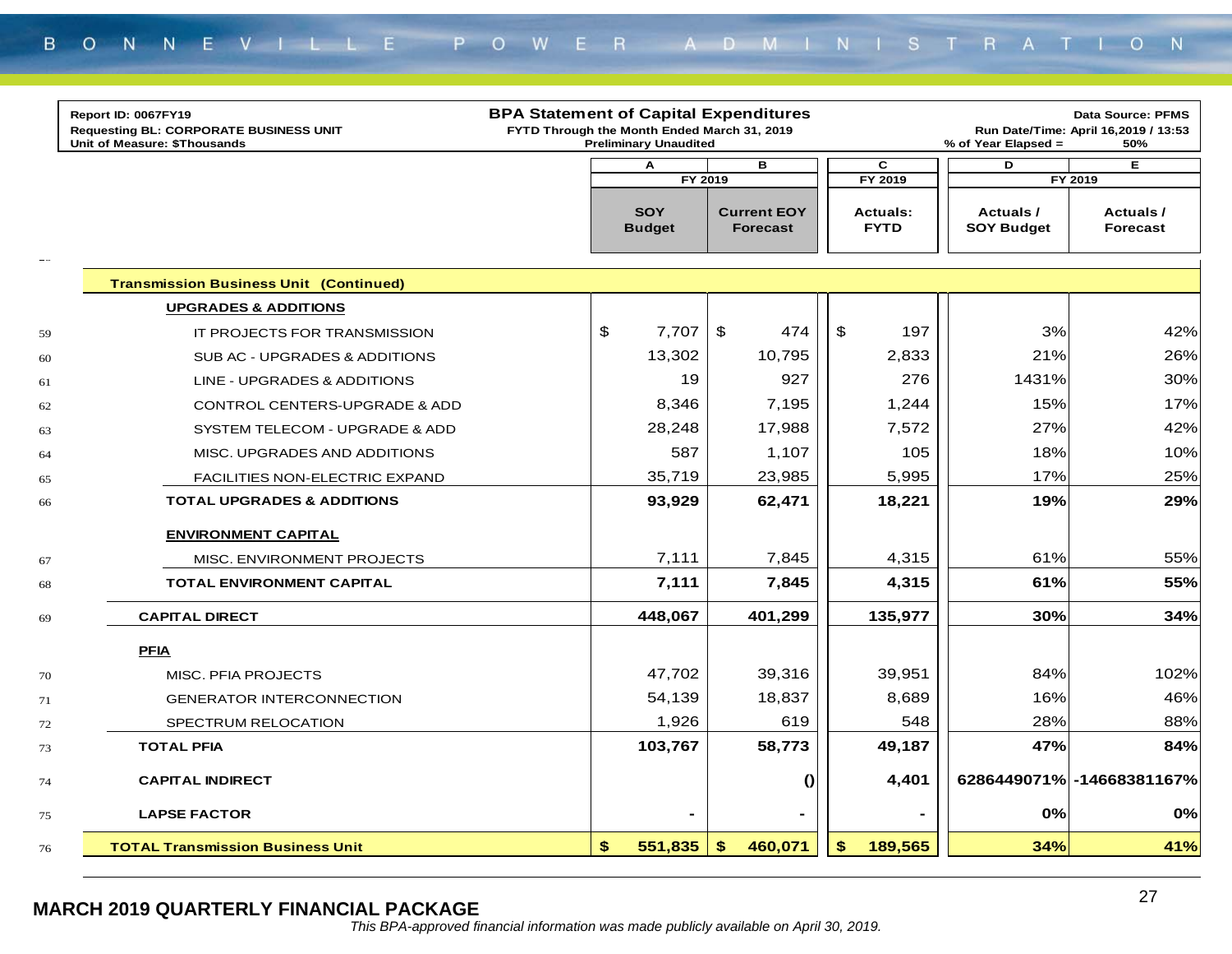|    | Report ID: 0067FY19<br><b>Requesting BL: CORPORATE BUSINESS UNIT</b><br>Unit of Measure: \$Thousands | <b>BPA Statement of Capital Expenditures</b> | FYTD Through the Month Ended March 31, 2019<br><b>Preliminary Unaudited</b> |                                       | <b>Data Source: PFMS</b><br>Run Date/Time: April 16,2019 / 13:53<br>% of Year Elapsed =<br>50% |                               |                                         |
|----|------------------------------------------------------------------------------------------------------|----------------------------------------------|-----------------------------------------------------------------------------|---------------------------------------|------------------------------------------------------------------------------------------------|-------------------------------|-----------------------------------------|
|    |                                                                                                      |                                              | A                                                                           | в                                     | $\mathbf c$                                                                                    | D                             | Е                                       |
| -- |                                                                                                      |                                              | FY 2019<br><b>SOY</b><br><b>Budget</b>                                      | <b>Current EOY</b><br><b>Forecast</b> | FY 2019<br><b>Actuals:</b><br><b>FYTD</b>                                                      | Actuals/<br><b>SOY Budget</b> | FY 2019<br>Actuals /<br><b>Forecast</b> |
|    | <b>Transmission Business Unit (Continued)</b>                                                        |                                              |                                                                             |                                       |                                                                                                |                               |                                         |
|    | <b>UPGRADES &amp; ADDITIONS</b>                                                                      |                                              |                                                                             |                                       |                                                                                                |                               |                                         |
| 59 | IT PROJECTS FOR TRANSMISSION                                                                         |                                              | $\boldsymbol{\mathsf{S}}$<br>7,707                                          | $\frac{1}{2}$<br>474                  | \$<br>197                                                                                      | 3%                            | 42%                                     |
| 60 | SUB AC - UPGRADES & ADDITIONS                                                                        |                                              | 13,302                                                                      | 10,795                                | 2,833                                                                                          | 21%                           | 26%                                     |
| 61 | LINE - UPGRADES & ADDITIONS                                                                          |                                              | 19                                                                          | 927                                   | 276                                                                                            | 1431%                         | 30%                                     |
| 62 | <b>CONTROL CENTERS-UPGRADE &amp; ADD</b>                                                             |                                              | 8,346                                                                       | 7,195                                 | 1,244                                                                                          | 15%                           | 17%                                     |
| 63 | SYSTEM TELECOM - UPGRADE & ADD                                                                       |                                              | 28,248                                                                      | 17,988                                | 7,572                                                                                          | 27%                           | 42%                                     |
| 64 | MISC. UPGRADES AND ADDITIONS                                                                         |                                              | 587                                                                         | 1,107                                 | 105                                                                                            | 18%                           | 10%                                     |
| 65 | FACILITIES NON-ELECTRIC EXPAND                                                                       |                                              | 35,719                                                                      | 23,985                                | 5,995                                                                                          | 17%                           | 25%                                     |
| 66 | <b>TOTAL UPGRADES &amp; ADDITIONS</b>                                                                |                                              | 93,929                                                                      | 62,471                                | 18,221                                                                                         | 19%                           | 29%                                     |
|    | <b>ENVIRONMENT CAPITAL</b>                                                                           |                                              |                                                                             |                                       |                                                                                                |                               |                                         |
| 67 | MISC. ENVIRONMENT PROJECTS                                                                           |                                              | 7,111                                                                       | 7,845                                 | 4,315                                                                                          | 61%                           | 55%                                     |
| 68 | TOTAL ENVIRONMENT CAPITAL                                                                            |                                              | 7,111                                                                       | 7,845                                 | 4,315                                                                                          | 61%                           | 55%                                     |
| 69 | <b>CAPITAL DIRECT</b>                                                                                |                                              | 448,067                                                                     | 401,299                               | 135,977                                                                                        | 30%                           | 34%                                     |
|    | <b>PFIA</b>                                                                                          |                                              |                                                                             |                                       |                                                                                                |                               |                                         |
| 70 | MISC. PFIA PROJECTS                                                                                  |                                              | 47,702                                                                      | 39,316                                | 39,951                                                                                         | 84%                           | 102%                                    |
| 71 | <b>GENERATOR INTERCONNECTION</b>                                                                     |                                              | 54,139                                                                      | 18,837                                | 8,689                                                                                          | 16%                           | 46%                                     |
| 72 | SPECTRUM RELOCATION                                                                                  |                                              | 1,926                                                                       | 619                                   | 548                                                                                            | 28%                           | 88%                                     |
| 73 | <b>TOTAL PFIA</b>                                                                                    |                                              | 103,767                                                                     | 58,773                                | 49,187                                                                                         | 47%                           | 84%                                     |
| 74 | <b>CAPITAL INDIRECT</b>                                                                              |                                              |                                                                             | $\boldsymbol{0}$                      | 4,401                                                                                          |                               | 6286449071% - 14668381167%              |
| 75 | <b>LAPSE FACTOR</b>                                                                                  |                                              |                                                                             |                                       |                                                                                                | 0%                            | 0%                                      |
| 76 | <b>TOTAL Transmission Business Unit</b>                                                              |                                              | \$<br>551,835                                                               | 460,071<br>\$                         | \$<br>189,565                                                                                  | 34%                           | 41%                                     |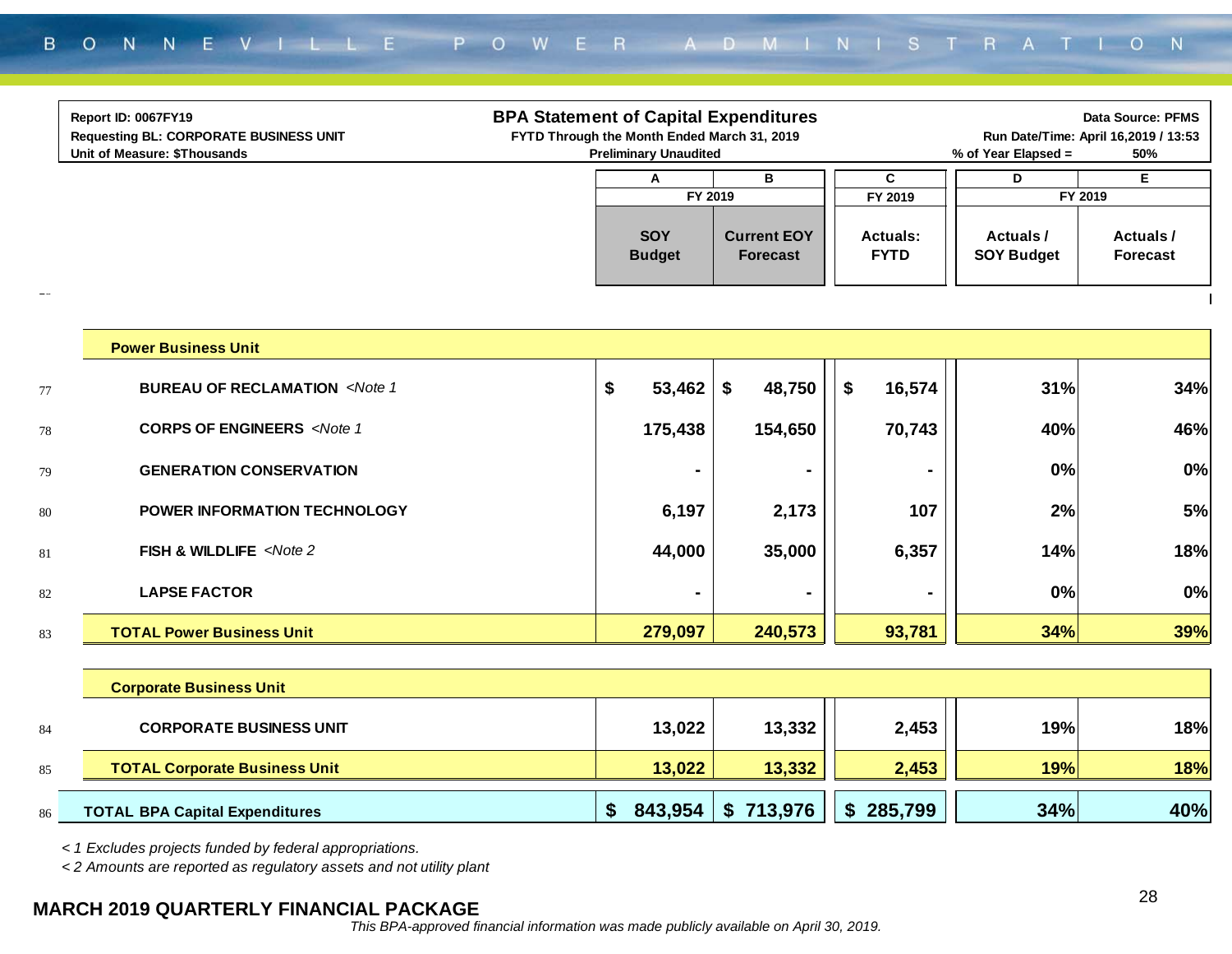|                      | Report ID: 0067FY19<br><b>Requesting BL: CORPORATE BUSINESS UNIT</b><br>Unit of Measure: \$Thousands                                | <b>BPA Statement of Capital Expenditures</b> | FYTD Through the Month Ended March 31, 2019<br><b>Preliminary Unaudited</b> |                                       |                                | % of Year Elapsed =           | <b>Data Source: PFMS</b><br>Run Date/Time: April 16,2019 / 13:53<br>50% |
|----------------------|-------------------------------------------------------------------------------------------------------------------------------------|----------------------------------------------|-----------------------------------------------------------------------------|---------------------------------------|--------------------------------|-------------------------------|-------------------------------------------------------------------------|
|                      |                                                                                                                                     |                                              | Α                                                                           | В                                     | C                              | D                             | E                                                                       |
|                      |                                                                                                                                     |                                              | FY 2019                                                                     |                                       | FY 2019                        |                               | FY 2019                                                                 |
|                      |                                                                                                                                     |                                              | <b>SOY</b><br><b>Budget</b>                                                 | <b>Current EOY</b><br><b>Forecast</b> | <b>Actuals:</b><br><b>FYTD</b> | Actuals/<br><b>SOY Budget</b> | Actuals /<br><b>Forecast</b>                                            |
| $\rightarrow$ $\sim$ | <b>Power Business Unit</b>                                                                                                          |                                              |                                                                             |                                       |                                |                               |                                                                         |
|                      |                                                                                                                                     |                                              |                                                                             |                                       |                                |                               |                                                                         |
| 77                   | <b>BUREAU OF RECLAMATION <note 1<="" b=""></note></b>                                                                               |                                              | \$<br>53,462                                                                | \$<br>48,750                          | \$<br>16,574                   | 31%                           | 34%                                                                     |
| 78                   | <b>CORPS OF ENGINEERS</b> <note 1<="" td=""><td></td><td>175,438</td><td>154,650</td><td>70,743</td><td>40%</td><td>46%</td></note> |                                              | 175,438                                                                     | 154,650                               | 70,743                         | 40%                           | 46%                                                                     |
| 79                   | <b>GENERATION CONSERVATION</b>                                                                                                      |                                              |                                                                             |                                       |                                | 0%                            | 0%                                                                      |
| 80                   | POWER INFORMATION TECHNOLOGY                                                                                                        |                                              | 6,197                                                                       | 2,173                                 | 107                            | 2%                            | 5%                                                                      |
| 81                   | FISH & WILDLIFE <note 2<="" td=""><td></td><td>44,000</td><td>35,000</td><td>6,357</td><td>14%</td><td>18%</td></note>              |                                              | 44,000                                                                      | 35,000                                | 6,357                          | 14%                           | 18%                                                                     |
| 82                   | <b>LAPSE FACTOR</b>                                                                                                                 |                                              | $\blacksquare$                                                              | $\blacksquare$                        |                                | 0%                            | 0%                                                                      |
| 83                   | <b>TOTAL Power Business Unit</b>                                                                                                    |                                              | 279,097                                                                     | 240,573                               | 93,781                         | 34%                           | 39%                                                                     |
|                      | <b>Corporate Business Unit</b>                                                                                                      |                                              |                                                                             |                                       |                                |                               |                                                                         |
| 84                   | <b>CORPORATE BUSINESS UNIT</b>                                                                                                      |                                              | 13,022                                                                      | 13,332                                | 2,453                          | 19%                           | 18%                                                                     |

*< 1 Excludes projects funded by federal appropriations.*

85

86

*< 2 Amounts are reported as regulatory assets and not utility plant*

#### **MARCH 2019 QUARTERLY FINANCIAL PACKAGE**

**TOTAL Corporate Business Unit 13,022 13,332 2,453 19% 18%**

**TOTAL BPA Capital Expenditures \$ 713,976 843,954 \$ 285,799 \$ 34% 40%**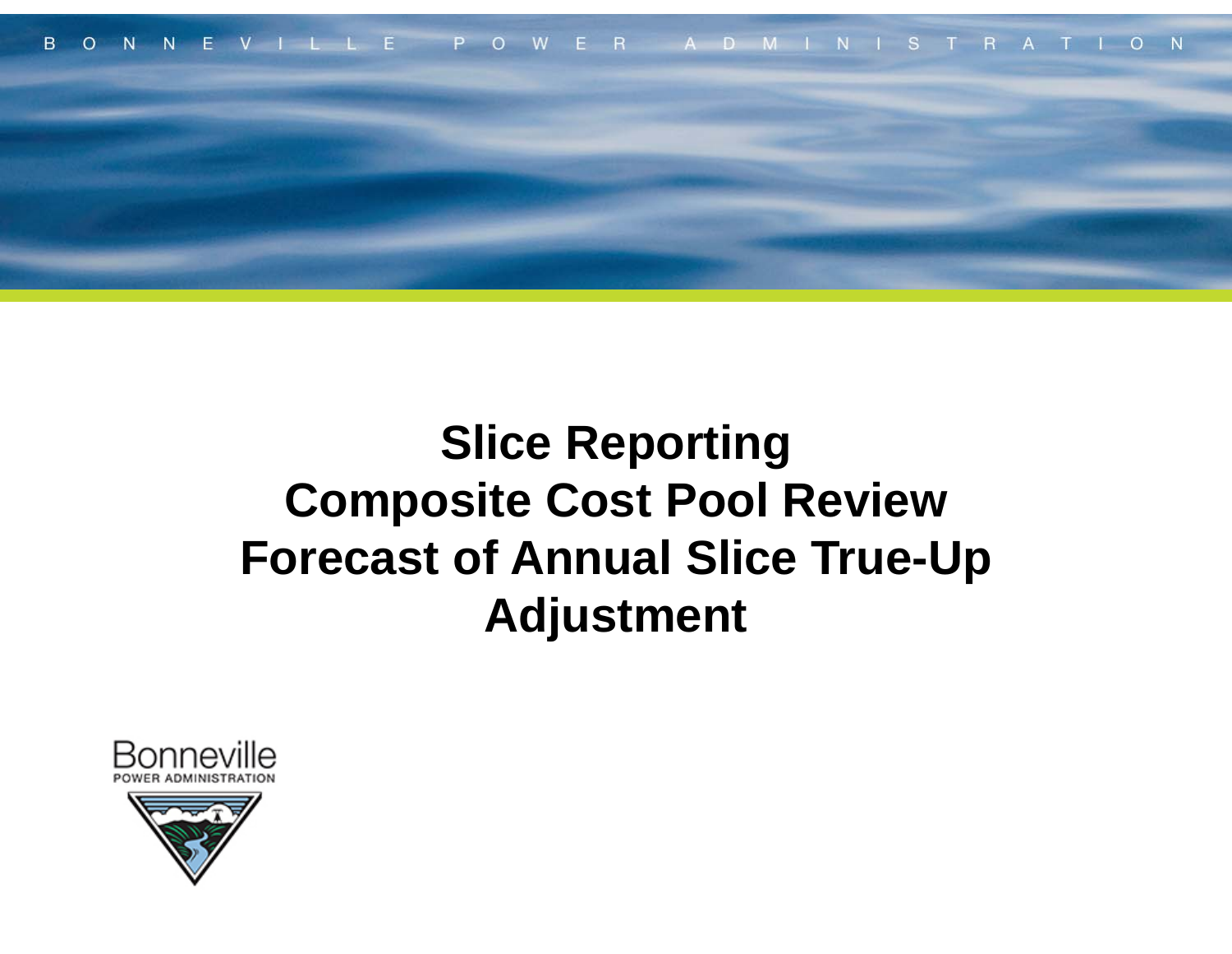

## **Slice Reporting Composite Cost Pool Review Forecast of Annual Slice True-Up Adjustment**

![](_page_28_Picture_2.jpeg)

![](_page_28_Picture_3.jpeg)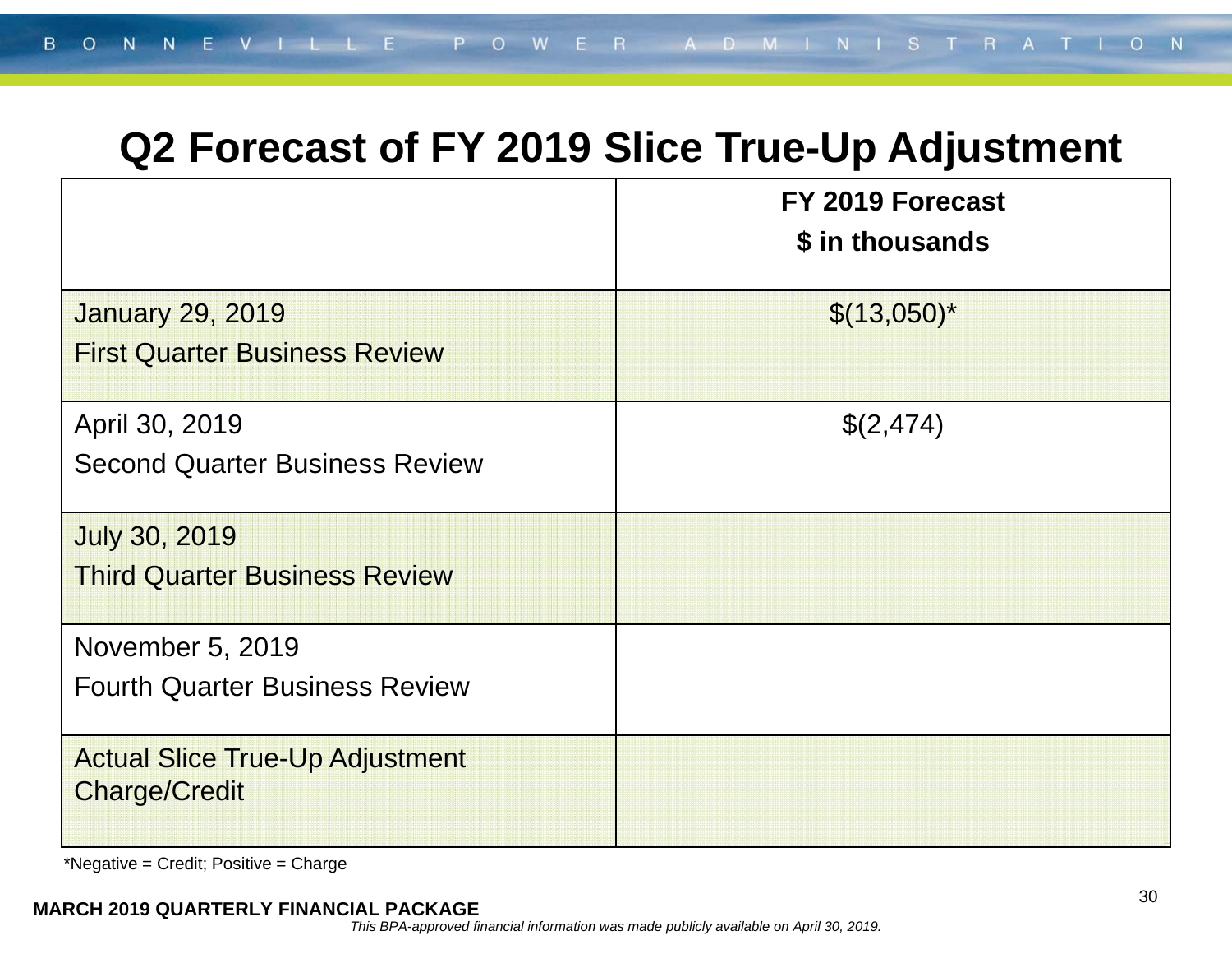### **Q2 Forecast of FY 2019 Slice True-Up Adjustment**

|                                                                 | FY 2019 Forecast<br>\$ in thousands |
|-----------------------------------------------------------------|-------------------------------------|
| <b>January 29, 2019</b><br><b>First Quarter Business Review</b> | $$(13,050)*$                        |
| April 30, 2019<br><b>Second Quarter Business Review</b>         | \$(2,474)                           |
| <b>July 30, 2019</b><br><b>Third Quarter Business Review</b>    |                                     |
| November 5, 2019<br><b>Fourth Quarter Business Review</b>       |                                     |
| <b>Actual Slice True-Up Adjustment</b><br><b>Charge/Credit</b>  |                                     |

\*Negative = Credit; Positive = Charge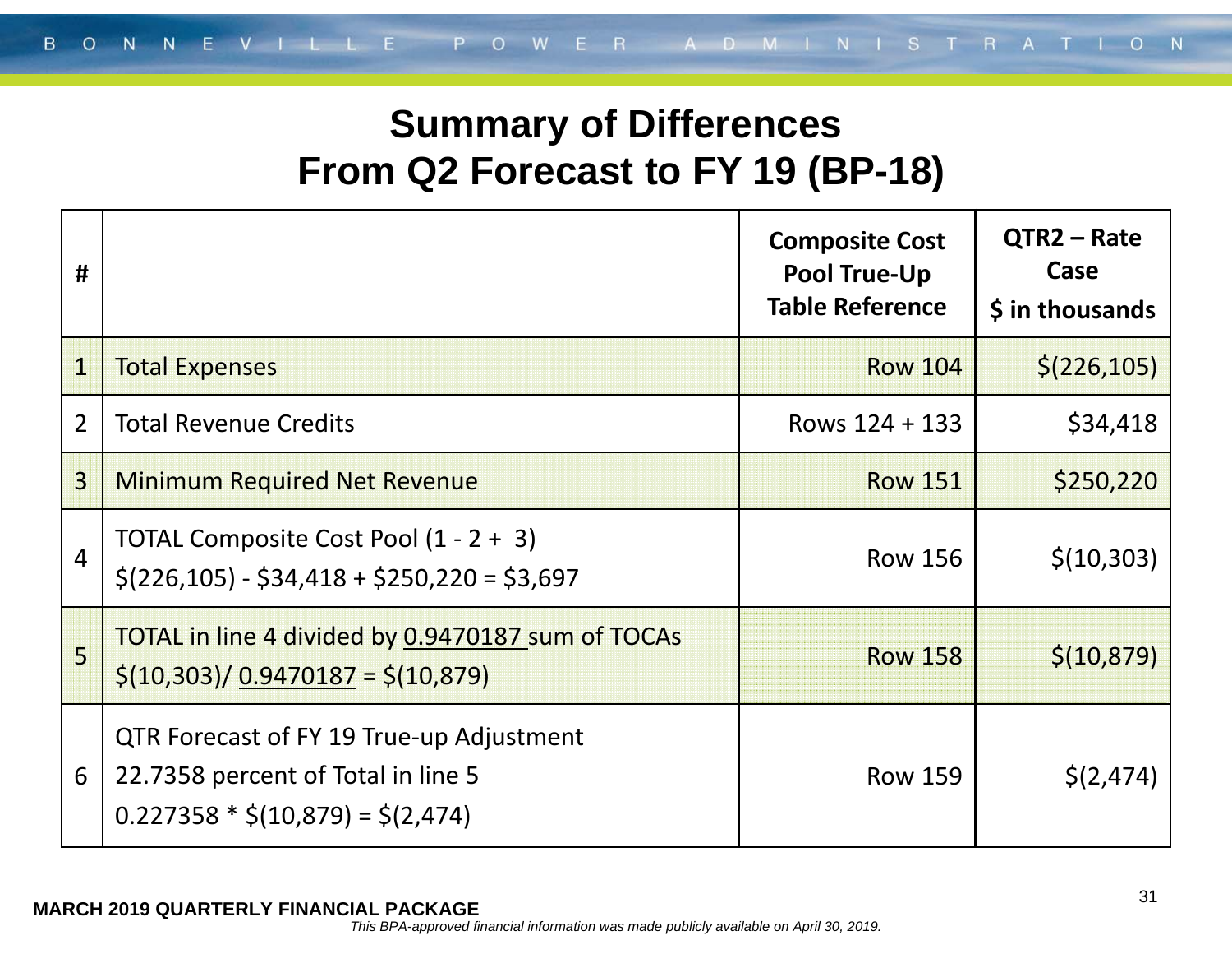### **Summary of Differences From Q2 Forecast to FY 19 (BP-18)**

| #              |                                                                                                                            | <b>Composite Cost</b><br><b>Pool True-Up</b><br><b>Table Reference</b> | $QTR2 - Rate$<br>Case<br>\$ in thousands |
|----------------|----------------------------------------------------------------------------------------------------------------------------|------------------------------------------------------------------------|------------------------------------------|
| $\mathbf 1$    | <b>Total Expenses</b>                                                                                                      | <b>Row 104</b>                                                         | \$(226, 105)                             |
| $\overline{2}$ | <b>Total Revenue Credits</b>                                                                                               | Rows $124 + 133$                                                       | \$34,418                                 |
| $\overline{3}$ | <b>Minimum Required Net Revenue</b>                                                                                        | <b>Row 151</b>                                                         | \$250,220                                |
| $\overline{4}$ | TOTAL Composite Cost Pool (1 - 2 + 3)<br>$\frac{1}{2}$ (226,105) - \$34,418 + \$250,220 = \$3,697                          | <b>Row 156</b>                                                         | \$(10, 303)                              |
| 5              | TOTAL in line 4 divided by 0.9470187 sum of TOCAs<br>$\frac{\binom{5}{10,303}}{0.9470187}$ = \$(10,879)                    | <b>Row 158</b>                                                         | \$(10, 879)                              |
| 6              | <b>QTR Forecast of FY 19 True-up Adjustment</b><br>22.7358 percent of Total in line 5<br>$0.227358 * $(10,879) = $(2,474)$ | <b>Row 159</b>                                                         | \$(2, 474)                               |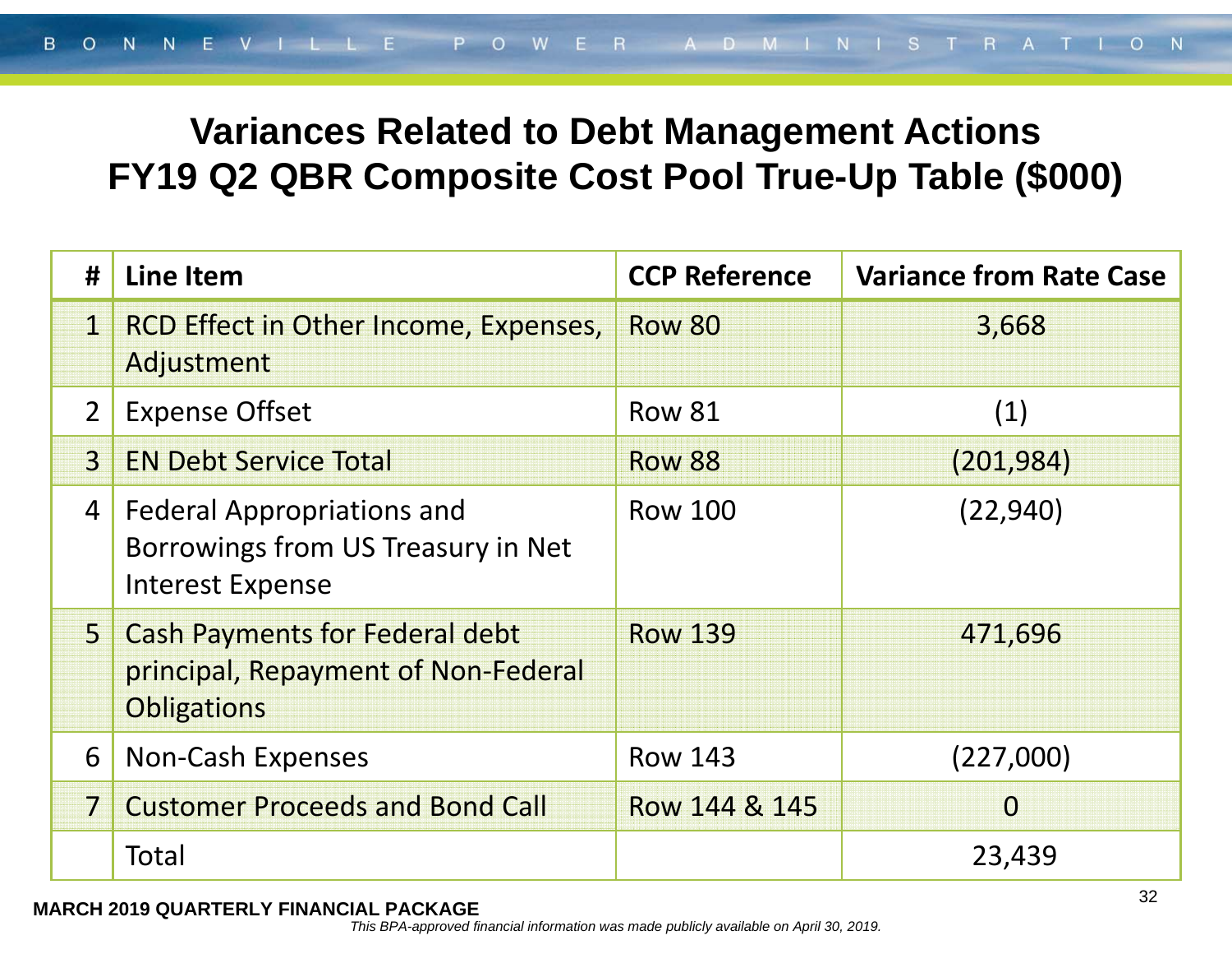### **Variances Related to Debt Management Actions FY19 Q2 QBR Composite Cost Pool True-Up Table (\$000)**

| #              | <b>Line Item</b>                                                                                   | <b>CCP Reference</b> | <b>Variance from Rate Case</b> |
|----------------|----------------------------------------------------------------------------------------------------|----------------------|--------------------------------|
| $\mathbf 1$    | <b>RCD Effect in Other Income, Expenses,</b><br>Adjustment                                         | <b>Row 80</b>        | 3,668                          |
| 2 <sup>1</sup> | <b>Expense Offset</b>                                                                              | <b>Row 81</b>        | (1)                            |
| $\overline{3}$ | <b>EN Debt Service Total</b>                                                                       | <b>Row 88</b>        | (201, 984)                     |
| 4              | <b>Federal Appropriations and</b><br>Borrowings from US Treasury in Net<br><b>Interest Expense</b> | <b>Row 100</b>       | (22, 940)                      |
| 5 <sup>1</sup> | <b>Cash Payments for Federal debt</b><br>principal, Repayment of Non-Federal<br><b>Obligations</b> | <b>Row 139</b>       | 471,696                        |
| 6              | <b>Non-Cash Expenses</b>                                                                           | <b>Row 143</b>       | (227,000)                      |
|                | <b>Customer Proceeds and Bond Call</b>                                                             | Row 144 & 145        | $\Omega$                       |
|                | Total                                                                                              |                      | 23,439                         |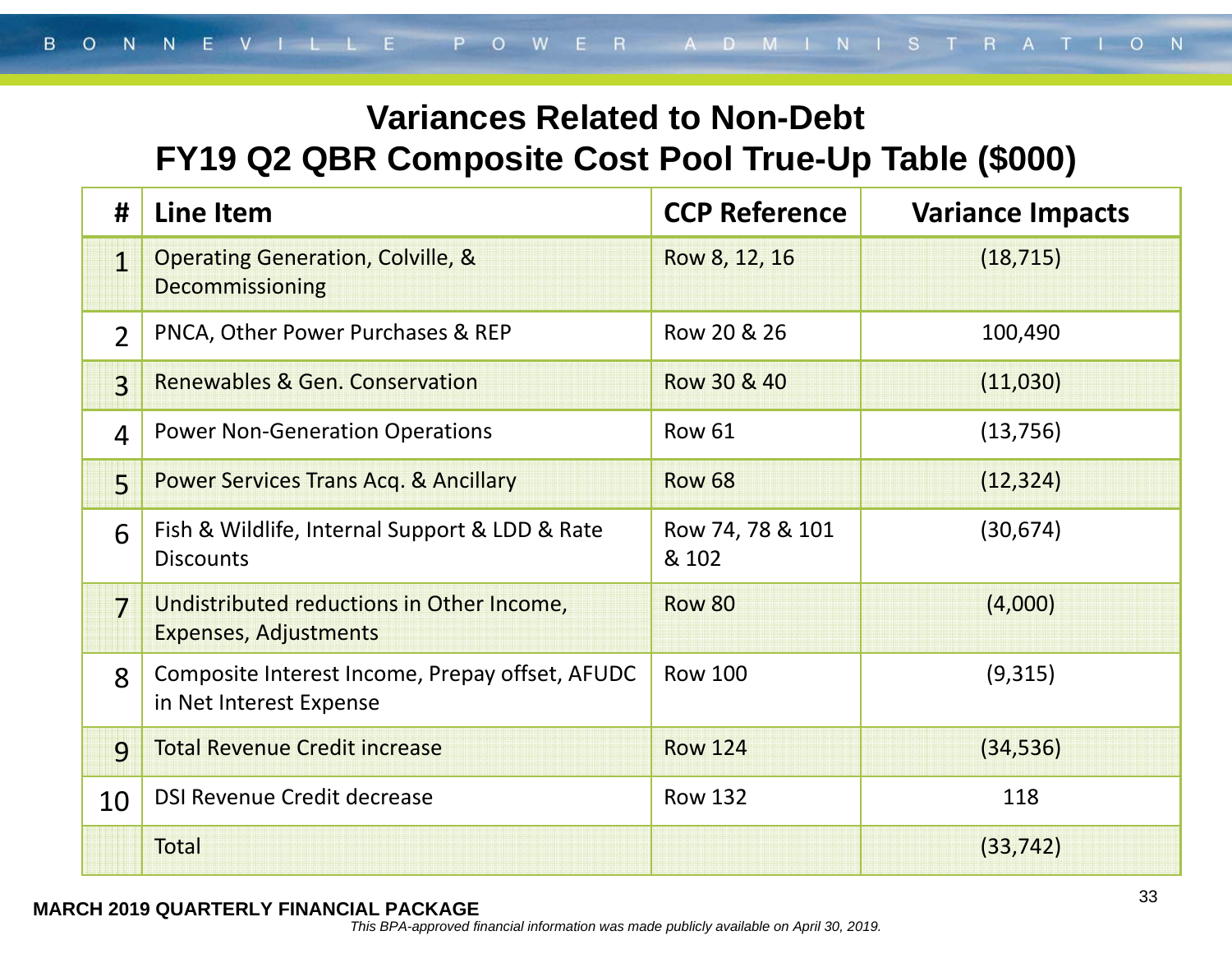### **Variances Related to Non-Debt FY19 Q2 QBR Composite Cost Pool True-Up Table (\$000)**

| #              | <b>Line Item</b>                                                           | <b>CCP Reference</b>      | <b>Variance Impacts</b> |
|----------------|----------------------------------------------------------------------------|---------------------------|-------------------------|
| 1              | <b>Operating Generation, Colville, &amp;</b><br><b>Decommissioning</b>     | Row 8, 12, 16             | (18, 715)               |
| $\overline{2}$ | PNCA, Other Power Purchases & REP                                          | Row 20 & 26               | 100,490                 |
| $\overline{3}$ | <b>Renewables &amp; Gen. Conservation</b>                                  | Row 30 & 40               | (11,030)                |
| $\overline{4}$ | <b>Power Non-Generation Operations</b>                                     | <b>Row 61</b>             | (13, 756)               |
| $\overline{5}$ | <b>Power Services Trans Acq. &amp; Ancillary</b>                           | <b>Row 68</b>             | (12, 324)               |
| 6              | Fish & Wildlife, Internal Support & LDD & Rate<br><b>Discounts</b>         | Row 74, 78 & 101<br>& 102 | (30, 674)               |
| 7              | Undistributed reductions in Other Income,<br><b>Expenses, Adjustments</b>  | <b>Row 80</b>             | (4,000)                 |
| 8              | Composite Interest Income, Prepay offset, AFUDC<br>in Net Interest Expense | <b>Row 100</b>            | (9,315)                 |
| $\overline{9}$ | <b>Total Revenue Credit increase</b>                                       | <b>Row 124</b>            | (34, 536)               |
| 10             | <b>DSI Revenue Credit decrease</b>                                         | <b>Row 132</b>            | 118                     |
|                | <b>Total</b>                                                               |                           | (33, 742)               |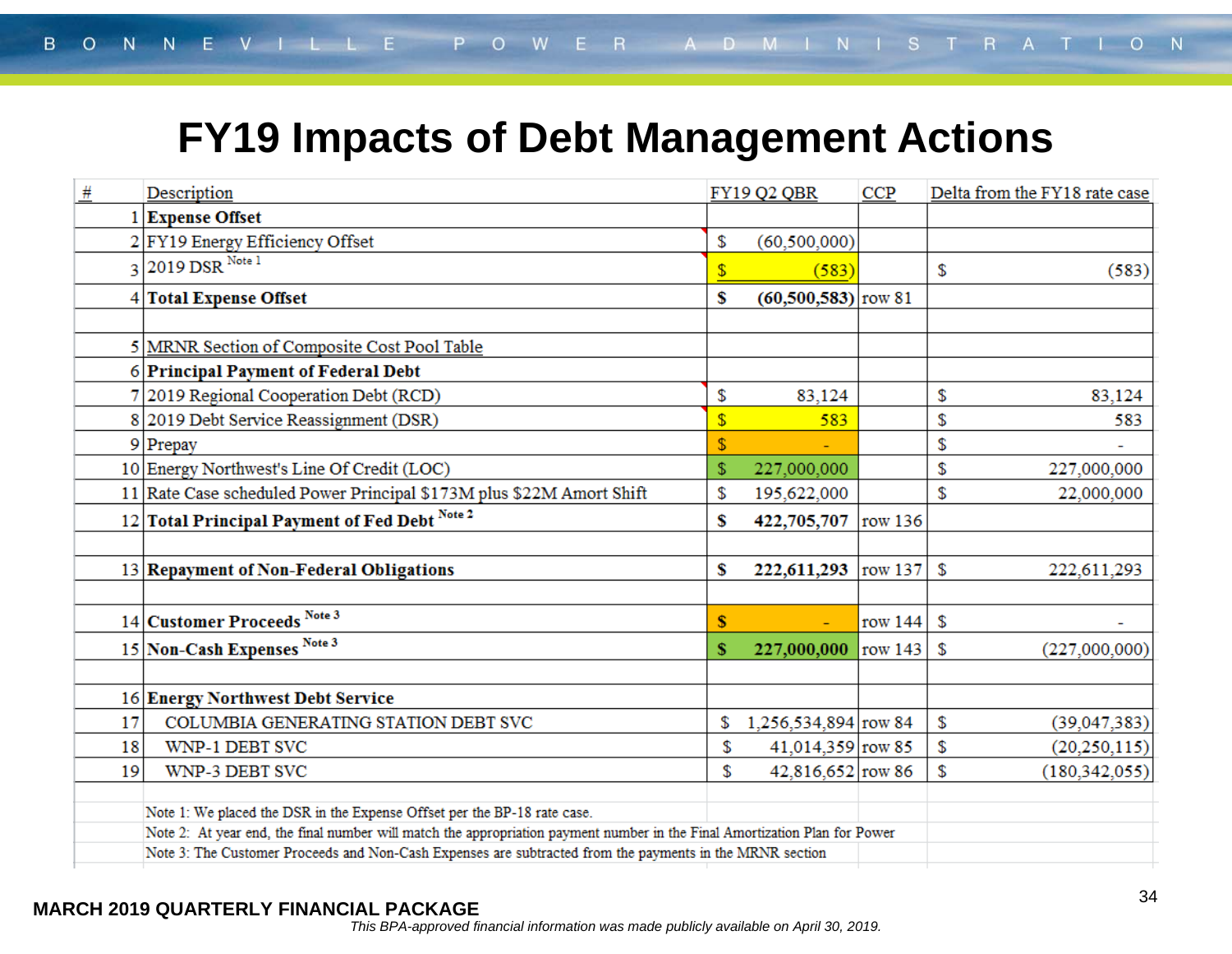### **FY19 Impacts of Debt Management Actions**

| #  | Description                                                                                                                | FY19 Q2 QBR                   | <b>CCP</b> | Delta from the FY18 rate case |  |
|----|----------------------------------------------------------------------------------------------------------------------------|-------------------------------|------------|-------------------------------|--|
|    | 1 Expense Offset                                                                                                           |                               |            |                               |  |
|    | 2 FY19 Energy Efficiency Offset                                                                                            | \$<br>(60, 500, 000)          |            |                               |  |
|    | 3 2019 DSR Note 1                                                                                                          | \$<br>(583)                   |            | \$<br>(583)                   |  |
|    | 4 Total Expense Offset                                                                                                     | \$<br>$(60, 500, 583)$ row 81 |            |                               |  |
|    |                                                                                                                            |                               |            |                               |  |
|    | 5 MRNR Section of Composite Cost Pool Table                                                                                |                               |            |                               |  |
|    | 6 Principal Payment of Federal Debt                                                                                        |                               |            |                               |  |
|    | 7 2019 Regional Cooperation Debt (RCD)                                                                                     | \$<br>83,124                  |            | \$<br>83,124                  |  |
|    | 8 2019 Debt Service Reassignment (DSR)                                                                                     | \$<br>583                     |            | \$<br>583                     |  |
|    | $9$ Prepay                                                                                                                 | \$                            |            | \$                            |  |
|    | 10 Energy Northwest's Line Of Credit (LOC)                                                                                 | \$<br>227,000,000             |            | \$<br>227,000,000             |  |
|    | 11 Rate Case scheduled Power Principal \$173M plus \$22M Amort Shift                                                       | \$<br>195,622,000             |            | \$<br>22,000,000              |  |
|    | 12 Total Principal Payment of Fed Debt Note 2                                                                              | \$<br>422,705,707 row 136     |            |                               |  |
|    |                                                                                                                            |                               |            |                               |  |
|    | 13 Repayment of Non-Federal Obligations                                                                                    | \$<br>222,611,293  row 137    |            | \$<br>222,611,293             |  |
|    |                                                                                                                            |                               |            |                               |  |
|    | 14 Customer Proceeds Note 3                                                                                                | \$                            | row $144$  | \$                            |  |
|    | 15 Non-Cash Expenses Note 3                                                                                                | \$<br>227,000,000             | row $143$  | \$<br>(227,000,000)           |  |
|    |                                                                                                                            |                               |            |                               |  |
|    | 16 Energy Northwest Debt Service                                                                                           |                               |            |                               |  |
| 17 | COLUMBIA GENERATING STATION DEBT SVC                                                                                       | \$<br>1,256,534,894 row 84    |            | \$<br>(39,047,383)            |  |
| 18 | WNP-1 DEBT SVC                                                                                                             | \$<br>41,014,359 row 85       |            | \$<br>(20, 250, 115)          |  |
| 19 | WNP-3 DEBT SVC                                                                                                             | \$<br>42,816,652 row 86       |            | \$<br>(180, 342, 055)         |  |
|    | Note 1: We placed the DSR in the Expense Offset per the BP-18 rate case.                                                   |                               |            |                               |  |
|    | Note 2: At year end, the final number will match the appropriation payment number in the Final Amortization Plan for Power |                               |            |                               |  |
|    | Note 3: The Customer Proceeds and Non-Cash Expenses are subtracted from the payments in the MRNR section                   |                               |            |                               |  |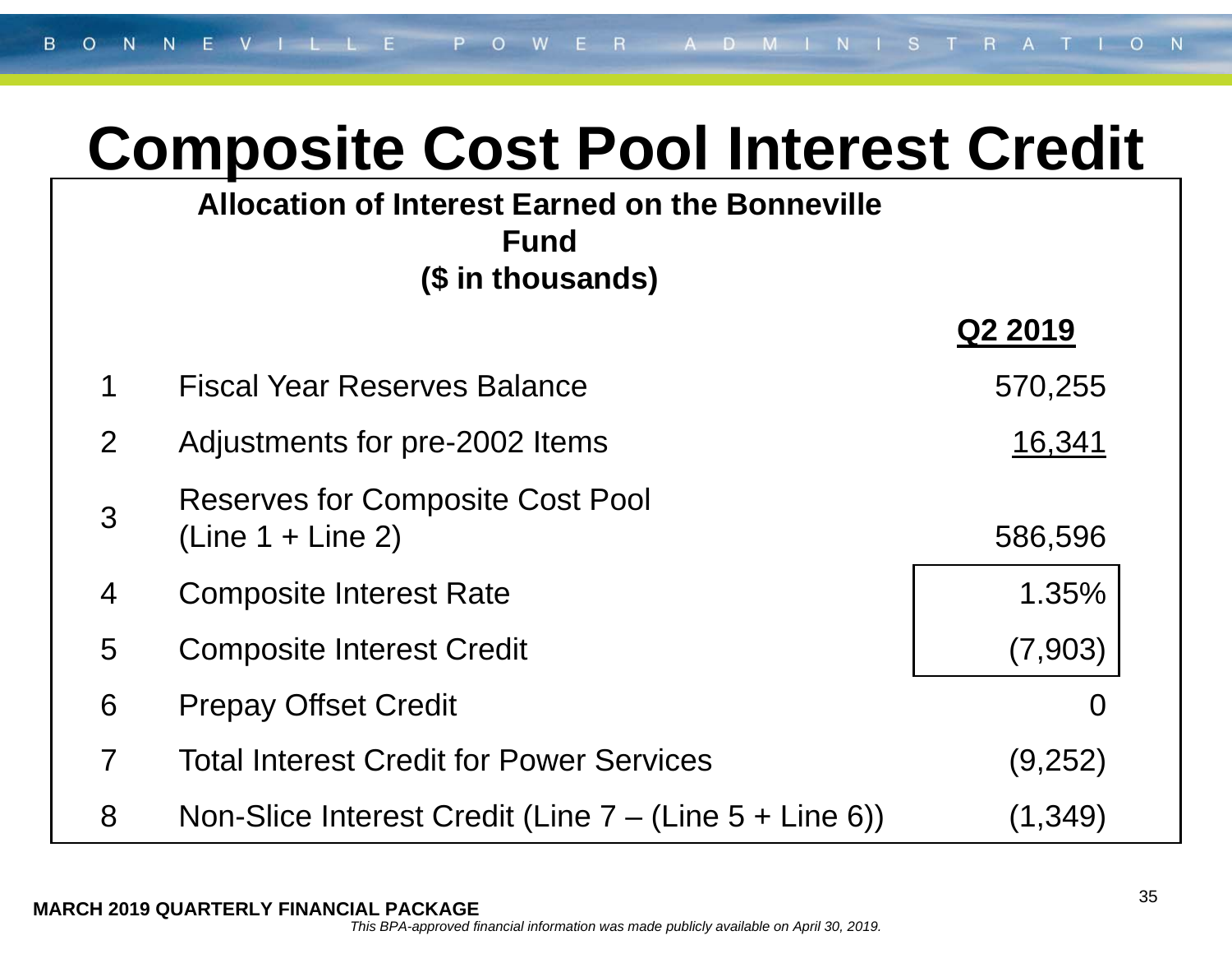# **Composite Cost Pool Interest Credit**

### **Allocation of Interest Earned on the Bonneville Fund (\$ in thousands)**

|                |                                                                | Q2 2019 |
|----------------|----------------------------------------------------------------|---------|
| $\mathbf 1$    | <b>Fiscal Year Reserves Balance</b>                            | 570,255 |
| $\mathbf{2}$   | Adjustments for pre-2002 Items                                 | 16,341  |
| $\overline{3}$ | <b>Reserves for Composite Cost Pool</b><br>$(Line 1 + Line 2)$ | 586,596 |

## 4 Composite Interest Rate 1.35%

- 5 Composite Interest Credit (7,903)
- 6 Prepay Offset Credit 6 and 200 minutes of the Contract of the Contract of the Contract of the Contract of the Contract of the Contract of the Contract of the Contract of the Contract of the Contract of the Contract of th
- 7 Total Interest Credit for Power Services (9,252)
- 8 Non-Slice Interest Credit (Line 7 (Line 5 + Line 6)) (1,349)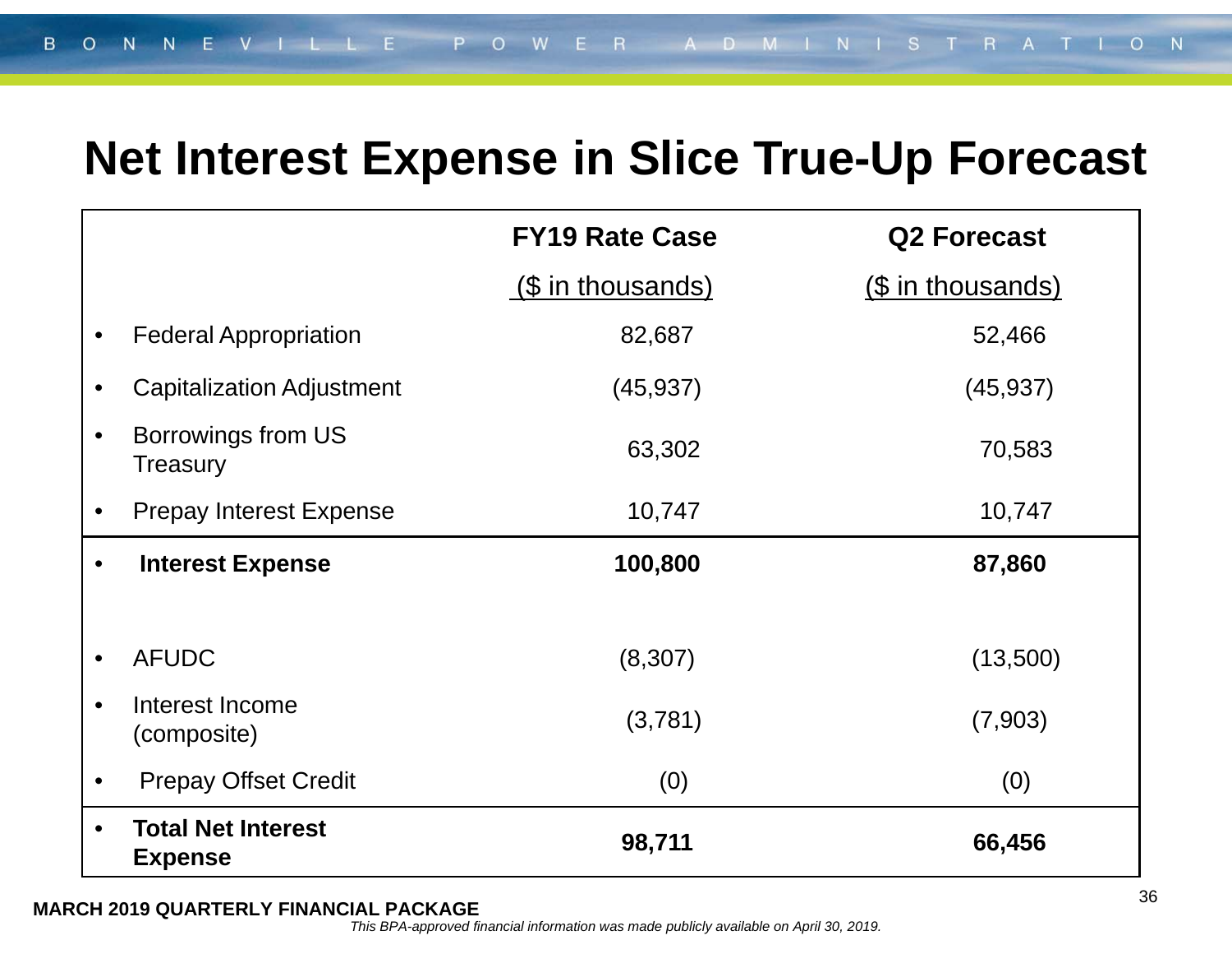### **Net Interest Expense in Slice True-Up Forecast**

|           |                                             | <b>FY19 Rate Case</b> | <b>Q2 Forecast</b> |
|-----------|---------------------------------------------|-----------------------|--------------------|
|           |                                             | (\$ in thousands)     | (\$ in thousands)  |
|           | <b>Federal Appropriation</b>                | 82,687                | 52,466             |
|           | <b>Capitalization Adjustment</b>            | (45, 937)             | (45, 937)          |
|           | Borrowings from US<br>Treasury              | 63,302                | 70,583             |
| $\bullet$ | <b>Prepay Interest Expense</b>              | 10,747                | 10,747             |
|           | <b>Interest Expense</b>                     | 100,800               | 87,860             |
|           |                                             |                       |                    |
| $\bullet$ | <b>AFUDC</b>                                | (8,307)               | (13,500)           |
|           | Interest Income<br>(composite)              | (3,781)               | (7,903)            |
|           | <b>Prepay Offset Credit</b>                 | (0)                   | (0)                |
| $\bullet$ | <b>Total Net Interest</b><br><b>Expense</b> | 98,711                | 66,456             |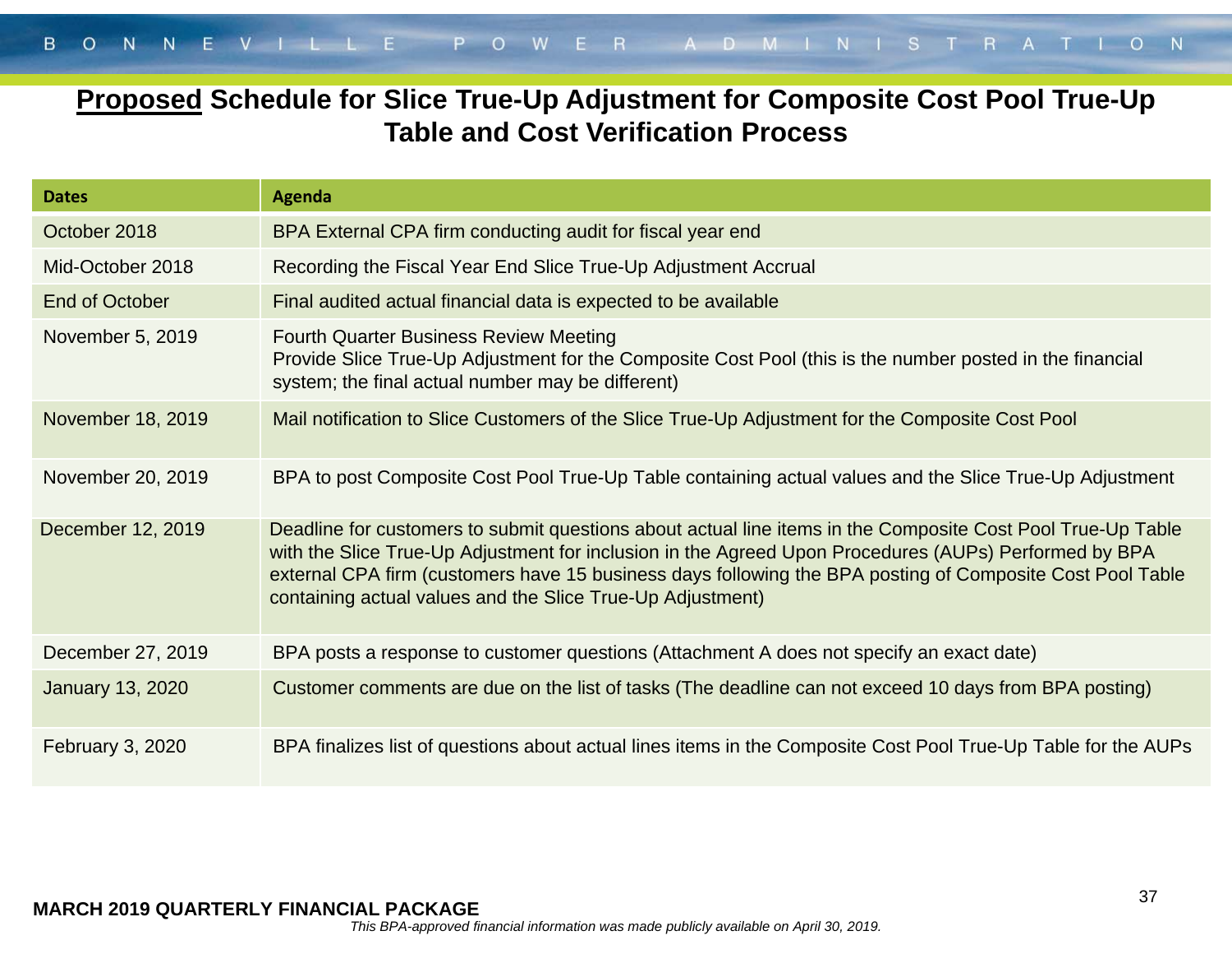### **Proposed Schedule for Slice True-Up Adjustment for Composite Cost Pool True-Up Table and Cost Verification Process**

| <b>Dates</b>            | <b>Agenda</b>                                                                                                                                                                                                                                                                                                                                                                                   |
|-------------------------|-------------------------------------------------------------------------------------------------------------------------------------------------------------------------------------------------------------------------------------------------------------------------------------------------------------------------------------------------------------------------------------------------|
| October 2018            | BPA External CPA firm conducting audit for fiscal year end                                                                                                                                                                                                                                                                                                                                      |
| Mid-October 2018        | Recording the Fiscal Year End Slice True-Up Adjustment Accrual                                                                                                                                                                                                                                                                                                                                  |
| End of October          | Final audited actual financial data is expected to be available                                                                                                                                                                                                                                                                                                                                 |
| November 5, 2019        | <b>Fourth Quarter Business Review Meeting</b><br>Provide Slice True-Up Adjustment for the Composite Cost Pool (this is the number posted in the financial<br>system; the final actual number may be different)                                                                                                                                                                                  |
| November 18, 2019       | Mail notification to Slice Customers of the Slice True-Up Adjustment for the Composite Cost Pool                                                                                                                                                                                                                                                                                                |
| November 20, 2019       | BPA to post Composite Cost Pool True-Up Table containing actual values and the Slice True-Up Adjustment                                                                                                                                                                                                                                                                                         |
| December 12, 2019       | Deadline for customers to submit questions about actual line items in the Composite Cost Pool True-Up Table<br>with the Slice True-Up Adjustment for inclusion in the Agreed Upon Procedures (AUPs) Performed by BPA<br>external CPA firm (customers have 15 business days following the BPA posting of Composite Cost Pool Table<br>containing actual values and the Slice True-Up Adjustment) |
| December 27, 2019       | BPA posts a response to customer questions (Attachment A does not specify an exact date)                                                                                                                                                                                                                                                                                                        |
| <b>January 13, 2020</b> | Customer comments are due on the list of tasks (The deadline can not exceed 10 days from BPA posting)                                                                                                                                                                                                                                                                                           |
| <b>February 3, 2020</b> | BPA finalizes list of questions about actual lines items in the Composite Cost Pool True-Up Table for the AUPs                                                                                                                                                                                                                                                                                  |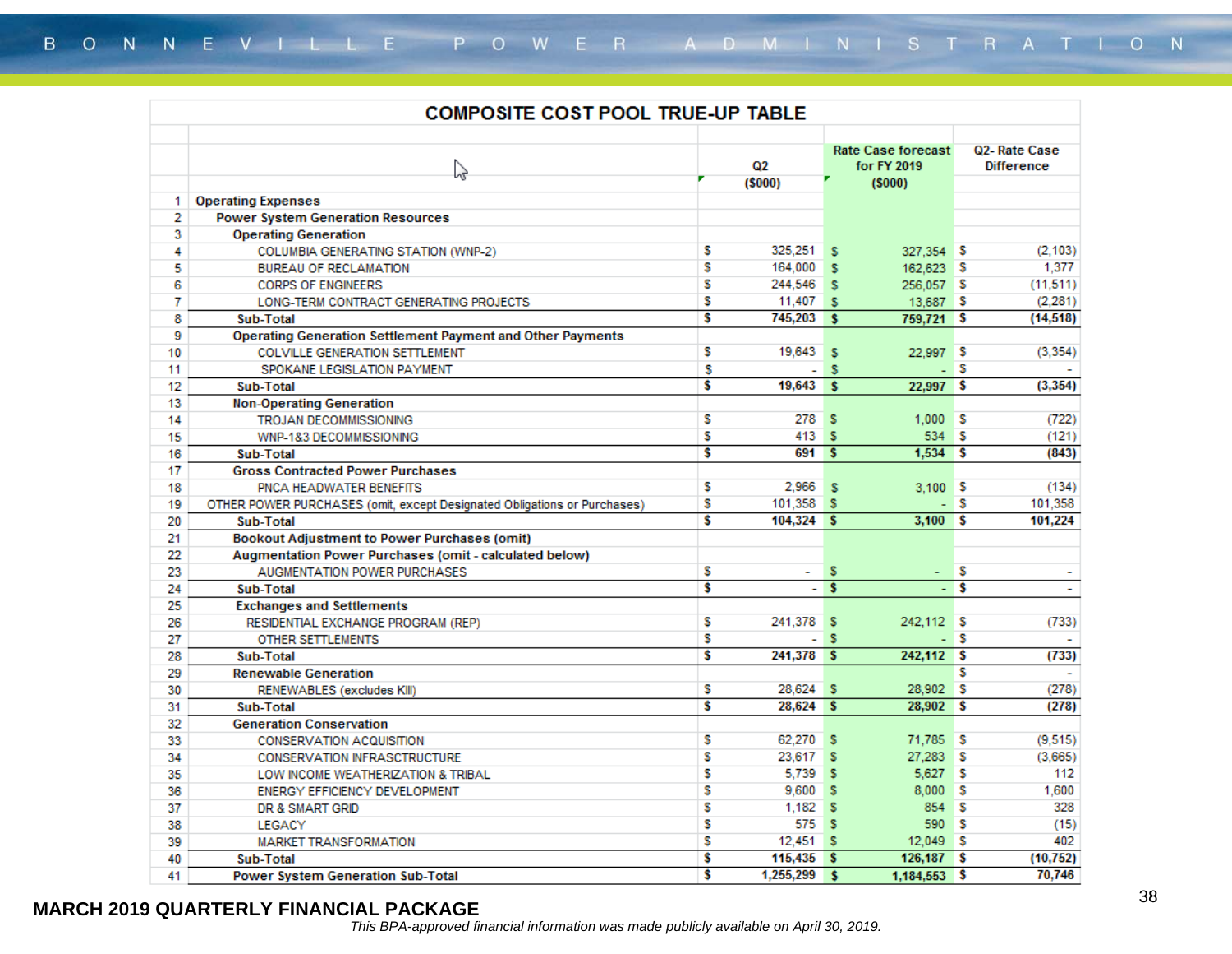|    | <b>COMPOSITE COST POOL TRUE-UP TABLE</b>                                 |                                          |                                   |                         |              |     |                       |  |
|----|--------------------------------------------------------------------------|------------------------------------------|-----------------------------------|-------------------------|--------------|-----|-----------------------|--|
|    | Z                                                                        | <b>Rate Case forecast</b><br>for FY 2019 | Q2-Rate Case<br><b>Difference</b> |                         |              |     |                       |  |
|    |                                                                          |                                          | (5000)                            |                         | (5000)       |     |                       |  |
| 1. | <b>Operating Expenses</b>                                                |                                          |                                   |                         |              |     |                       |  |
| 2  | <b>Power System Generation Resources</b>                                 |                                          |                                   |                         |              |     |                       |  |
| 3  | <b>Operating Generation</b>                                              |                                          |                                   |                         |              |     |                       |  |
| 4  | COLUMBIA GENERATING STATION (WNP-2)                                      | s                                        | 325,251                           | s                       | 327,354 \$   |     | (2, 103)              |  |
| 5  | <b>BUREAU OF RECLAMATION</b>                                             | s                                        | 164,000                           | s                       | 162,623 \$   |     | 1,377                 |  |
| 6  | <b>CORPS OF ENGINEERS</b>                                                | S                                        | 244,546                           | s                       | 256,057 \$   |     | (11, 511)             |  |
| 7  | LONG-TERM CONTRACT GENERATING PROJECTS                                   | S                                        | 11,407                            | s                       | 13,687 \$    |     | (2, 281)              |  |
| 8  | Sub-Total                                                                | \$                                       | 745,203                           | <b>S</b>                | 759,721 \$   |     | (14, 518)             |  |
| 9  | <b>Operating Generation Settlement Payment and Other Payments</b>        |                                          |                                   |                         |              |     |                       |  |
| 10 | <b>COLVILLE GENERATION SETTLEMENT</b>                                    | s                                        | 19,643                            | s                       | 22,997 \$    |     | (3, 354)              |  |
| 11 | SPOKANE LEGISLATION PAYMENT                                              | s                                        |                                   | s                       |              | s   |                       |  |
| 12 | Sub-Total                                                                | Ŝ                                        | 19,643                            | s                       | $22,997$ \$  |     | (3, 354)              |  |
| 13 | <b>Non-Operating Generation</b>                                          |                                          |                                   |                         |              |     |                       |  |
| 14 | TROJAN DECOMMISSIONING                                                   | s                                        | 278                               | s                       | 1,000        | ∎s  | (722)                 |  |
| 15 | WNP-1&3 DECOMMISSIONING                                                  | S                                        | 413                               | s                       | $534$ $S$    |     | (121)                 |  |
| 16 | Sub-Total                                                                | \$                                       | 691                               | -S                      | $1,534$ \$   |     | (843)                 |  |
| 17 | <b>Gross Contracted Power Purchases</b>                                  |                                          |                                   |                         |              |     |                       |  |
| 18 | PNCA HEADWATER BENEFITS                                                  | s                                        | 2,966                             | s                       | 3.100S       |     | (134)                 |  |
| 19 | OTHER POWER PURCHASES (omit, except Designated Obligations or Purchases) | S                                        | $101,358$ \$                      |                         |              | - S | 101,358               |  |
| 20 | Sub-Total                                                                | Ŝ                                        | $104,324$ \$                      |                         | 3,100S       |     | 101,224               |  |
| 21 | <b>Bookout Adjustment to Power Purchases (omit)</b>                      |                                          |                                   |                         |              |     |                       |  |
| 22 | Augmentation Power Purchases (omit - calculated below)                   |                                          |                                   |                         |              |     |                       |  |
| 23 | AUGMENTATION POWER PURCHASES                                             | s                                        | $\sim$                            | s                       | - S          |     |                       |  |
| 24 | Sub-Total                                                                | Ŝ                                        |                                   | $\overline{\mathbf{s}}$ |              | s   | $\tilde{\phantom{a}}$ |  |
| 25 | <b>Exchanges and Settlements</b>                                         |                                          |                                   |                         |              |     |                       |  |
| 26 | RESIDENTIAL EXCHANGE PROGRAM (REP)                                       | s                                        | 241,378                           | s                       | 242,112 S    |     | (733)                 |  |
| 27 | OTHER SETTLEMENTS                                                        | s                                        | $\overline{\phantom{0}}$          | s                       |              | - S |                       |  |
| 28 | Sub-Total                                                                | Ŝ                                        | 241,378                           | -S                      | $242,112$ \$ |     | (733)                 |  |
| 29 | <b>Renewable Generation</b>                                              |                                          |                                   |                         |              | s   |                       |  |
| 30 | RENEWABLES (excludes KIII)                                               | S                                        | 28,624                            | s                       | 28,902       | s   | (278)                 |  |
| 31 | Sub-Total                                                                | Ŝ                                        | 28,624                            | -S                      | 28,902 \$    |     | (278)                 |  |
| 32 | <b>Generation Conservation</b>                                           |                                          |                                   |                         |              |     |                       |  |
| 33 | <b>CONSERVATION ACQUISITION</b>                                          | S                                        | 62.270                            | s                       | 71,785 \$    |     | (9,515)               |  |
| 34 | <b>CONSERVATION INFRASCTRUCTURE</b>                                      | S                                        | 23,617                            | s                       | 27,283 \$    |     | (3,665)               |  |
| 35 | LOW INCOME WEATHERIZATION & TRIBAL                                       | S                                        | 5.739                             | s                       | 5.627 \$     |     | 112                   |  |
| 36 | ENERGY EFFICIENCY DEVELOPMENT                                            | s                                        | 9,600                             | s                       | 8,000 \$     |     | 1,600                 |  |
| 37 | DR & SMART GRID                                                          | s                                        | 1,182                             | s                       | 854          | ∎s  | 328                   |  |
| 38 | LEGACY                                                                   | S                                        | 575                               | s                       | 590 S        |     | (15)                  |  |
| 39 | <b>MARKET TRANSFORMATION</b>                                             | S                                        | 12,451                            | -S                      | 12,049 \$    |     | 402                   |  |
| 40 | Sub-Total                                                                | Ŝ                                        | $115,435$ \$                      |                         | 126,187 \$   |     | (10, 752)             |  |
| 41 | <b>Power System Generation Sub-Total</b>                                 | Ŝ                                        | 1,255,299                         | s                       | 1,184,553 \$ |     | 70,746                |  |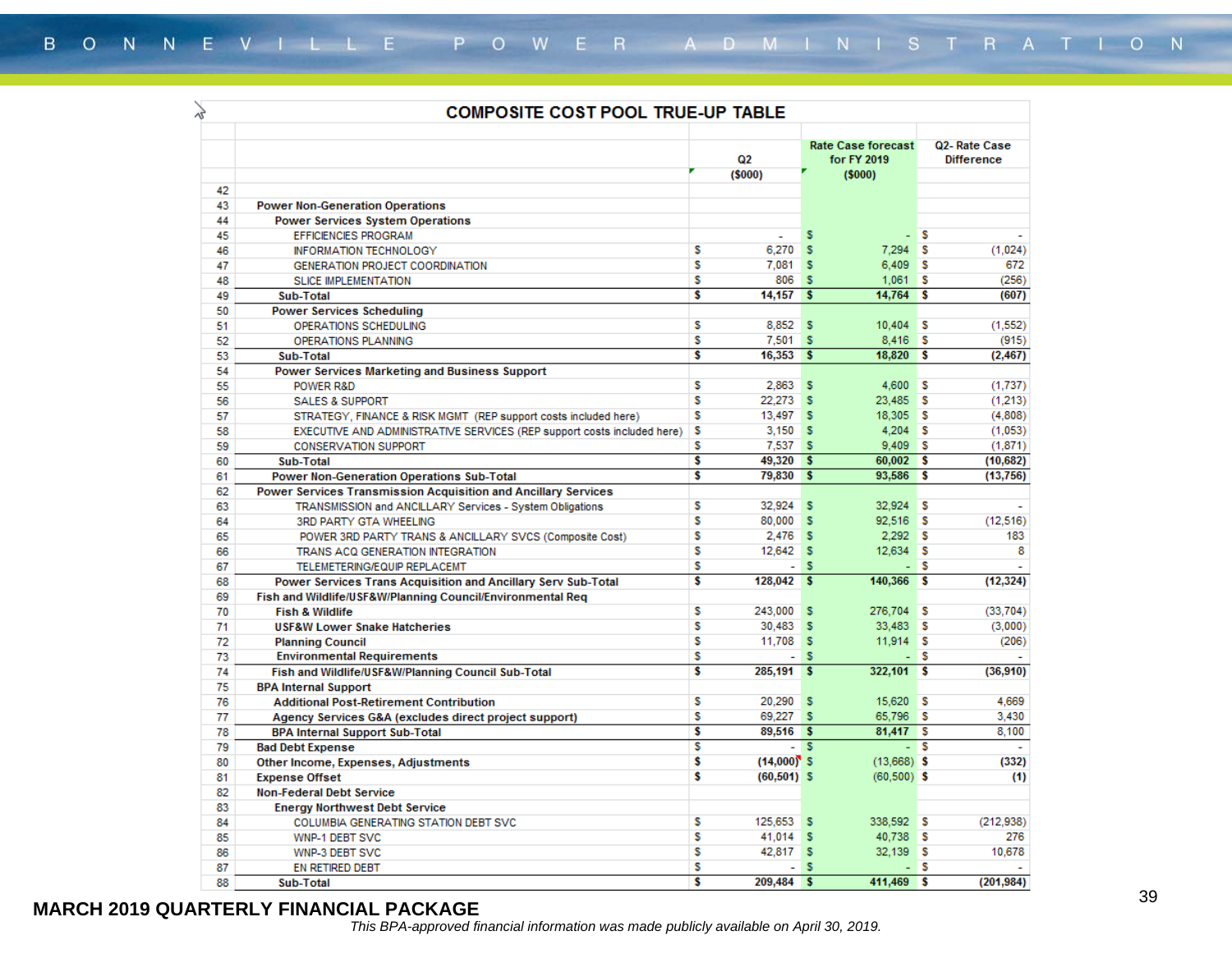| vz | <b>COMPOSITE COST POOL TRUE-UP TABLE</b>                                |                         |                          |          |                                                    |      |                                   |  |  |
|----|-------------------------------------------------------------------------|-------------------------|--------------------------|----------|----------------------------------------------------|------|-----------------------------------|--|--|
|    |                                                                         |                         | Q <sub>2</sub><br>(5000) |          | <b>Rate Case forecast</b><br>for FY 2019<br>(5000) |      | Q2-Rate Case<br><b>Difference</b> |  |  |
| 42 |                                                                         |                         |                          |          |                                                    |      |                                   |  |  |
| 43 | <b>Power Non-Generation Operations</b>                                  |                         |                          |          |                                                    |      |                                   |  |  |
| 44 | <b>Power Services System Operations</b>                                 |                         |                          |          |                                                    |      |                                   |  |  |
| 45 | <b>EFFICIENCIES PROGRAM</b>                                             |                         | ÷                        | s        |                                                    | - S  | $\sim$                            |  |  |
| 46 | INFORMATION TECHNOLOGY                                                  | s                       | 6.270                    | s        | 7.294 S                                            |      | (1,024)                           |  |  |
| 47 | GENERATION PROJECT COORDINATION                                         | s                       | 7.081                    | s        | $6,409$ \$                                         |      | 672                               |  |  |
| 48 | <b>SLICE IMPLEMENTATION</b>                                             | s                       | 806                      | <b>S</b> | 1,061                                              | s    | (256)                             |  |  |
| 49 | Sub-Total                                                               | Ŝ                       | $14,157$ \$              |          | 14,764                                             | -S   | (607)                             |  |  |
| 50 | <b>Power Services Scheduling</b>                                        |                         |                          |          |                                                    |      |                                   |  |  |
| 51 | OPERATIONS SCHEDULING                                                   | s                       | 8,852 \$                 |          | $10,404$ S                                         |      | (1, 552)                          |  |  |
| 52 | <b>OPERATIONS PLANNING</b>                                              | s                       | 7,501                    | s        | $8,416$ \$                                         |      | (915)                             |  |  |
| 53 | Sub-Total                                                               | $\overline{\mathbf{s}}$ | 16,353                   | ∣\$      | 18,820                                             | l S  | (2, 467)                          |  |  |
| 54 | Power Services Marketing and Business Support                           |                         |                          |          |                                                    |      |                                   |  |  |
| 55 | POWER R&D                                                               | s                       | 2.863                    | s        | 4,600                                              | ١s   | (1,737)                           |  |  |
| 56 | <b>SALES &amp; SUPPORT</b>                                              | s                       | 22,273 S                 |          | 23,485                                             | ΠS   | (1,213)                           |  |  |
| 57 | STRATEGY, FINANCE & RISK MGMT (REP support costs included here)         | s                       | 13,497 \$                |          | 18,305 \$                                          |      | (4,808)                           |  |  |
| 58 | EXECUTIVE AND ADMINISTRATIVE SERVICES (REP support costs included here) | s                       | $3,150$ \$               |          | $4,204$ S                                          |      | (1,053)                           |  |  |
| 59 | <b>CONSERVATION SUPPORT</b>                                             | s                       | 7.537 \$                 |          | 9,409S                                             |      | (1,871)                           |  |  |
| 60 | Sub-Total                                                               | s                       | 49,320 \$                |          | $60,002$ \$                                        |      | (10, 682)                         |  |  |
| 61 | <b>Power Non-Generation Operations Sub-Total</b>                        | \$                      | 79,830 \$                |          | 93,586 \$                                          |      | (13,756)                          |  |  |
| 62 | Power Services Transmission Acquisition and Ancillary Services          |                         |                          |          |                                                    |      |                                   |  |  |
| 63 | TRANSMISSION and ANCILLARY Services - System Obligations                | s                       | 32,924                   | s        | 32.924                                             | l s  |                                   |  |  |
| 64 | <b>3RD PARTY GTA WHEELING</b>                                           | s                       | 80,000                   | s        | 92,516 \$                                          |      | (12, 516)                         |  |  |
| 65 | POWER 3RD PARTY TRANS & ANCILLARY SVCS (Composite Cost)                 | s                       | $2,476$ \$               |          | $2,292$ S                                          |      | 183                               |  |  |
| 66 | TRANS ACQ GENERATION INTEGRATION                                        | S                       | 12.642 S                 |          | 12.634 S                                           |      | 8                                 |  |  |
| 67 | TELEMETERING/EQUIP REPLACEMT                                            | s                       |                          | $-5$     |                                                    | - S  |                                   |  |  |
| 68 | Power Services Trans Acquisition and Ancillary Serv Sub-Total           | \$                      | $128,042$ \$             |          | 140,366                                            | Γ\$  | (12, 324)                         |  |  |
| 69 | Fish and Wildlife/USF&W/Planning Council/Environmental Reg              |                         |                          |          |                                                    |      |                                   |  |  |
| 70 | <b>Fish &amp; Wildlife</b>                                              | s                       | 243,000                  | s        | 276,704                                            | l s  | (33,704)                          |  |  |
| 71 | <b>USF&amp;W Lower Snake Hatcheries</b>                                 | s                       | 30,483 \$                |          | 33,483 \$                                          |      | (3,000)                           |  |  |
| 72 | <b>Planning Council</b>                                                 | s                       | $11.708$ S               |          | $11.914$ S                                         |      | (206)                             |  |  |
| 73 | <b>Environmental Requirements</b>                                       | s                       | ÷.                       | s        |                                                    | - IS |                                   |  |  |
| 74 | Fish and Wildlife/USF&W/Planning Council Sub-Total                      | s                       | 285.191                  | s        | 322,101                                            | l s  | (36,910)                          |  |  |
| 75 | <b>BPA Internal Support</b>                                             |                         |                          |          |                                                    |      |                                   |  |  |
| 76 | <b>Additional Post-Retirement Contribution</b>                          | s                       | 20,290                   | -S       | 15,620 \$                                          |      | 4,669                             |  |  |
| 77 | Agency Services G&A (excludes direct project support)                   | s                       | 69,227 \$                |          | 65,796 \$                                          |      | 3,430                             |  |  |
| 78 | <b>BPA Internal Support Sub-Total</b>                                   | s                       | 89.516 \$                |          | 81.417 S                                           |      | 8.100                             |  |  |
| 79 | <b>Bad Debt Expense</b>                                                 | s                       |                          | - 5      | ÷.                                                 | ١s   |                                   |  |  |
| 80 | Other Income, Expenses, Adjustments                                     | Ŝ                       | $(14,000)$ S             |          | $(13,668)$ \$                                      |      | (332)                             |  |  |
| 81 | <b>Expense Offset</b>                                                   | Ŝ                       | $(60, 501)$ S            |          | $(60, 500)$ \$                                     |      | (1)                               |  |  |
| 82 | <b>Non-Federal Debt Service</b>                                         |                         |                          |          |                                                    |      |                                   |  |  |
| 83 | <b>Energy Northwest Debt Service</b>                                    |                         |                          |          |                                                    |      |                                   |  |  |
| 84 | COLUMBIA GENERATING STATION DEBT SVC                                    | s                       | 125,653                  | s        | 338,592 \$                                         |      | (212,938)                         |  |  |
| 85 | WNP-1 DEBT SVC                                                          | s                       | $41.014$ S               |          | 40,738 S                                           |      | 276                               |  |  |
| 86 | WNP-3 DEBT SVC                                                          | s                       | 42,817 S                 |          | 32.139 S                                           |      | 10,678                            |  |  |
| 87 | EN RETIRED DEBT                                                         | s                       | $\sim$                   | s        |                                                    | - S  |                                   |  |  |
| 88 | Sub-Total                                                               | Ŝ                       | 209.484 S                |          | 411,469 \$                                         |      | (201, 984)                        |  |  |
|    |                                                                         |                         |                          |          |                                                    |      |                                   |  |  |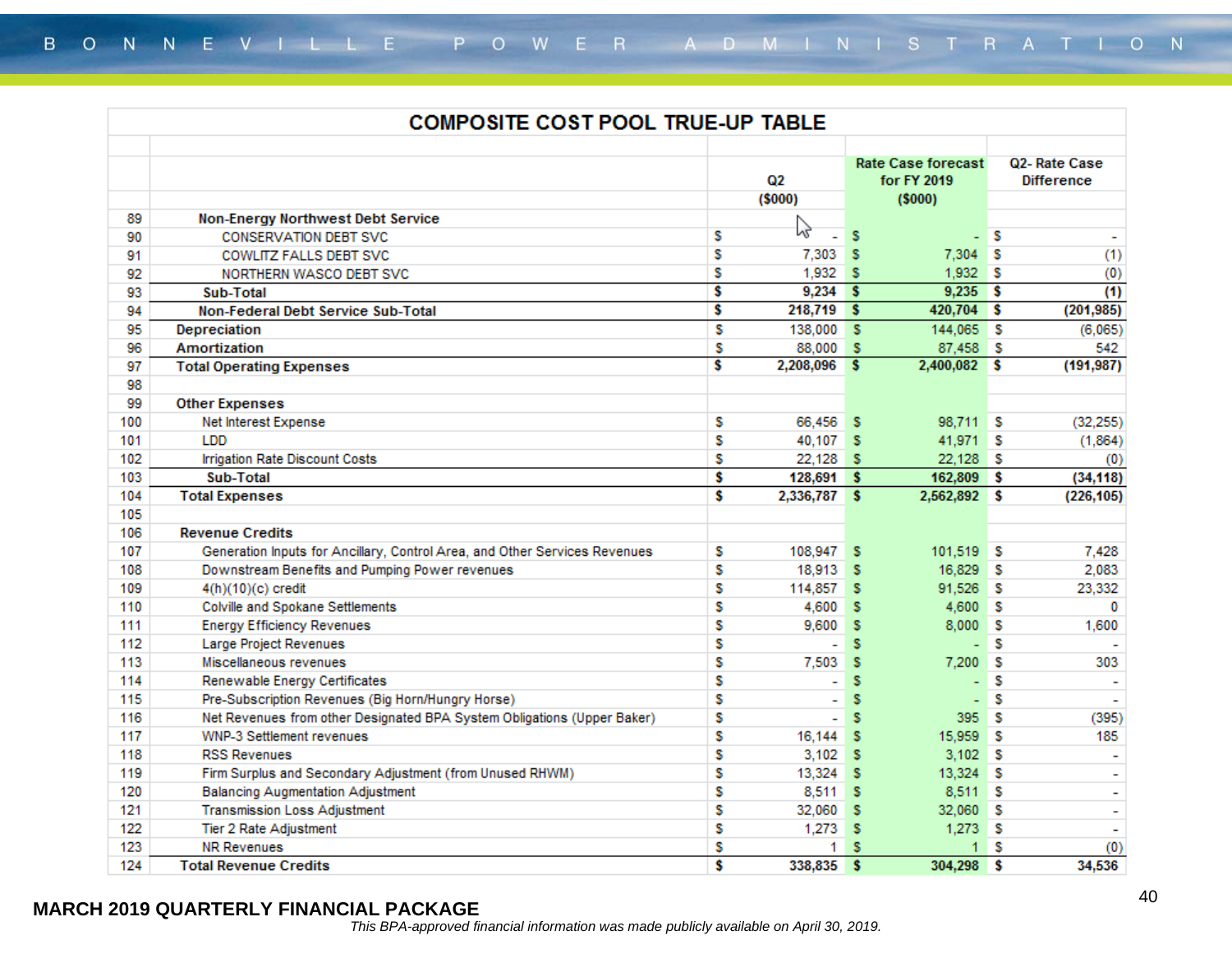|     | <b>COMPOSITE COST POOL TRUE-UP TABLE</b>                                   |    |                |                         |                                                    |          |                                   |  |
|-----|----------------------------------------------------------------------------|----|----------------|-------------------------|----------------------------------------------------|----------|-----------------------------------|--|
|     |                                                                            |    | Q2<br>(5000)   |                         | <b>Rate Case forecast</b><br>for FY 2019<br>(5000) |          | Q2-Rate Case<br><b>Difference</b> |  |
| 89  | Non-Energy Northwest Debt Service                                          |    |                |                         |                                                    |          |                                   |  |
| 90  | <b>CONSERVATION DEBT SVC</b>                                               | s  | rz,            | s                       | L,                                                 | ۱s       | $\overline{\phantom{a}}$          |  |
| 91  | <b>COWLITZ FALLS DEBT SVC</b>                                              | s  | 7.303          | s                       | 7,304                                              | s        | (1)                               |  |
| 92  | NORTHERN WASCO DEBT SVC                                                    | s  | 1,932S         |                         | 1,932                                              | ιs       | (0)                               |  |
| 93  | Sub-Total                                                                  | Ŝ  | $9,234$ \$     |                         | $9,235$ \$                                         |          | (1)                               |  |
| 94  | Non-Federal Debt Service Sub-Total                                         | s  | 218,719 \$     |                         | 420,704                                            | ΠS       | (201, 985)                        |  |
| 95  | <b>Depreciation</b>                                                        | S  | 138,000 \$     |                         | 144,065 \$                                         |          | (6,065)                           |  |
| 96  | Amortization                                                               | s  | 88,000         | - 5                     | 87,458 \$                                          |          | 542                               |  |
| 97  | <b>Total Operating Expenses</b>                                            | s  | 2,208,096 \$   |                         | $2,400,082$ \$                                     |          | (191, 987)                        |  |
| 98  |                                                                            |    |                |                         |                                                    |          |                                   |  |
| 99  | <b>Other Expenses</b>                                                      |    |                |                         |                                                    |          |                                   |  |
| 100 | Net Interest Expense                                                       | s  | 66,456 \$      |                         | 98,711 \$                                          |          | (32, 255)                         |  |
| 101 | <b>LDD</b>                                                                 | s  | 40,107 S       |                         | 41,971                                             | ΙS       | (1,864)                           |  |
| 102 | Irrigation Rate Discount Costs                                             | s  | $22,128$ \$    |                         | 22,128                                             | ΙS       | (0)                               |  |
| 103 | Sub-Total                                                                  | Ŝ  | $128,691$ \$   |                         | 162,809                                            | -S       | (34, 118)                         |  |
| 104 | <b>Total Expenses</b>                                                      | s  | 2,336,787 \$   |                         | 2,562,892 \$                                       |          | (226, 105)                        |  |
| 105 |                                                                            |    |                |                         |                                                    |          |                                   |  |
| 106 | <b>Revenue Credits</b>                                                     |    |                |                         |                                                    |          |                                   |  |
| 107 | Generation Inputs for Ancillary, Control Area, and Other Services Revenues | s  | 108,947        | s                       | $101.519$ S                                        |          | 7,428                             |  |
| 108 | Downstream Benefits and Pumping Power revenues                             | S  | 18,913         | s                       | 16,829                                             | ۱s       | 2,083                             |  |
| 109 | 4(h)(10)(c) credit                                                         | s  | 114,857        | s                       | 91,526                                             | ΙS       | 23,332                            |  |
| 110 | Colville and Spokane Settlements                                           | S  | 4.600          | s                       | 4,600                                              | ı s      | $\Omega$                          |  |
| 111 | <b>Energy Efficiency Revenues</b>                                          | S  | 9,600          | s                       | 8,000                                              | -S       | 1,600                             |  |
| 112 | Large Project Revenues                                                     | s  | ٠              | s                       | ÷                                                  | s        |                                   |  |
| 113 | Miscellaneous revenues                                                     | S  | 7,503          | s                       | 7,200                                              | s        | 303                               |  |
| 114 | Renewable Energy Certificates                                              | s  | ÷.             | s                       | ÷                                                  | s        | $\overline{\phantom{0}}$          |  |
| 115 | Pre-Subscription Revenues (Big Horn/Hungry Horse)                          | s  | $\blacksquare$ | s                       | $\overline{\phantom{a}}$                           | s        |                                   |  |
| 116 | Net Revenues from other Designated BPA System Obligations (Upper Baker)    | s  | ÷.             | s                       | 395                                                | ۱s       | (395)                             |  |
| 117 | <b>WNP-3 Settlement revenues</b>                                           | s  | 16,144         | s                       | 15,959                                             | -S       | 185                               |  |
| 118 | <b>RSS Revenues</b>                                                        | s  | 3.102          | s                       | 3.102                                              | -S       |                                   |  |
| 119 | Firm Surplus and Secondary Adjustment (from Unused RHWM)                   | S  | 13,324         | s                       | 13,324                                             | ΙS       | $\tilde{\phantom{a}}$             |  |
| 120 | <b>Balancing Augmentation Adjustment</b>                                   | S  | 8,511          | s                       | 8,511 \$                                           |          | $\blacksquare$                    |  |
| 121 | <b>Transmission Loss Adjustment</b>                                        | s  | 32,060         | s                       | 32,060                                             | ΙS       |                                   |  |
| 122 | Tier 2 Rate Adjustment                                                     | s  | 1,273          | s                       | $1,273$ \$                                         |          | ÷,                                |  |
| 123 | <b>NR Revenues</b>                                                         | S  | 1.             | s                       | 1                                                  | s        | (0)                               |  |
| 124 | <b>Total Revenue Credits</b>                                               | \$ | 338.835        | $\overline{\mathbf{s}}$ | 304.298                                            | <b>S</b> | 34,536                            |  |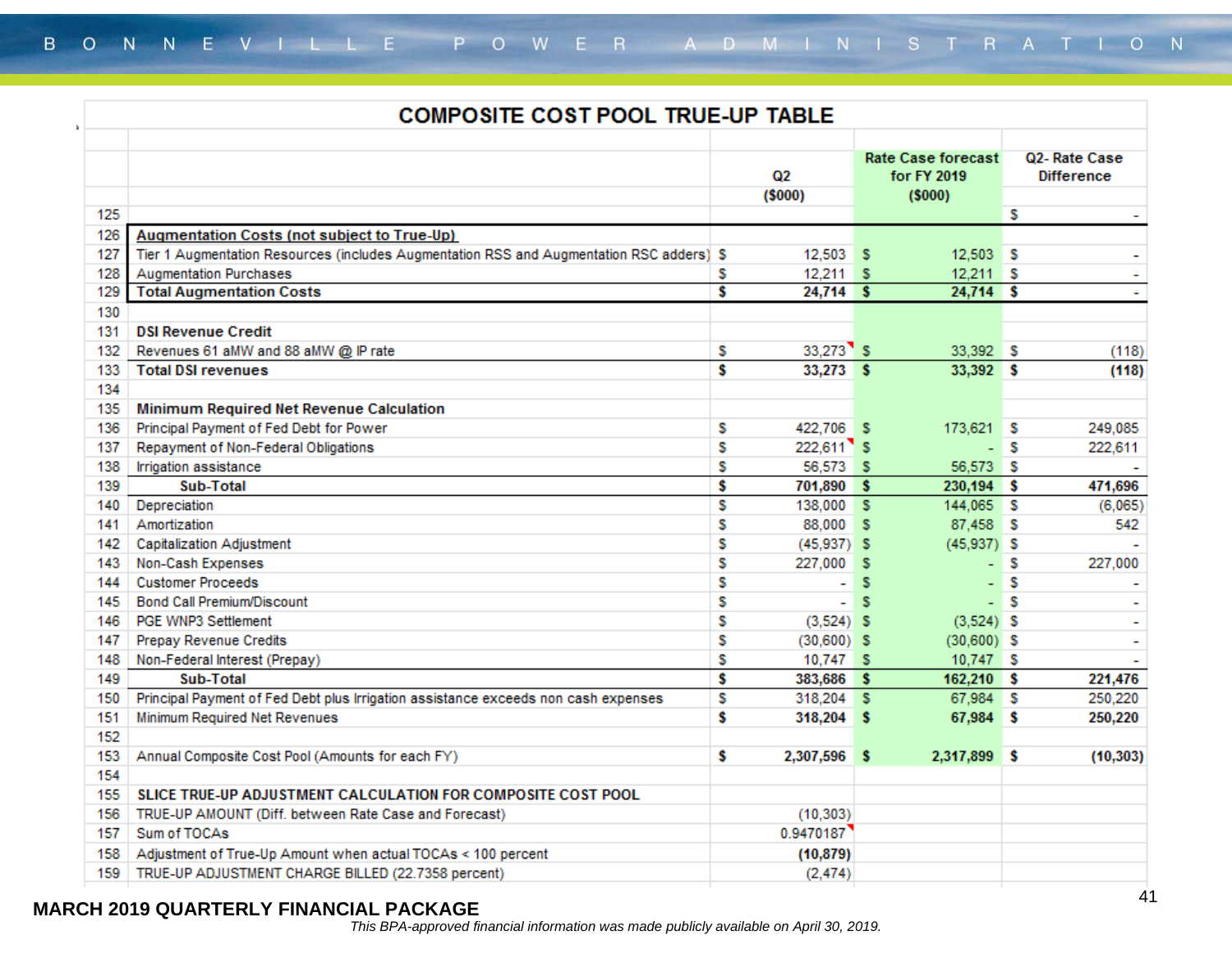|         | <b>COMPOSITE COST POOL TRUE-UP TABLE</b>                                                 |    |               |   |                                                    |    |                                   |  |  |
|---------|------------------------------------------------------------------------------------------|----|---------------|---|----------------------------------------------------|----|-----------------------------------|--|--|
|         |                                                                                          |    | Q2<br>(5000)  |   | <b>Rate Case forecast</b><br>for FY 2019<br>(5000) |    | Q2-Rate Case<br><b>Difference</b> |  |  |
| 125     |                                                                                          |    |               |   |                                                    | s  | $\tilde{\phantom{a}}$             |  |  |
| 126     | <b>Augmentation Costs (not subject to True-Up)</b>                                       |    |               |   |                                                    |    |                                   |  |  |
| 127     | Tier 1 Augmentation Resources (includes Augmentation RSS and Augmentation RSC adders) \$ |    | 12,503 \$     |   | 12,503 \$                                          |    | $\overline{\phantom{a}}$          |  |  |
| 128     | <b>Augmentation Purchases</b>                                                            | s  | $12,211$ \$   |   | $12,211$ \$                                        |    |                                   |  |  |
| 129     | <b>Total Augmentation Costs</b>                                                          | \$ | $24,714$ \$   |   | $24,714$ \$                                        |    | $\sim$                            |  |  |
| 130     |                                                                                          |    |               |   |                                                    |    |                                   |  |  |
| 131     | <b>DSI Revenue Credit</b>                                                                |    |               |   |                                                    |    |                                   |  |  |
| 132     | Revenues 61 aMW and 88 aMW @ IP rate                                                     | s  | $33,273$ $S$  |   | 33,392 S                                           |    | (118)                             |  |  |
| 133     | <b>Total DSI revenues</b>                                                                | Ŝ  | $33,273$ \$   |   | 33,392 \$                                          |    | (118)                             |  |  |
| 134     |                                                                                          |    |               |   |                                                    |    |                                   |  |  |
| 135     | Minimum Required Net Revenue Calculation                                                 |    |               |   |                                                    |    |                                   |  |  |
| 136     | Principal Payment of Fed Debt for Power                                                  | s  | 422,706 S     |   | 173,621 \$                                         |    | 249,085                           |  |  |
| 137     | Repayment of Non-Federal Obligations                                                     | S  | 222,611 S     |   | ÷                                                  | -S | 222,611                           |  |  |
| 138     | Irrigation assistance                                                                    | S  | 56,573 \$     |   | 56,573 \$                                          |    |                                   |  |  |
| 139     | Sub-Total                                                                                | \$ | 701,890 \$    |   | 230,194 \$                                         |    | 471,696                           |  |  |
| 140     | Depreciation                                                                             | s  | 138,000 S     |   | 144,065 \$                                         |    | (6,065)                           |  |  |
| 141     | Amortization                                                                             | S  | 88,000 S      |   | 87,458                                             | ΙS | 542                               |  |  |
| 142     | <b>Capitalization Adjustment</b>                                                         | \$ | $(45,937)$ \$ |   | $(45,937)$ \$                                      |    |                                   |  |  |
| 143     | Non-Cash Expenses                                                                        | s  | 227,000       | s | ÷,                                                 | s  | 227,000                           |  |  |
| 144     | <b>Customer Proceeds</b>                                                                 | \$ | $\sim$        | s | ÷                                                  | s  |                                   |  |  |
| $145 -$ | Bond Call Premium/Discount                                                               | \$ | $\sim$        | s | L,                                                 | -S |                                   |  |  |
| 146     | PGE WNP3 Settlement                                                                      | s  | $(3,524)$ \$  |   | $(3,524)$ \$                                       |    |                                   |  |  |
| 147     | Prepay Revenue Credits                                                                   | \$ | $(30,600)$ S  |   | $(30,600)$ \$                                      |    | $\overline{\phantom{0}}$          |  |  |
| 148     | Non-Federal Interest (Prepay)                                                            | s  | 10,747 \$     |   | 10,747 \$                                          |    |                                   |  |  |
| 149     | Sub-Total                                                                                | \$ | 383,686 \$    |   | 162,210 \$                                         |    | 221,476                           |  |  |
| 150     | Principal Payment of Fed Debt plus Irrigation assistance exceeds non cash expenses       | s  | 318,204 \$    |   | 67,984 \$                                          |    | 250,220                           |  |  |
| 151     | Minimum Required Net Revenues                                                            | \$ | 318,204 \$    |   | 67,984 \$                                          |    | 250,220                           |  |  |
| 152     |                                                                                          |    |               |   |                                                    |    |                                   |  |  |
| 153     | Annual Composite Cost Pool (Amounts for each FY)                                         | s  | 2,307,596     | s | 2,317,899 \$                                       |    | (10, 303)                         |  |  |
| 154     |                                                                                          |    |               |   |                                                    |    |                                   |  |  |
| 155     | SLICE TRUE-UP ADJUSTMENT CALCULATION FOR COMPOSITE COST POOL                             |    |               |   |                                                    |    |                                   |  |  |
| 156     | TRUE-UP AMOUNT (Diff. between Rate Case and Forecast)                                    |    | (10, 303)     |   |                                                    |    |                                   |  |  |
| 157     | Sum of TOCAs                                                                             |    | 0.9470187     |   |                                                    |    |                                   |  |  |
| 158     | Adjustment of True-Up Amount when actual TOCAs < 100 percent                             |    | (10, 879)     |   |                                                    |    |                                   |  |  |
| 159     | TRUE-UP ADJUSTMENT CHARGE BILLED (22.7358 percent)                                       |    | (2, 474)      |   |                                                    |    |                                   |  |  |
|         |                                                                                          |    |               |   |                                                    |    |                                   |  |  |

 $\Delta$